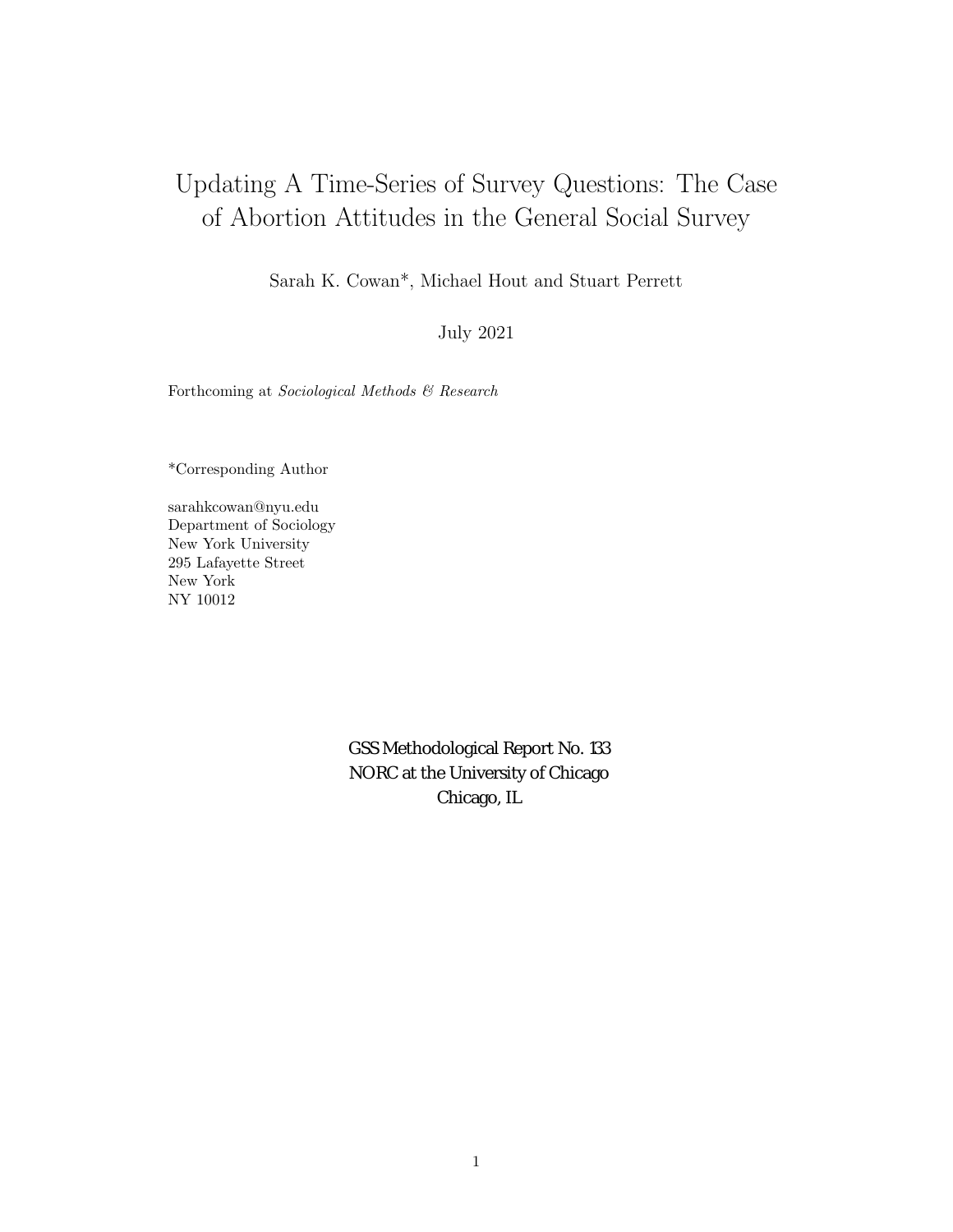## Updating A Time-Series of Survey Questions: The Case of Abortion Attitudes in the General Social Survey

Sarah K. Cowan\*, Michael Hout and Stuart Perrett

July 2021

Forthcoming at Sociological Methods & Research

\*Corresponding Author

sarahkcowan@nyu.edu Department of Sociology New York University 295 Lafayette Street New York NY 10012

> GSS Methodological Report No. 133 NORC at the University of Chicago Chicago, IL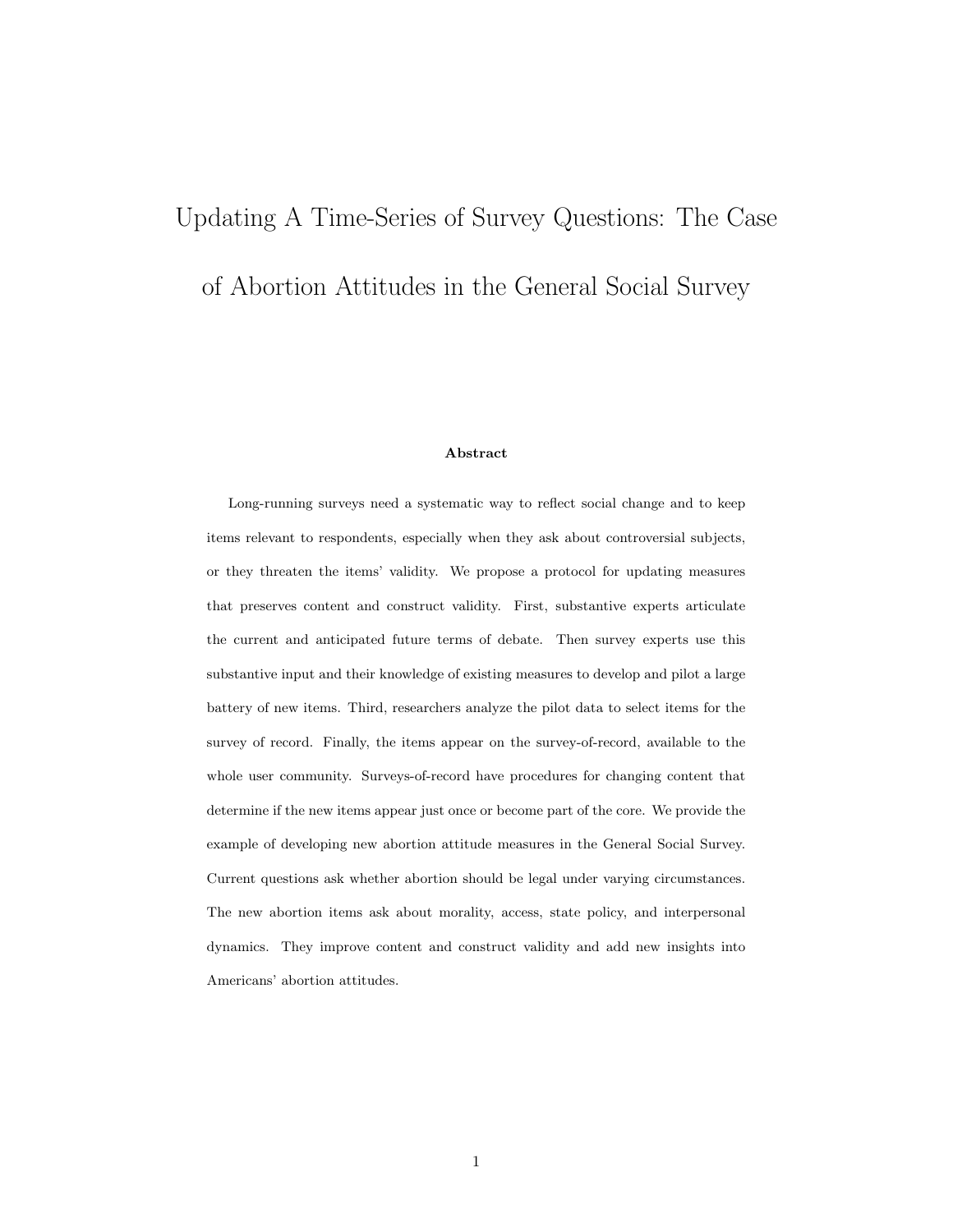# Updating A Time-Series of Survey Questions: The Case

of Abortion Attitudes in the General Social Survey

#### Abstract

Long-running surveys need a systematic way to reflect social change and to keep items relevant to respondents, especially when they ask about controversial subjects, or they threaten the items' validity. We propose a protocol for updating measures that preserves content and construct validity. First, substantive experts articulate the current and anticipated future terms of debate. Then survey experts use this substantive input and their knowledge of existing measures to develop and pilot a large battery of new items. Third, researchers analyze the pilot data to select items for the survey of record. Finally, the items appear on the survey-of-record, available to the whole user community. Surveys-of-record have procedures for changing content that determine if the new items appear just once or become part of the core. We provide the example of developing new abortion attitude measures in the General Social Survey. Current questions ask whether abortion should be legal under varying circumstances. The new abortion items ask about morality, access, state policy, and interpersonal dynamics. They improve content and construct validity and add new insights into Americans' abortion attitudes.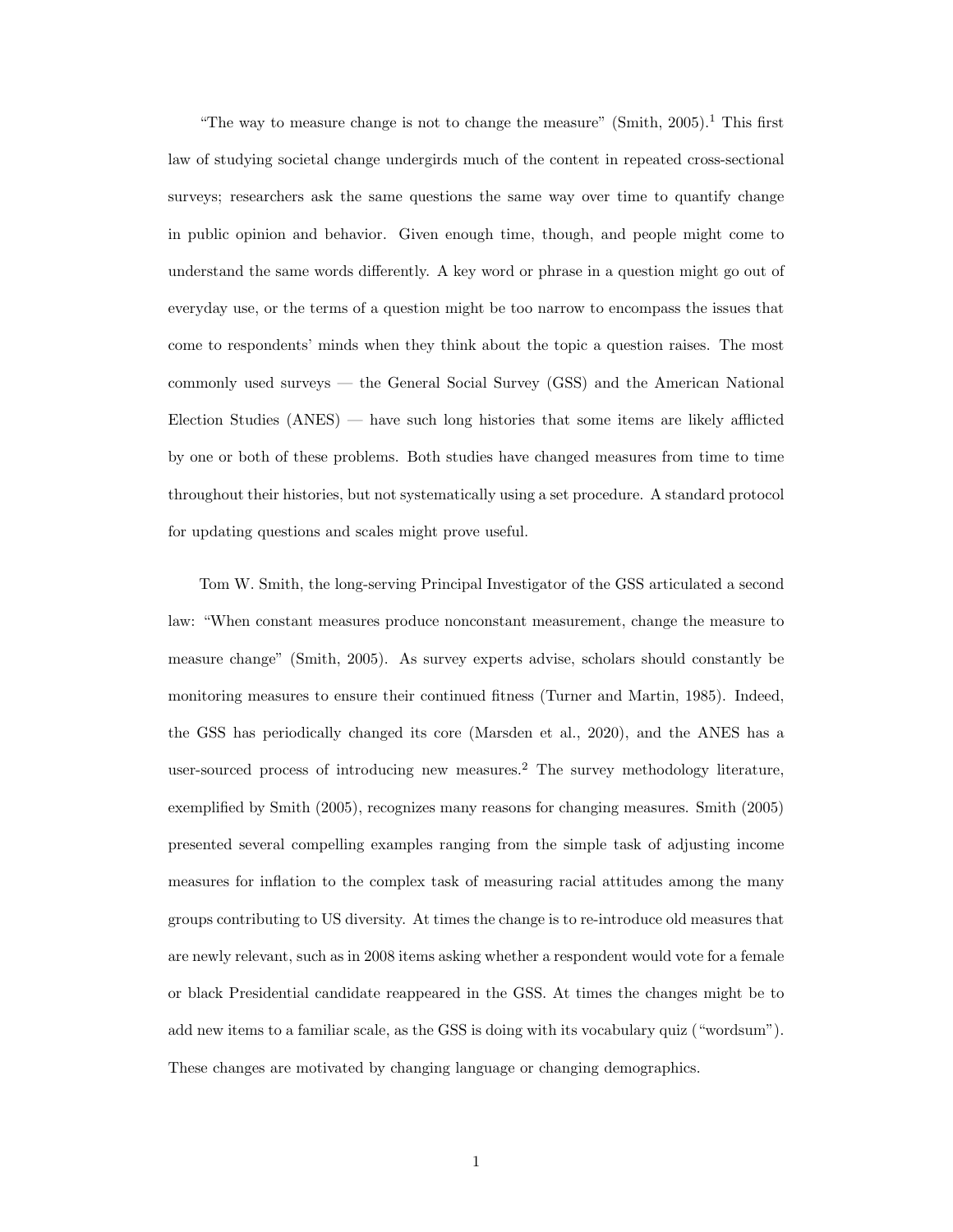"The way to measure change is not to change the measure" [\(Smith,](#page-46-0)  $2005$ ).<sup>[1](#page-34-0)</sup> This first law of studying societal change undergirds much of the content in repeated cross-sectional surveys; researchers ask the same questions the same way over time to quantify change in public opinion and behavior. Given enough time, though, and people might come to understand the same words differently. A key word or phrase in a question might go out of everyday use, or the terms of a question might be too narrow to encompass the issues that come to respondents' minds when they think about the topic a question raises. The most commonly used surveys — the General Social Survey (GSS) and the American National Election Studies (ANES) — have such long histories that some items are likely afflicted by one or both of these problems. Both studies have changed measures from time to time throughout their histories, but not systematically using a set procedure. A standard protocol for updating questions and scales might prove useful.

Tom W. Smith, the long-serving Principal Investigator of the GSS articulated a second law: "When constant measures produce nonconstant measurement, change the measure to measure change" [\(Smith,](#page-46-0) [2005\)](#page-46-0). As survey experts advise, scholars should constantly be monitoring measures to ensure their continued fitness [\(Turner and Martin,](#page-46-1) [1985\)](#page-46-1). Indeed, the GSS has periodically changed its core [\(Marsden et al.,](#page-46-2) [2020\)](#page-46-2), and the ANES has a user-sourced process of introducing new measures.[2](#page-34-1) The survey methodology literature, exemplified by [Smith](#page-46-0) [\(2005\)](#page-46-0), recognizes many reasons for changing measures. [Smith](#page-46-0) [\(2005\)](#page-46-0) presented several compelling examples ranging from the simple task of adjusting income measures for inflation to the complex task of measuring racial attitudes among the many groups contributing to US diversity. At times the change is to re-introduce old measures that are newly relevant, such as in 2008 items asking whether a respondent would vote for a female or black Presidential candidate reappeared in the GSS. At times the changes might be to add new items to a familiar scale, as the GSS is doing with its vocabulary quiz ("wordsum"). These changes are motivated by changing language or changing demographics.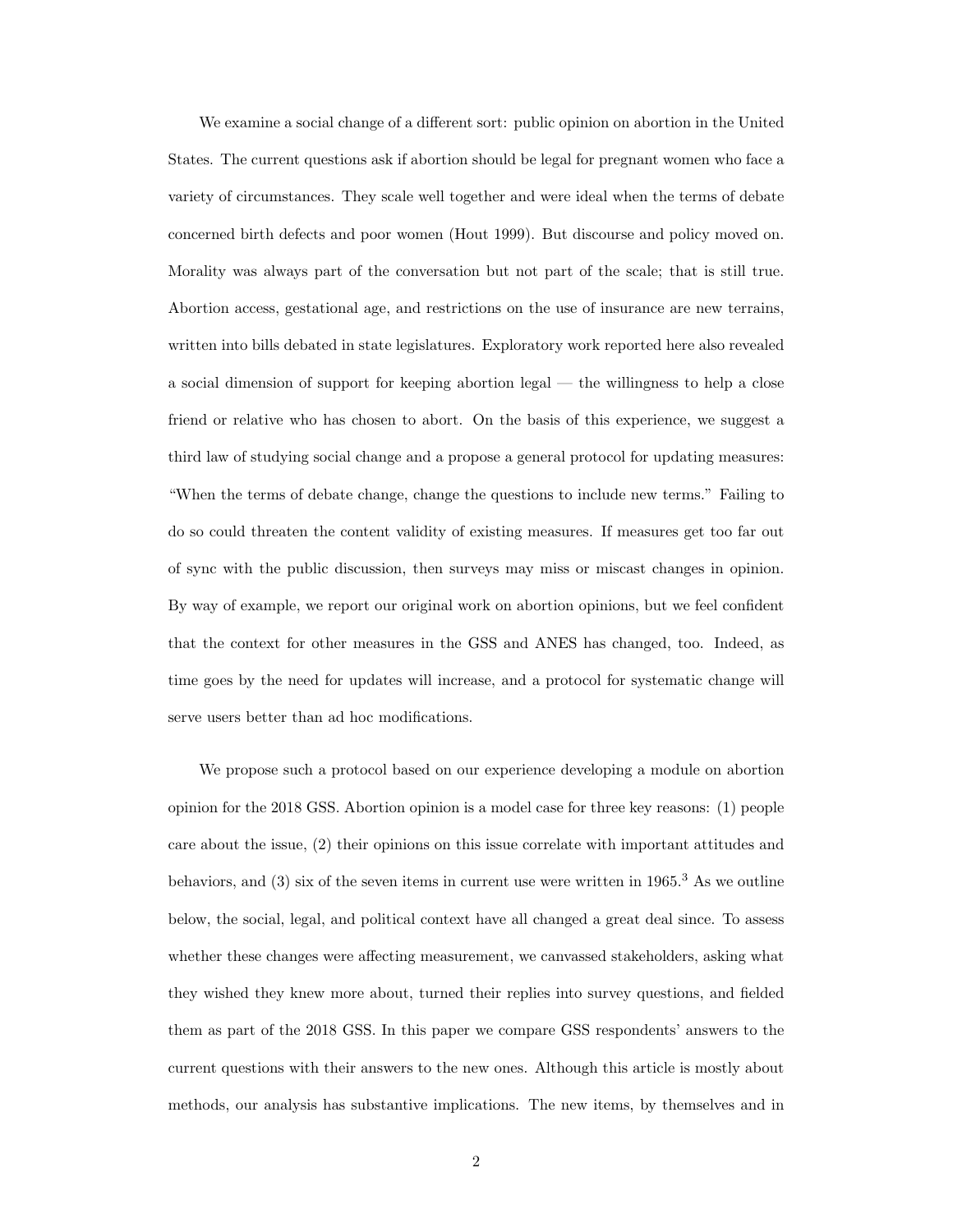We examine a social change of a different sort: public opinion on abortion in the United States. The current questions ask if abortion should be legal for pregnant women who face a variety of circumstances. They scale well together and were ideal when the terms of debate concerned birth defects and poor women (Hout 1999). But discourse and policy moved on. Morality was always part of the conversation but not part of the scale; that is still true. Abortion access, gestational age, and restrictions on the use of insurance are new terrains, written into bills debated in state legislatures. Exploratory work reported here also revealed a social dimension of support for keeping abortion legal — the willingness to help a close friend or relative who has chosen to abort. On the basis of this experience, we suggest a third law of studying social change and a propose a general protocol for updating measures: "When the terms of debate change, change the questions to include new terms." Failing to do so could threaten the content validity of existing measures. If measures get too far out of sync with the public discussion, then surveys may miss or miscast changes in opinion. By way of example, we report our original work on abortion opinions, but we feel confident that the context for other measures in the GSS and ANES has changed, too. Indeed, as time goes by the need for updates will increase, and a protocol for systematic change will serve users better than ad hoc modifications.

We propose such a protocol based on our experience developing a module on abortion opinion for the 2018 GSS. Abortion opinion is a model case for three key reasons: (1) people care about the issue, (2) their opinions on this issue correlate with important attitudes and behaviors, and  $(3)$  $(3)$  $(3)$  six of the seven items in current use were written in 1965.<sup>3</sup> As we outline below, the social, legal, and political context have all changed a great deal since. To assess whether these changes were affecting measurement, we canvassed stakeholders, asking what they wished they knew more about, turned their replies into survey questions, and fielded them as part of the 2018 GSS. In this paper we compare GSS respondents' answers to the current questions with their answers to the new ones. Although this article is mostly about methods, our analysis has substantive implications. The new items, by themselves and in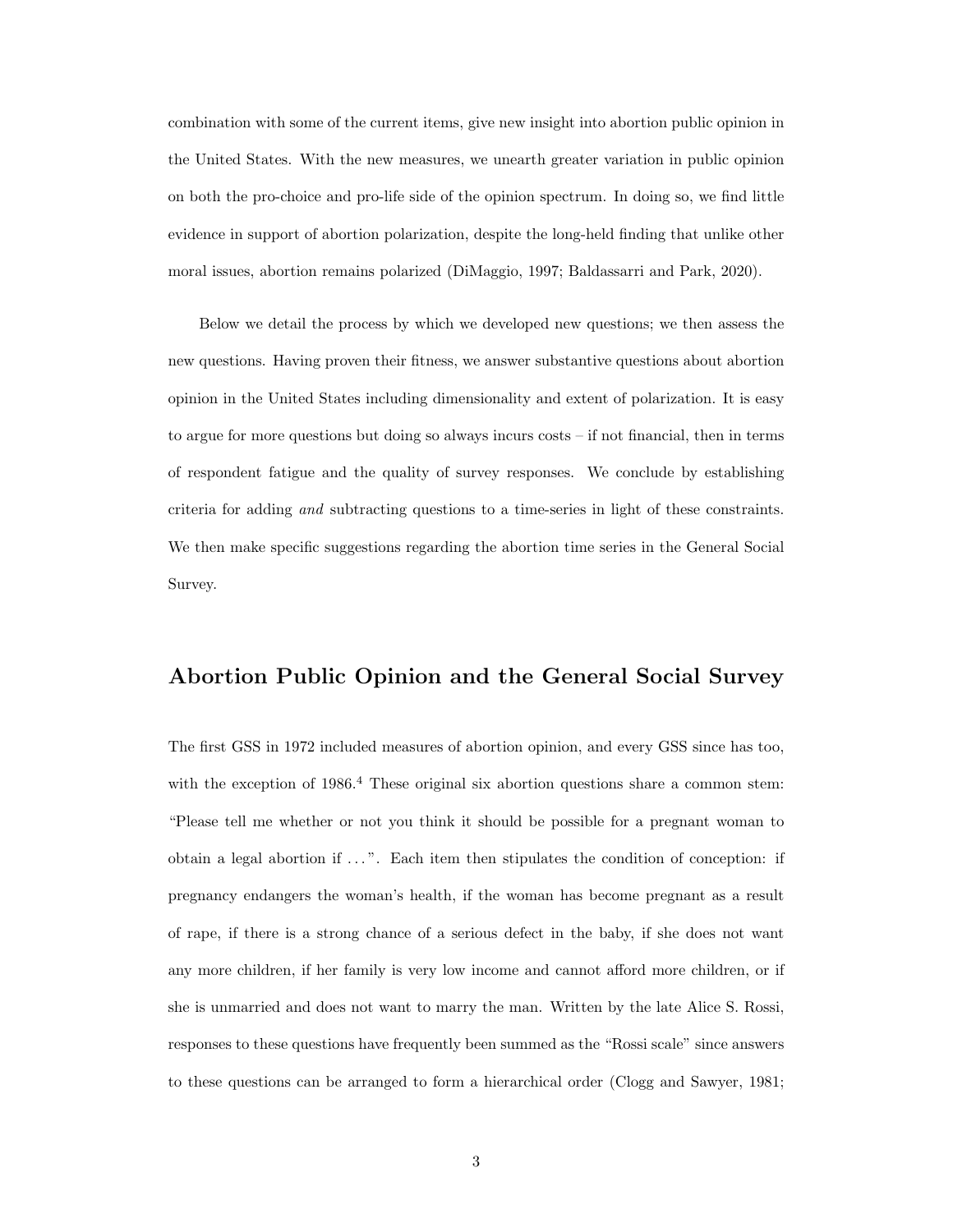combination with some of the current items, give new insight into abortion public opinion in the United States. With the new measures, we unearth greater variation in public opinion on both the pro-choice and pro-life side of the opinion spectrum. In doing so, we find little evidence in support of abortion polarization, despite the long-held finding that unlike other moral issues, abortion remains polarized [\(DiMaggio,](#page-45-0) [1997;](#page-45-0) [Baldassarri and Park,](#page-45-1) [2020\)](#page-45-1).

Below we detail the process by which we developed new questions; we then assess the new questions. Having proven their fitness, we answer substantive questions about abortion opinion in the United States including dimensionality and extent of polarization. It is easy to argue for more questions but doing so always incurs costs – if not financial, then in terms of respondent fatigue and the quality of survey responses. We conclude by establishing criteria for adding and subtracting questions to a time-series in light of these constraints. We then make specific suggestions regarding the abortion time series in the General Social Survey.

## Abortion Public Opinion and the General Social Survey

The first GSS in 1972 included measures of abortion opinion, and every GSS since has too, with the exception of  $1986<sup>4</sup>$  $1986<sup>4</sup>$  $1986<sup>4</sup>$  These original six abortion questions share a common stem: "Please tell me whether or not you think it should be possible for a pregnant woman to obtain a legal abortion if  $\dots$ ". Each item then stipulates the condition of conception: if pregnancy endangers the woman's health, if the woman has become pregnant as a result of rape, if there is a strong chance of a serious defect in the baby, if she does not want any more children, if her family is very low income and cannot afford more children, or if she is unmarried and does not want to marry the man. Written by the late Alice S. Rossi, responses to these questions have frequently been summed as the "Rossi scale" since answers to these questions can be arranged to form a hierarchical order [\(Clogg and Sawyer,](#page-45-2) [1981;](#page-45-2)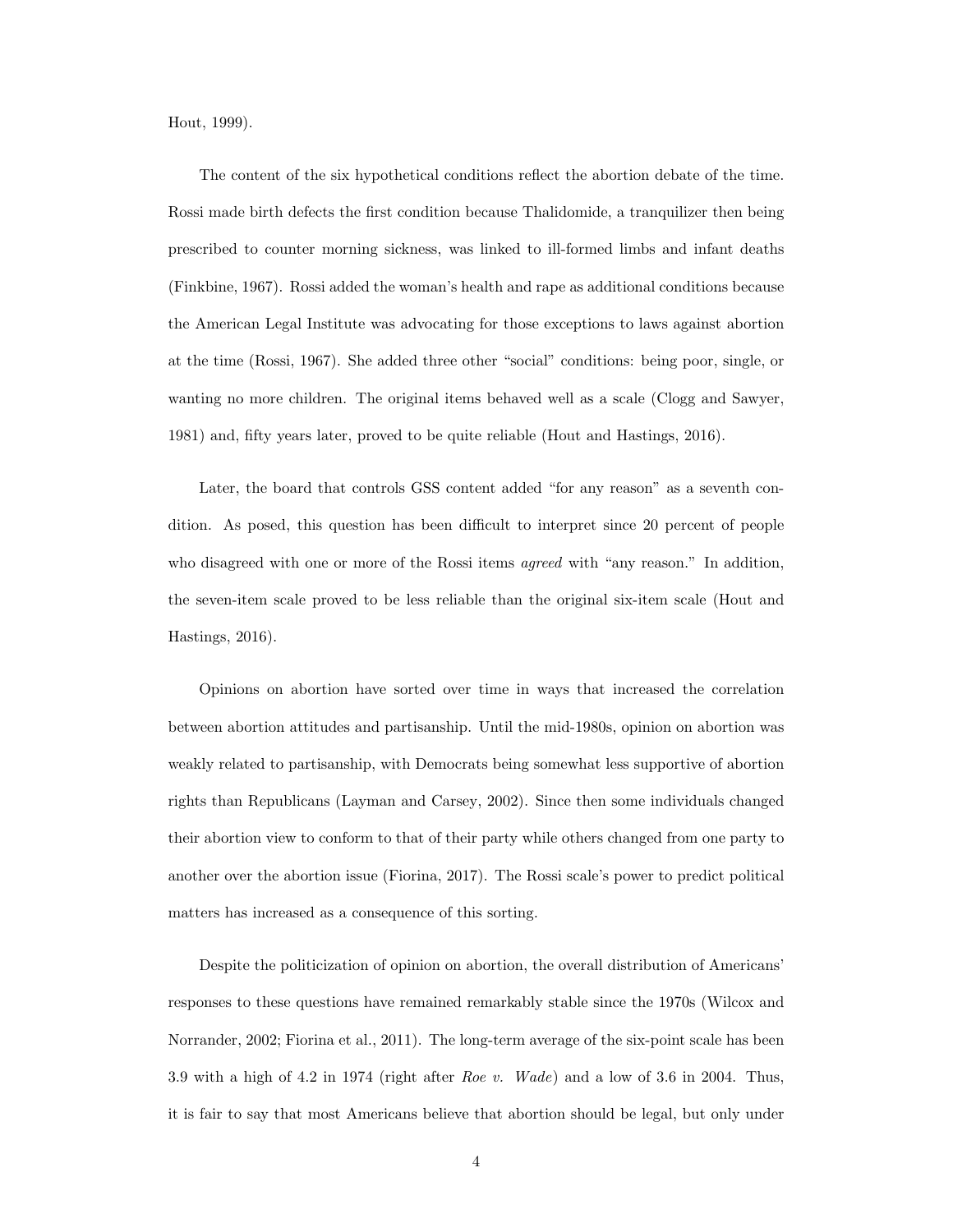[Hout,](#page-45-3) [1999\)](#page-45-3).

The content of the six hypothetical conditions reflect the abortion debate of the time. Rossi made birth defects the first condition because Thalidomide, a tranquilizer then being prescribed to counter morning sickness, was linked to ill-formed limbs and infant deaths [\(Finkbine,](#page-45-4) [1967\)](#page-45-4). Rossi added the woman's health and rape as additional conditions because the American Legal Institute was advocating for those exceptions to laws against abortion at the time [\(Rossi,](#page-46-3) [1967\)](#page-46-3). She added three other "social" conditions: being poor, single, or wanting no more children. The original items behaved well as a scale [\(Clogg and Sawyer,](#page-45-2) [1981\)](#page-45-2) and, fifty years later, proved to be quite reliable [\(Hout and Hastings,](#page-45-5) [2016\)](#page-45-5).

Later, the board that controls GSS content added "for any reason" as a seventh condition. As posed, this question has been difficult to interpret since 20 percent of people who disagreed with one or more of the Rossi items *agreed* with "any reason." In addition, the seven-item scale proved to be less reliable than the original six-item scale [\(Hout and](#page-45-5) [Hastings,](#page-45-5) [2016\)](#page-45-5).

Opinions on abortion have sorted over time in ways that increased the correlation between abortion attitudes and partisanship. Until the mid-1980s, opinion on abortion was weakly related to partisanship, with Democrats being somewhat less supportive of abortion rights than Republicans [\(Layman and Carsey,](#page-45-6) [2002\)](#page-45-6). Since then some individuals changed their abortion view to conform to that of their party while others changed from one party to another over the abortion issue [\(Fiorina,](#page-45-7) [2017\)](#page-45-7). The Rossi scale's power to predict political matters has increased as a consequence of this sorting.

Despite the politicization of opinion on abortion, the overall distribution of Americans' responses to these questions have remained remarkably stable since the 1970s [\(Wilcox and](#page-46-4) [Norrander,](#page-46-4) [2002;](#page-46-4) [Fiorina et al.,](#page-45-8) [2011\)](#page-45-8). The long-term average of the six-point scale has been 3.9 with a high of 4.2 in 1974 (right after Roe v. Wade) and a low of 3.6 in 2004. Thus, it is fair to say that most Americans believe that abortion should be legal, but only under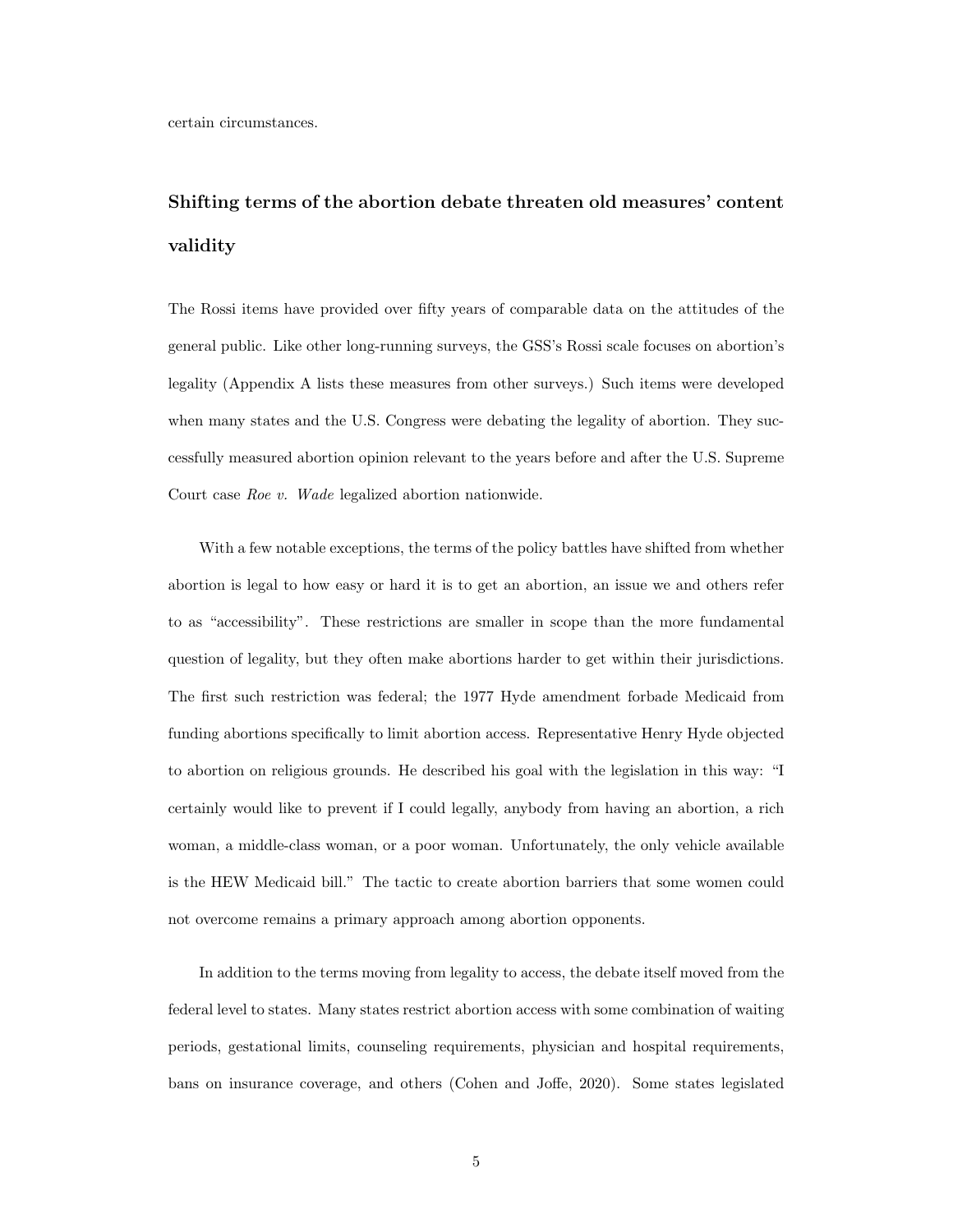## Shifting terms of the abortion debate threaten old measures' content validity

The Rossi items have provided over fifty years of comparable data on the attitudes of the general public. Like other long-running surveys, the GSS's Rossi scale focuses on abortion's legality (Appendix A lists these measures from other surveys.) Such items were developed when many states and the U.S. Congress were debating the legality of abortion. They successfully measured abortion opinion relevant to the years before and after the U.S. Supreme Court case Roe v. Wade legalized abortion nationwide.

With a few notable exceptions, the terms of the policy battles have shifted from whether abortion is legal to how easy or hard it is to get an abortion, an issue we and others refer to as "accessibility". These restrictions are smaller in scope than the more fundamental question of legality, but they often make abortions harder to get within their jurisdictions. The first such restriction was federal; the 1977 Hyde amendment forbade Medicaid from funding abortions specifically to limit abortion access. Representative Henry Hyde objected to abortion on religious grounds. He described his goal with the legislation in this way: "I certainly would like to prevent if I could legally, anybody from having an abortion, a rich woman, a middle-class woman, or a poor woman. Unfortunately, the only vehicle available is the HEW Medicaid bill." The tactic to create abortion barriers that some women could not overcome remains a primary approach among abortion opponents.

In addition to the terms moving from legality to access, the debate itself moved from the federal level to states. Many states restrict abortion access with some combination of waiting periods, gestational limits, counseling requirements, physician and hospital requirements, bans on insurance coverage, and others [\(Cohen and Joffe,](#page-45-9) [2020\)](#page-45-9). Some states legislated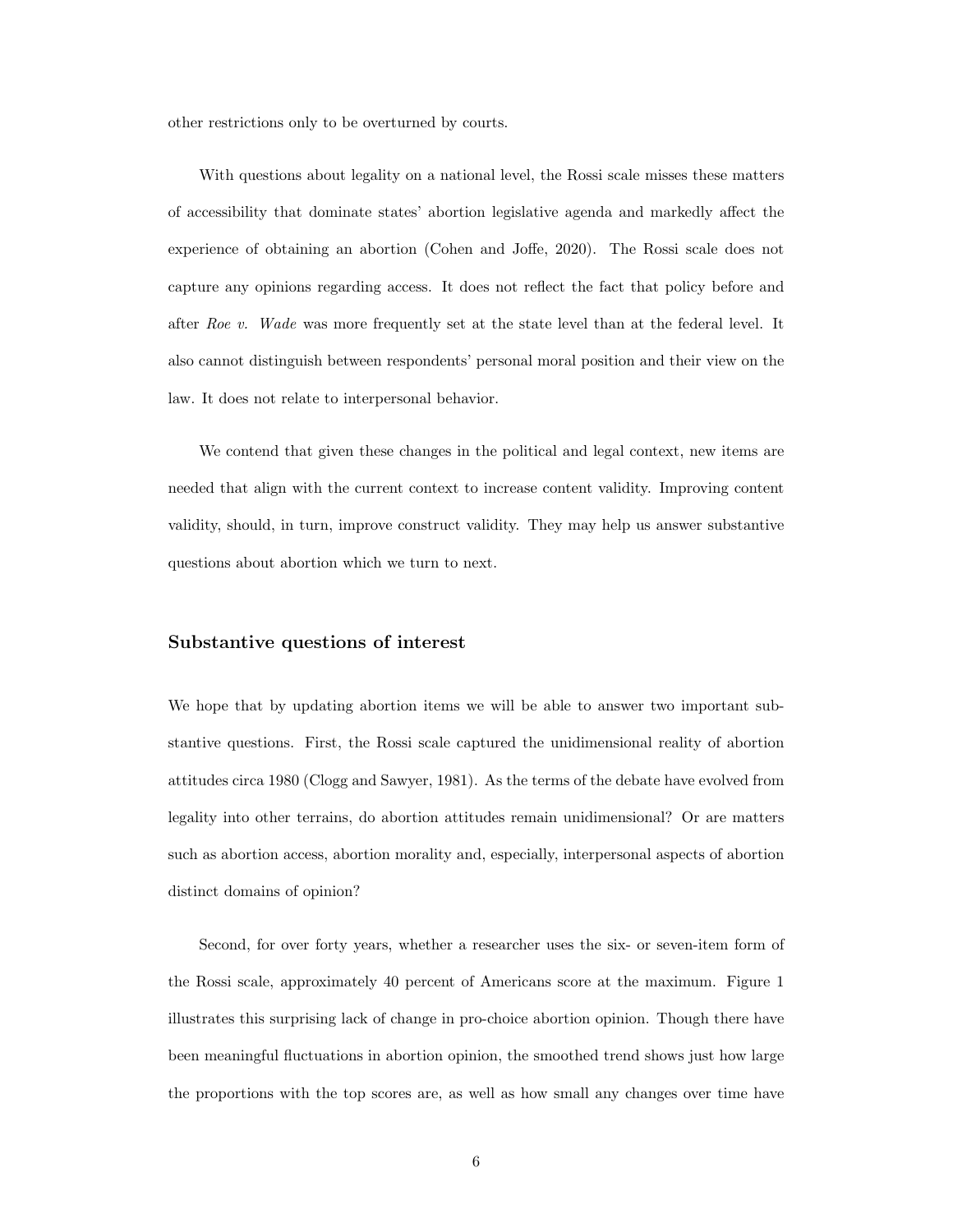other restrictions only to be overturned by courts.

With questions about legality on a national level, the Rossi scale misses these matters of accessibility that dominate states' abortion legislative agenda and markedly affect the experience of obtaining an abortion [\(Cohen and Joffe,](#page-45-9) [2020\)](#page-45-9). The Rossi scale does not capture any opinions regarding access. It does not reflect the fact that policy before and after Roe v. Wade was more frequently set at the state level than at the federal level. It also cannot distinguish between respondents' personal moral position and their view on the law. It does not relate to interpersonal behavior.

We contend that given these changes in the political and legal context, new items are needed that align with the current context to increase content validity. Improving content validity, should, in turn, improve construct validity. They may help us answer substantive questions about abortion which we turn to next.

#### Substantive questions of interest

We hope that by updating abortion items we will be able to answer two important substantive questions. First, the Rossi scale captured the unidimensional reality of abortion attitudes circa 1980 [\(Clogg and Sawyer,](#page-45-2) [1981\)](#page-45-2). As the terms of the debate have evolved from legality into other terrains, do abortion attitudes remain unidimensional? Or are matters such as abortion access, abortion morality and, especially, interpersonal aspects of abortion distinct domains of opinion?

Second, for over forty years, whether a researcher uses the six- or seven-item form of the Rossi scale, approximately 40 percent of Americans score at the maximum. Figure [1](#page-36-0) illustrates this surprising lack of change in pro-choice abortion opinion. Though there have been meaningful fluctuations in abortion opinion, the smoothed trend shows just how large the proportions with the top scores are, as well as how small any changes over time have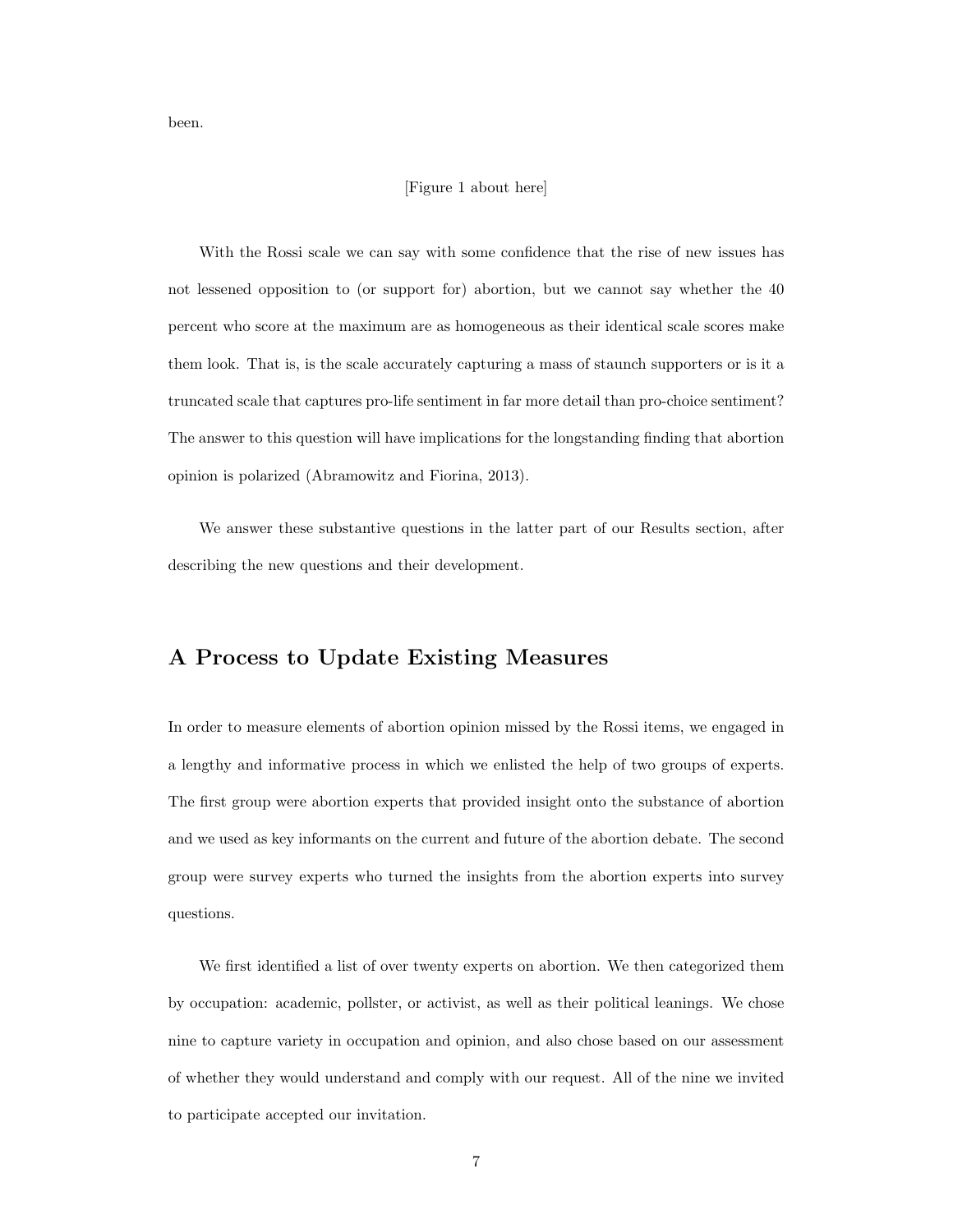been.

#### [Figure [1](#page-36-0) about here]

With the Rossi scale we can say with some confidence that the rise of new issues has not lessened opposition to (or support for) abortion, but we cannot say whether the 40 percent who score at the maximum are as homogeneous as their identical scale scores make them look. That is, is the scale accurately capturing a mass of staunch supporters or is it a truncated scale that captures pro-life sentiment in far more detail than pro-choice sentiment? The answer to this question will have implications for the longstanding finding that abortion opinion is polarized [\(Abramowitz and Fiorina,](#page-45-10) [2013\)](#page-45-10).

We answer these substantive questions in the latter part of our Results section, after describing the new questions and their development.

## A Process to Update Existing Measures

In order to measure elements of abortion opinion missed by the Rossi items, we engaged in a lengthy and informative process in which we enlisted the help of two groups of experts. The first group were abortion experts that provided insight onto the substance of abortion and we used as key informants on the current and future of the abortion debate. The second group were survey experts who turned the insights from the abortion experts into survey questions.

We first identified a list of over twenty experts on abortion. We then categorized them by occupation: academic, pollster, or activist, as well as their political leanings. We chose nine to capture variety in occupation and opinion, and also chose based on our assessment of whether they would understand and comply with our request. All of the nine we invited to participate accepted our invitation.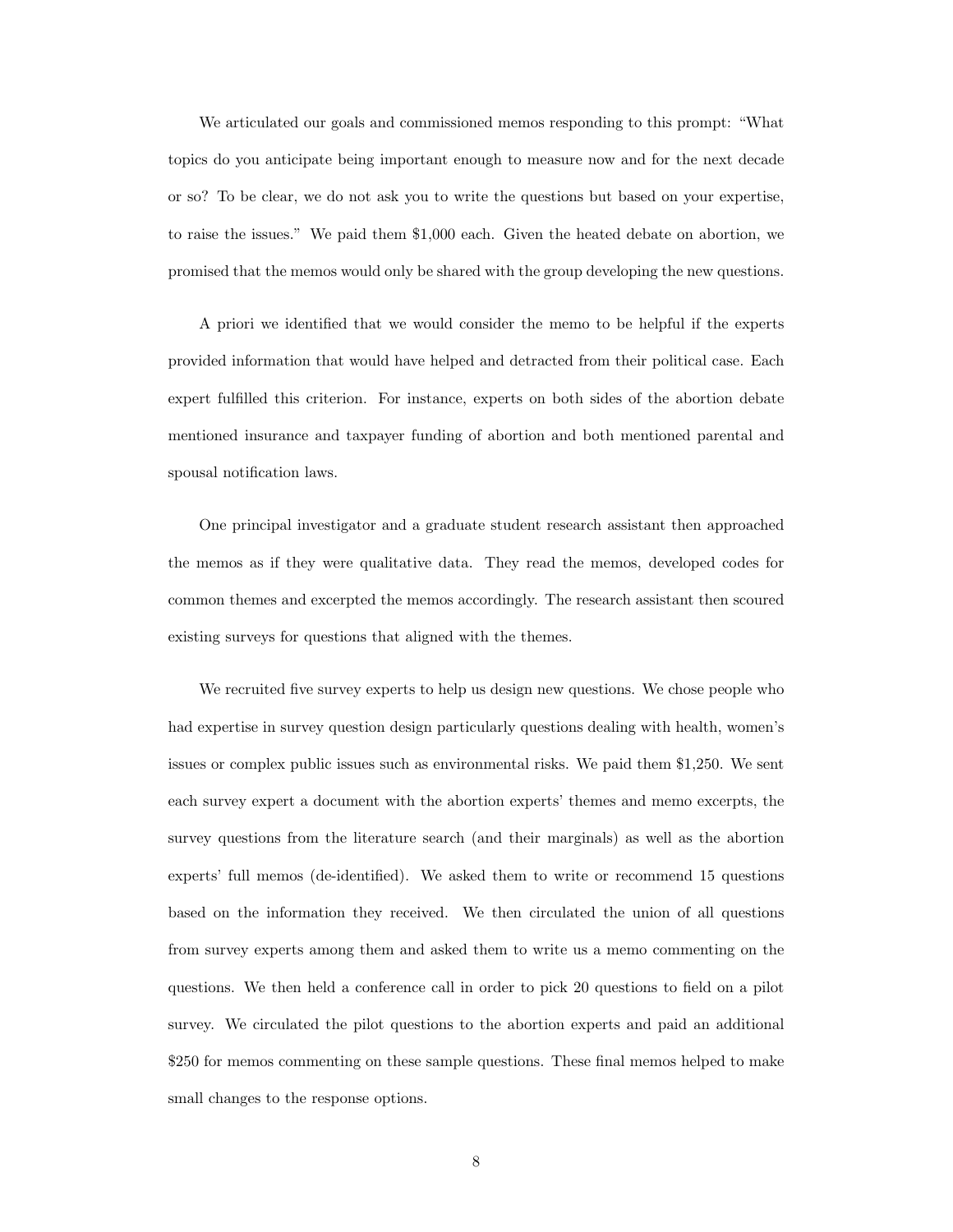We articulated our goals and commissioned memos responding to this prompt: "What topics do you anticipate being important enough to measure now and for the next decade or so? To be clear, we do not ask you to write the questions but based on your expertise, to raise the issues." We paid them \$1,000 each. Given the heated debate on abortion, we promised that the memos would only be shared with the group developing the new questions.

A priori we identified that we would consider the memo to be helpful if the experts provided information that would have helped and detracted from their political case. Each expert fulfilled this criterion. For instance, experts on both sides of the abortion debate mentioned insurance and taxpayer funding of abortion and both mentioned parental and spousal notification laws.

One principal investigator and a graduate student research assistant then approached the memos as if they were qualitative data. They read the memos, developed codes for common themes and excerpted the memos accordingly. The research assistant then scoured existing surveys for questions that aligned with the themes.

We recruited five survey experts to help us design new questions. We chose people who had expertise in survey question design particularly questions dealing with health, women's issues or complex public issues such as environmental risks. We paid them \$1,250. We sent each survey expert a document with the abortion experts' themes and memo excerpts, the survey questions from the literature search (and their marginals) as well as the abortion experts' full memos (de-identified). We asked them to write or recommend 15 questions based on the information they received. We then circulated the union of all questions from survey experts among them and asked them to write us a memo commenting on the questions. We then held a conference call in order to pick 20 questions to field on a pilot survey. We circulated the pilot questions to the abortion experts and paid an additional \$250 for memos commenting on these sample questions. These final memos helped to make small changes to the response options.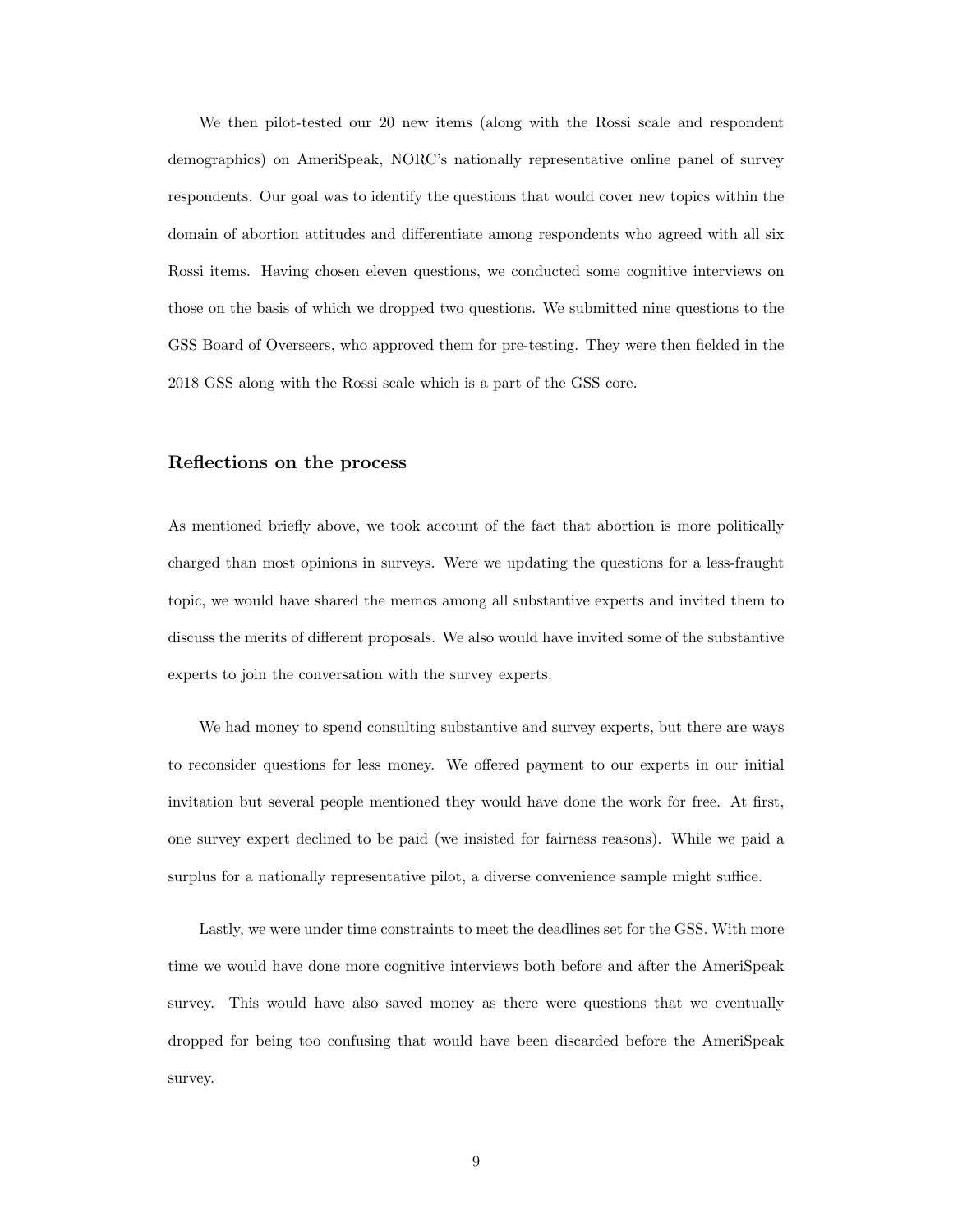We then pilot-tested our 20 new items (along with the Rossi scale and respondent demographics) on AmeriSpeak, NORC's nationally representative online panel of survey respondents. Our goal was to identify the questions that would cover new topics within the domain of abortion attitudes and differentiate among respondents who agreed with all six Rossi items. Having chosen eleven questions, we conducted some cognitive interviews on those on the basis of which we dropped two questions. We submitted nine questions to the GSS Board of Overseers, who approved them for pre-testing. They were then fielded in the 2018 GSS along with the Rossi scale which is a part of the GSS core.

#### Reflections on the process

As mentioned briefly above, we took account of the fact that abortion is more politically charged than most opinions in surveys. Were we updating the questions for a less-fraught topic, we would have shared the memos among all substantive experts and invited them to discuss the merits of different proposals. We also would have invited some of the substantive experts to join the conversation with the survey experts.

We had money to spend consulting substantive and survey experts, but there are ways to reconsider questions for less money. We offered payment to our experts in our initial invitation but several people mentioned they would have done the work for free. At first, one survey expert declined to be paid (we insisted for fairness reasons). While we paid a surplus for a nationally representative pilot, a diverse convenience sample might suffice.

Lastly, we were under time constraints to meet the deadlines set for the GSS. With more time we would have done more cognitive interviews both before and after the AmeriSpeak survey. This would have also saved money as there were questions that we eventually dropped for being too confusing that would have been discarded before the AmeriSpeak survey.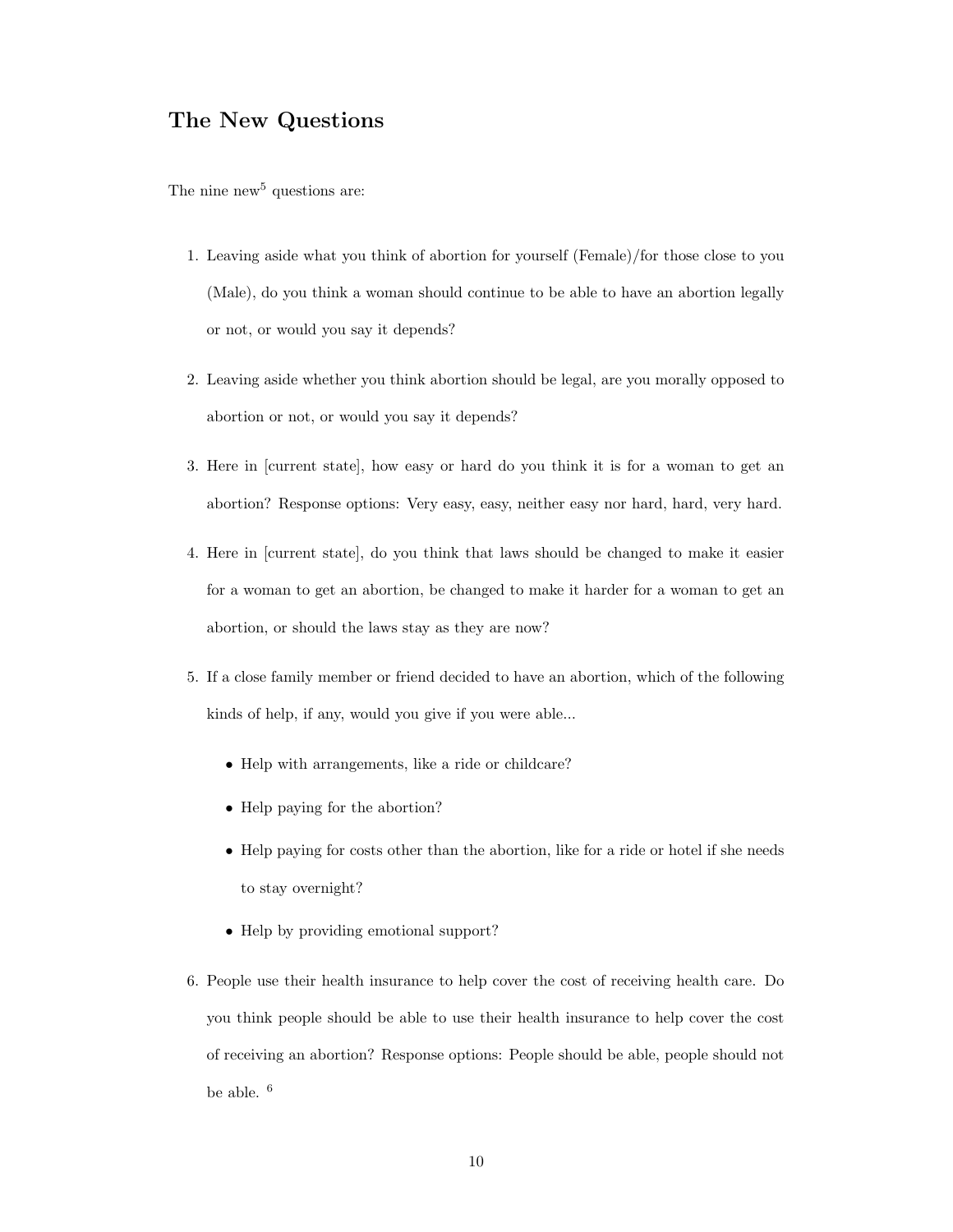## The New Questions

The nine new<sup>[5](#page-34-4)</sup> questions are:

- 1. Leaving aside what you think of abortion for yourself (Female)/for those close to you (Male), do you think a woman should continue to be able to have an abortion legally or not, or would you say it depends?
- 2. Leaving aside whether you think abortion should be legal, are you morally opposed to abortion or not, or would you say it depends?
- 3. Here in [current state], how easy or hard do you think it is for a woman to get an abortion? Response options: Very easy, easy, neither easy nor hard, hard, very hard.
- 4. Here in [current state], do you think that laws should be changed to make it easier for a woman to get an abortion, be changed to make it harder for a woman to get an abortion, or should the laws stay as they are now?
- 5. If a close family member or friend decided to have an abortion, which of the following kinds of help, if any, would you give if you were able...
	- Help with arrangements, like a ride or childcare?
	- Help paying for the abortion?
	- Help paying for costs other than the abortion, like for a ride or hotel if she needs to stay overnight?
	- Help by providing emotional support?
- 6. People use their health insurance to help cover the cost of receiving health care. Do you think people should be able to use their health insurance to help cover the cost of receiving an abortion? Response options: People should be able, people should not be able. [6](#page-34-5)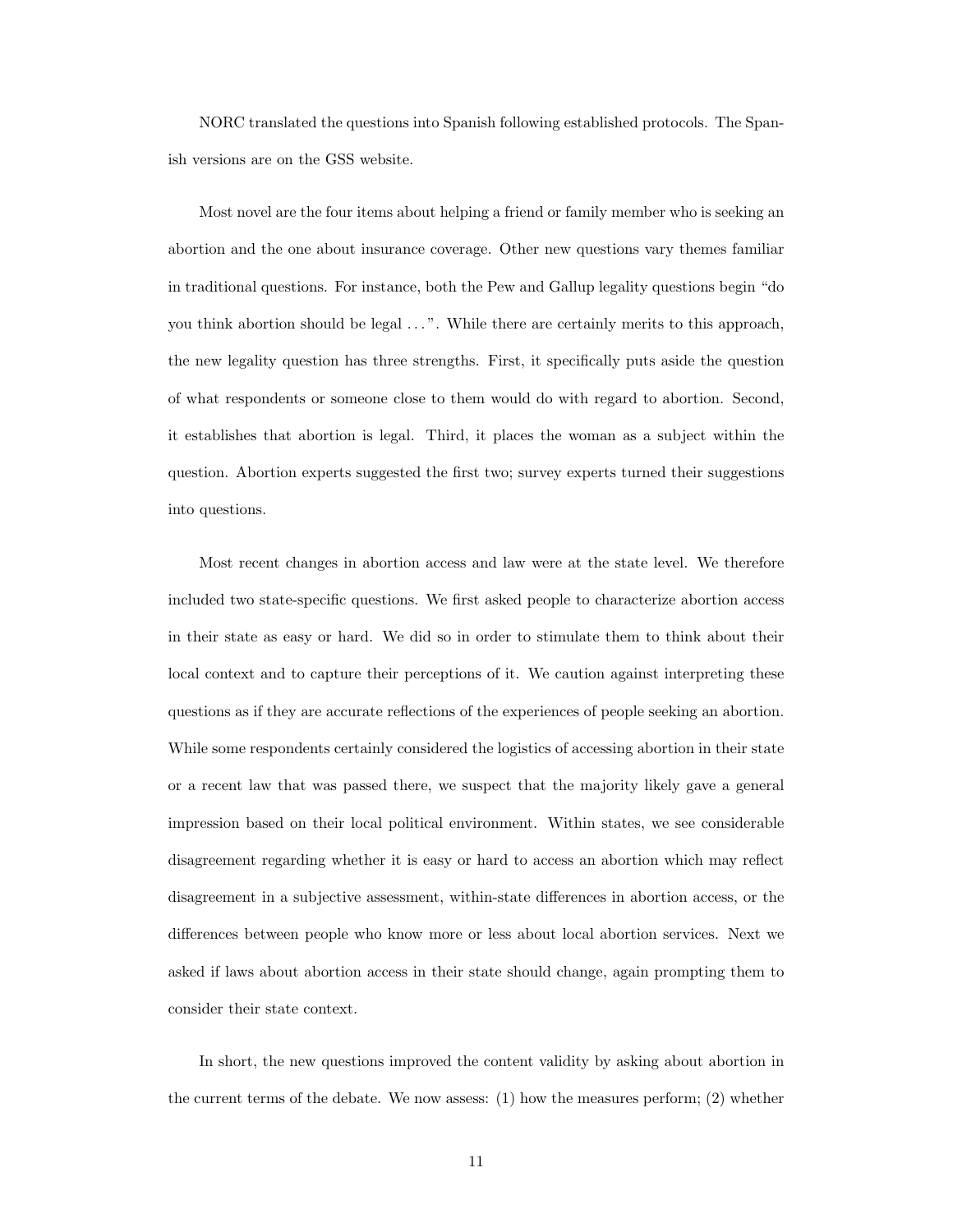NORC translated the questions into Spanish following established protocols. The Spanish versions are on the GSS website.

Most novel are the four items about helping a friend or family member who is seeking an abortion and the one about insurance coverage. Other new questions vary themes familiar in traditional questions. For instance, both the Pew and Gallup legality questions begin "do you think abortion should be legal ...". While there are certainly merits to this approach, the new legality question has three strengths. First, it specifically puts aside the question of what respondents or someone close to them would do with regard to abortion. Second, it establishes that abortion is legal. Third, it places the woman as a subject within the question. Abortion experts suggested the first two; survey experts turned their suggestions into questions.

Most recent changes in abortion access and law were at the state level. We therefore included two state-specific questions. We first asked people to characterize abortion access in their state as easy or hard. We did so in order to stimulate them to think about their local context and to capture their perceptions of it. We caution against interpreting these questions as if they are accurate reflections of the experiences of people seeking an abortion. While some respondents certainly considered the logistics of accessing abortion in their state or a recent law that was passed there, we suspect that the majority likely gave a general impression based on their local political environment. Within states, we see considerable disagreement regarding whether it is easy or hard to access an abortion which may reflect disagreement in a subjective assessment, within-state differences in abortion access, or the differences between people who know more or less about local abortion services. Next we asked if laws about abortion access in their state should change, again prompting them to consider their state context.

In short, the new questions improved the content validity by asking about abortion in the current terms of the debate. We now assess: (1) how the measures perform; (2) whether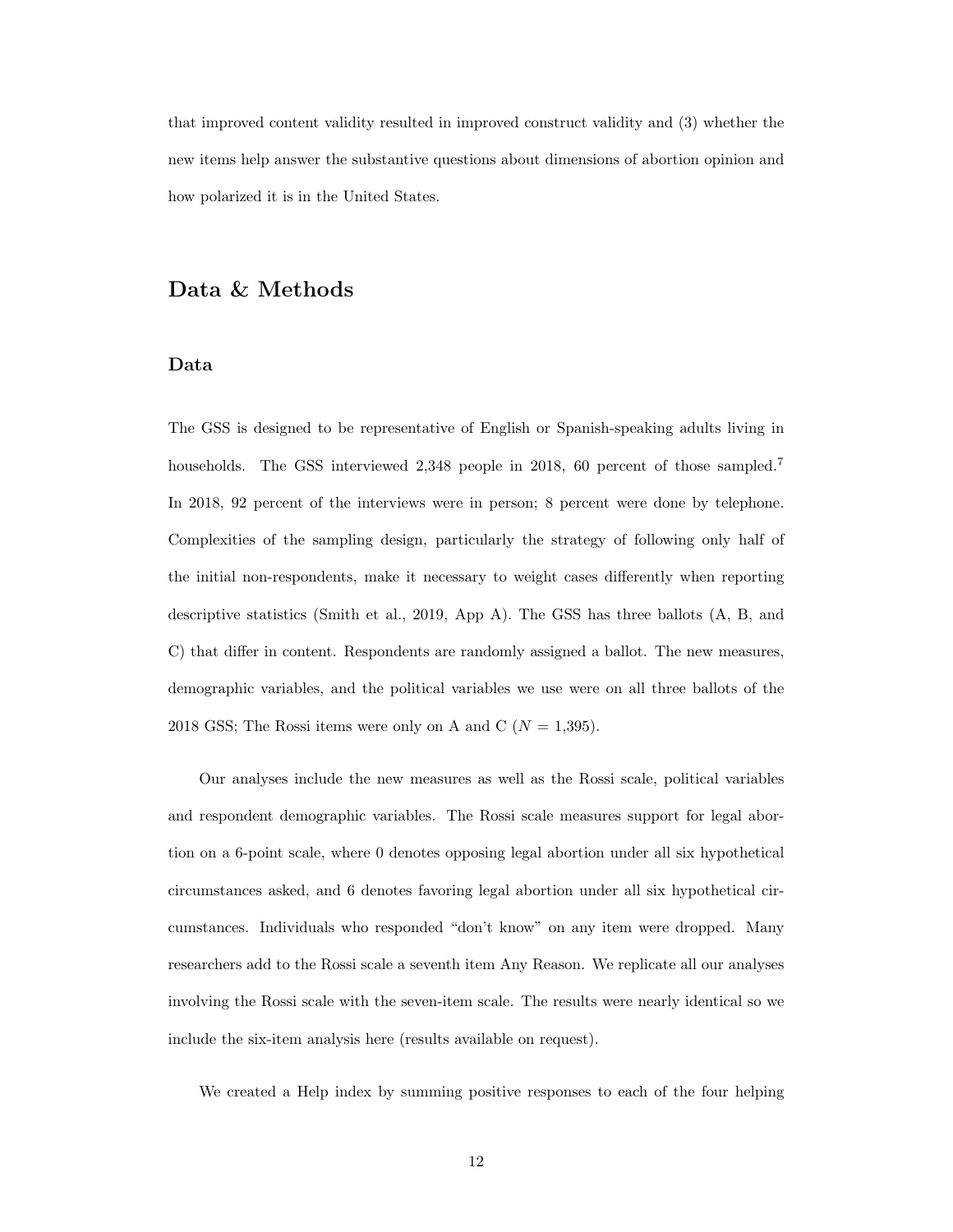that improved content validity resulted in improved construct validity and (3) whether the new items help answer the substantive questions about dimensions of abortion opinion and how polarized it is in the United States.

## Data & Methods

#### Data

The GSS is designed to be representative of English or Spanish-speaking adults living in households. The GSS interviewed 2,348 people in 2018, 60 percent of those sampled.<sup>[7](#page-34-6)</sup> In 2018, 92 percent of the interviews were in person; 8 percent were done by telephone. Complexities of the sampling design, particularly the strategy of following only half of the initial non-respondents, make it necessary to weight cases differently when reporting descriptive statistics [\(Smith et al.,](#page-46-5) [2019,](#page-46-5) App A). The GSS has three ballots (A, B, and C) that differ in content. Respondents are randomly assigned a ballot. The new measures, demographic variables, and the political variables we use were on all three ballots of the 2018 GSS; The Rossi items were only on A and C ( $N = 1,395$ ).

Our analyses include the new measures as well as the Rossi scale, political variables and respondent demographic variables. The Rossi scale measures support for legal abortion on a 6-point scale, where 0 denotes opposing legal abortion under all six hypothetical circumstances asked, and 6 denotes favoring legal abortion under all six hypothetical circumstances. Individuals who responded "don't know" on any item were dropped. Many researchers add to the Rossi scale a seventh item Any Reason. We replicate all our analyses involving the Rossi scale with the seven-item scale. The results were nearly identical so we include the six-item analysis here (results available on request).

We created a Help index by summing positive responses to each of the four helping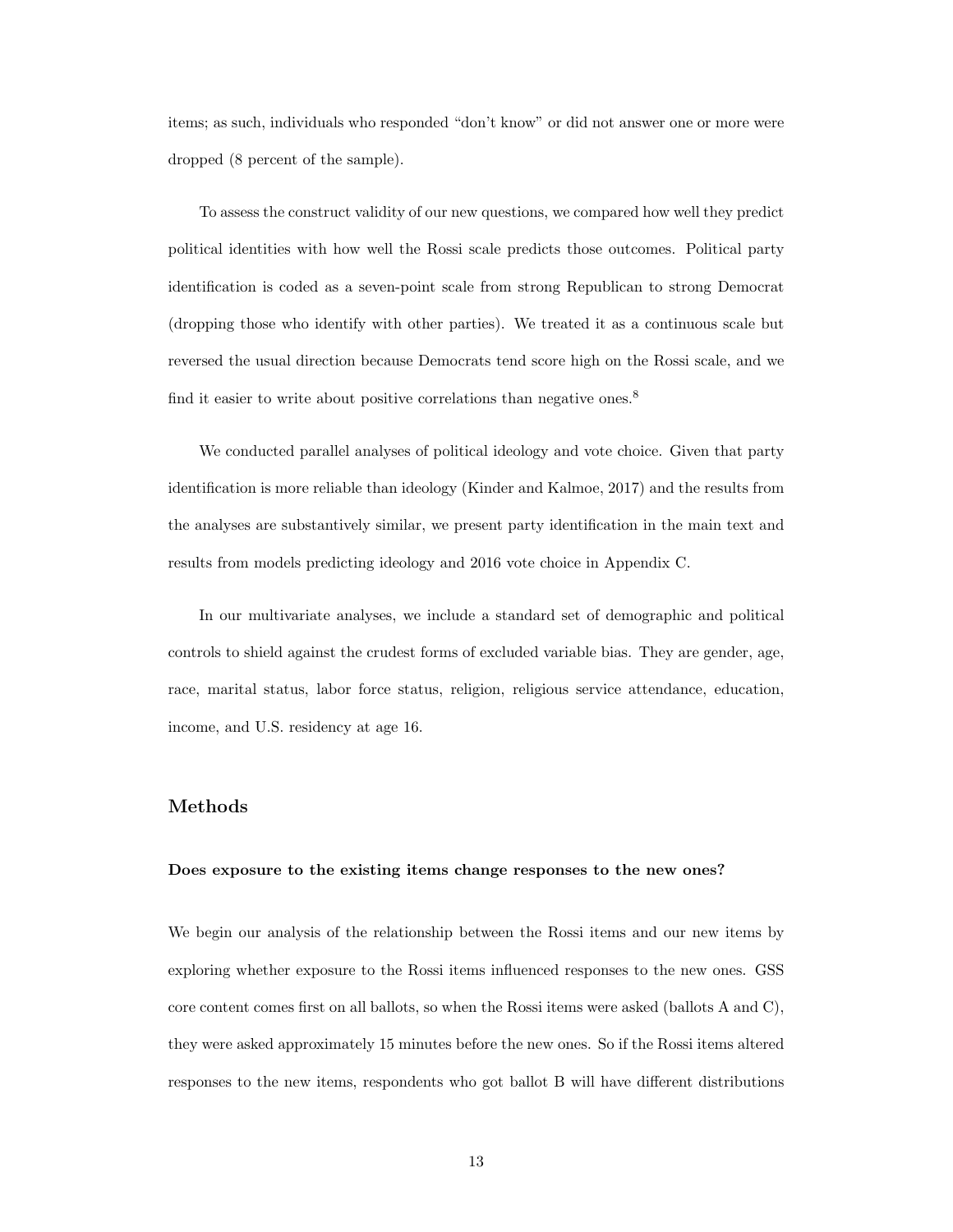items; as such, individuals who responded "don't know" or did not answer one or more were dropped (8 percent of the sample).

To assess the construct validity of our new questions, we compared how well they predict political identities with how well the Rossi scale predicts those outcomes. Political party identification is coded as a seven-point scale from strong Republican to strong Democrat (dropping those who identify with other parties). We treated it as a continuous scale but reversed the usual direction because Democrats tend score high on the Rossi scale, and we find it easier to write about positive correlations than negative ones.<sup>[8](#page-34-7)</sup>

We conducted parallel analyses of political ideology and vote choice. Given that party identification is more reliable than ideology [\(Kinder and Kalmoe,](#page-45-11) [2017\)](#page-45-11) and the results from the analyses are substantively similar, we present party identification in the main text and results from models predicting ideology and 2016 vote choice in Appendix C.

In our multivariate analyses, we include a standard set of demographic and political controls to shield against the crudest forms of excluded variable bias. They are gender, age, race, marital status, labor force status, religion, religious service attendance, education, income, and U.S. residency at age 16.

#### Methods

#### Does exposure to the existing items change responses to the new ones?

We begin our analysis of the relationship between the Rossi items and our new items by exploring whether exposure to the Rossi items influenced responses to the new ones. GSS core content comes first on all ballots, so when the Rossi items were asked (ballots A and C), they were asked approximately 15 minutes before the new ones. So if the Rossi items altered responses to the new items, respondents who got ballot B will have different distributions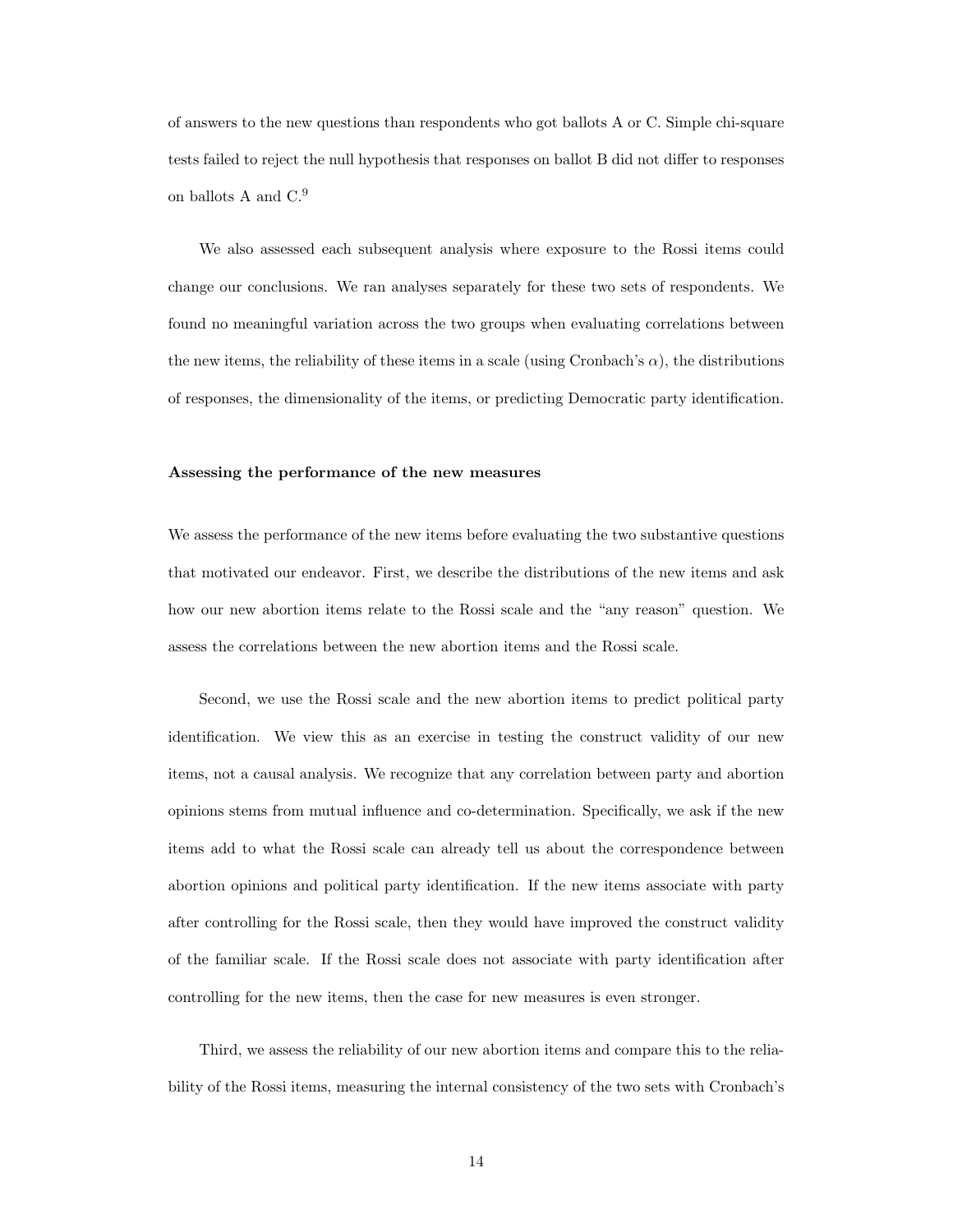of answers to the new questions than respondents who got ballots A or C. Simple chi-square tests failed to reject the null hypothesis that responses on ballot B did not differ to responses on ballots A and C.<sup>[9](#page-34-8)</sup>

We also assessed each subsequent analysis where exposure to the Rossi items could change our conclusions. We ran analyses separately for these two sets of respondents. We found no meaningful variation across the two groups when evaluating correlations between the new items, the reliability of these items in a scale (using Cronbach's  $\alpha$ ), the distributions of responses, the dimensionality of the items, or predicting Democratic party identification.

#### Assessing the performance of the new measures

We assess the performance of the new items before evaluating the two substantive questions that motivated our endeavor. First, we describe the distributions of the new items and ask how our new abortion items relate to the Rossi scale and the "any reason" question. We assess the correlations between the new abortion items and the Rossi scale.

Second, we use the Rossi scale and the new abortion items to predict political party identification. We view this as an exercise in testing the construct validity of our new items, not a causal analysis. We recognize that any correlation between party and abortion opinions stems from mutual influence and co-determination. Specifically, we ask if the new items add to what the Rossi scale can already tell us about the correspondence between abortion opinions and political party identification. If the new items associate with party after controlling for the Rossi scale, then they would have improved the construct validity of the familiar scale. If the Rossi scale does not associate with party identification after controlling for the new items, then the case for new measures is even stronger.

Third, we assess the reliability of our new abortion items and compare this to the reliability of the Rossi items, measuring the internal consistency of the two sets with Cronbach's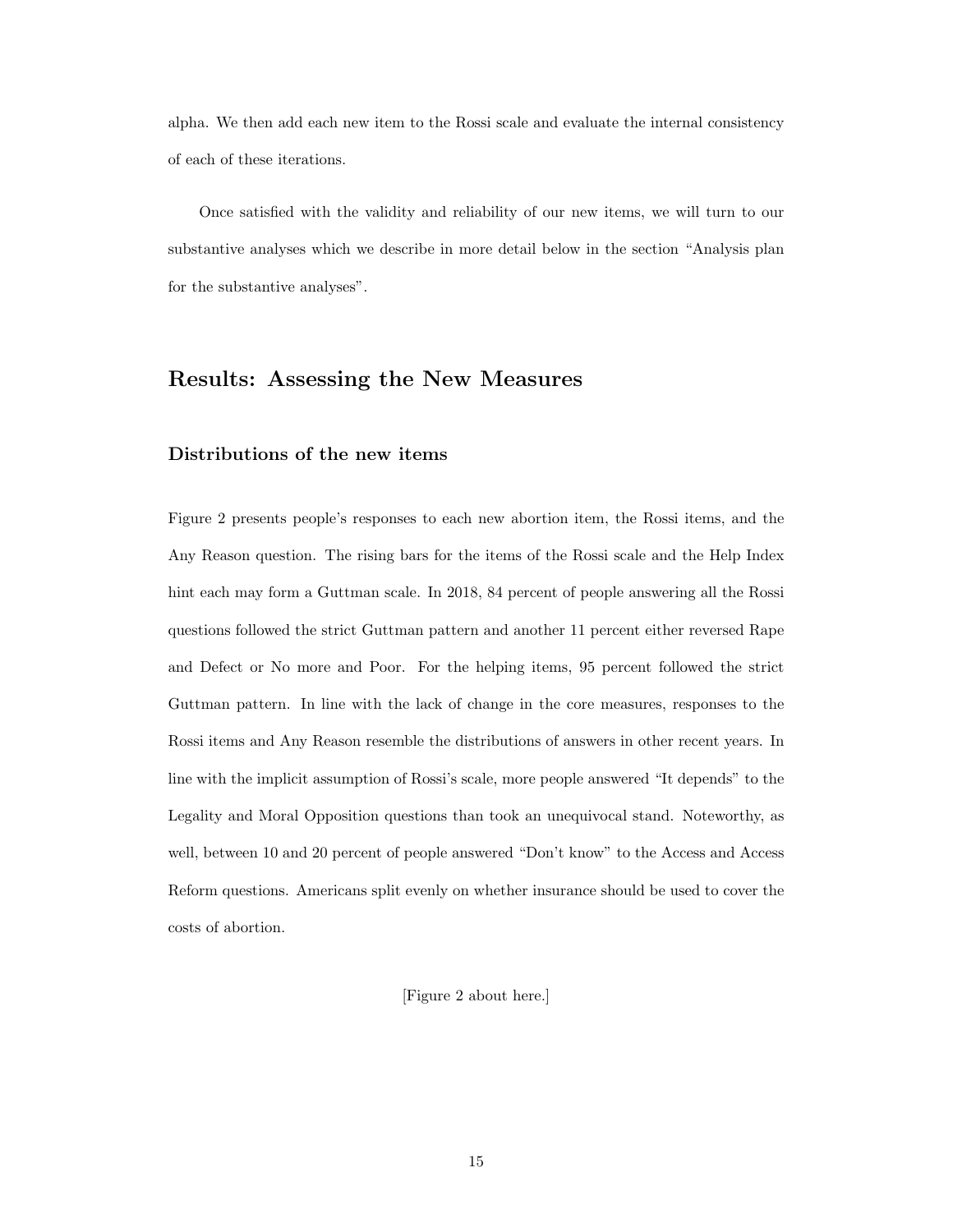alpha. We then add each new item to the Rossi scale and evaluate the internal consistency of each of these iterations.

Once satisfied with the validity and reliability of our new items, we will turn to our substantive analyses which we describe in more detail below in the section "Analysis plan for the substantive analyses".

## Results: Assessing the New Measures

#### Distributions of the new items

Figure [2](#page-37-0) presents people's responses to each new abortion item, the Rossi items, and the Any Reason question. The rising bars for the items of the Rossi scale and the Help Index hint each may form a Guttman scale. In 2018, 84 percent of people answering all the Rossi questions followed the strict Guttman pattern and another 11 percent either reversed Rape and Defect or No more and Poor. For the helping items, 95 percent followed the strict Guttman pattern. In line with the lack of change in the core measures, responses to the Rossi items and Any Reason resemble the distributions of answers in other recent years. In line with the implicit assumption of Rossi's scale, more people answered "It depends" to the Legality and Moral Opposition questions than took an unequivocal stand. Noteworthy, as well, between 10 and 20 percent of people answered "Don't know" to the Access and Access Reform questions. Americans split evenly on whether insurance should be used to cover the costs of abortion.

[Figure [2](#page-37-0) about here.]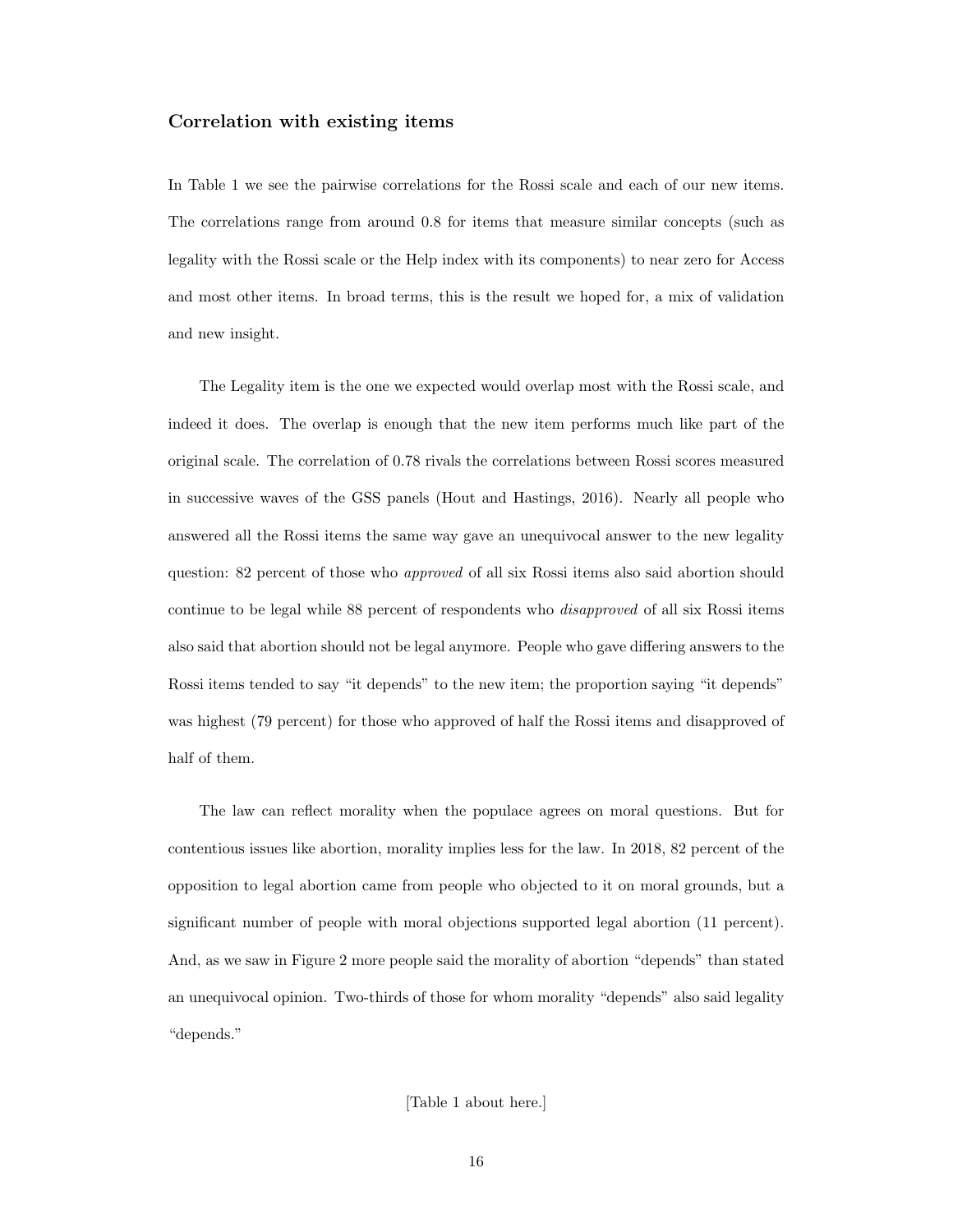#### Correlation with existing items

In Table 1 we see the pairwise correlations for the Rossi scale and each of our new items. The correlations range from around 0.8 for items that measure similar concepts (such as legality with the Rossi scale or the Help index with its components) to near zero for Access and most other items. In broad terms, this is the result we hoped for, a mix of validation and new insight.

The Legality item is the one we expected would overlap most with the Rossi scale, and indeed it does. The overlap is enough that the new item performs much like part of the original scale. The correlation of 0.78 rivals the correlations between Rossi scores measured in successive waves of the GSS panels [\(Hout and Hastings,](#page-45-5) [2016\)](#page-45-5). Nearly all people who answered all the Rossi items the same way gave an unequivocal answer to the new legality question: 82 percent of those who *approved* of all six Rossi items also said abortion should continue to be legal while 88 percent of respondents who disapproved of all six Rossi items also said that abortion should not be legal anymore. People who gave differing answers to the Rossi items tended to say "it depends" to the new item; the proportion saying "it depends" was highest (79 percent) for those who approved of half the Rossi items and disapproved of half of them.

The law can reflect morality when the populace agrees on moral questions. But for contentious issues like abortion, morality implies less for the law. In 2018, 82 percent of the opposition to legal abortion came from people who objected to it on moral grounds, but a significant number of people with moral objections supported legal abortion (11 percent). And, as we saw in Figure [2](#page-37-0) more people said the morality of abortion "depends" than stated an unequivocal opinion. Two-thirds of those for whom morality "depends" also said legality "depends."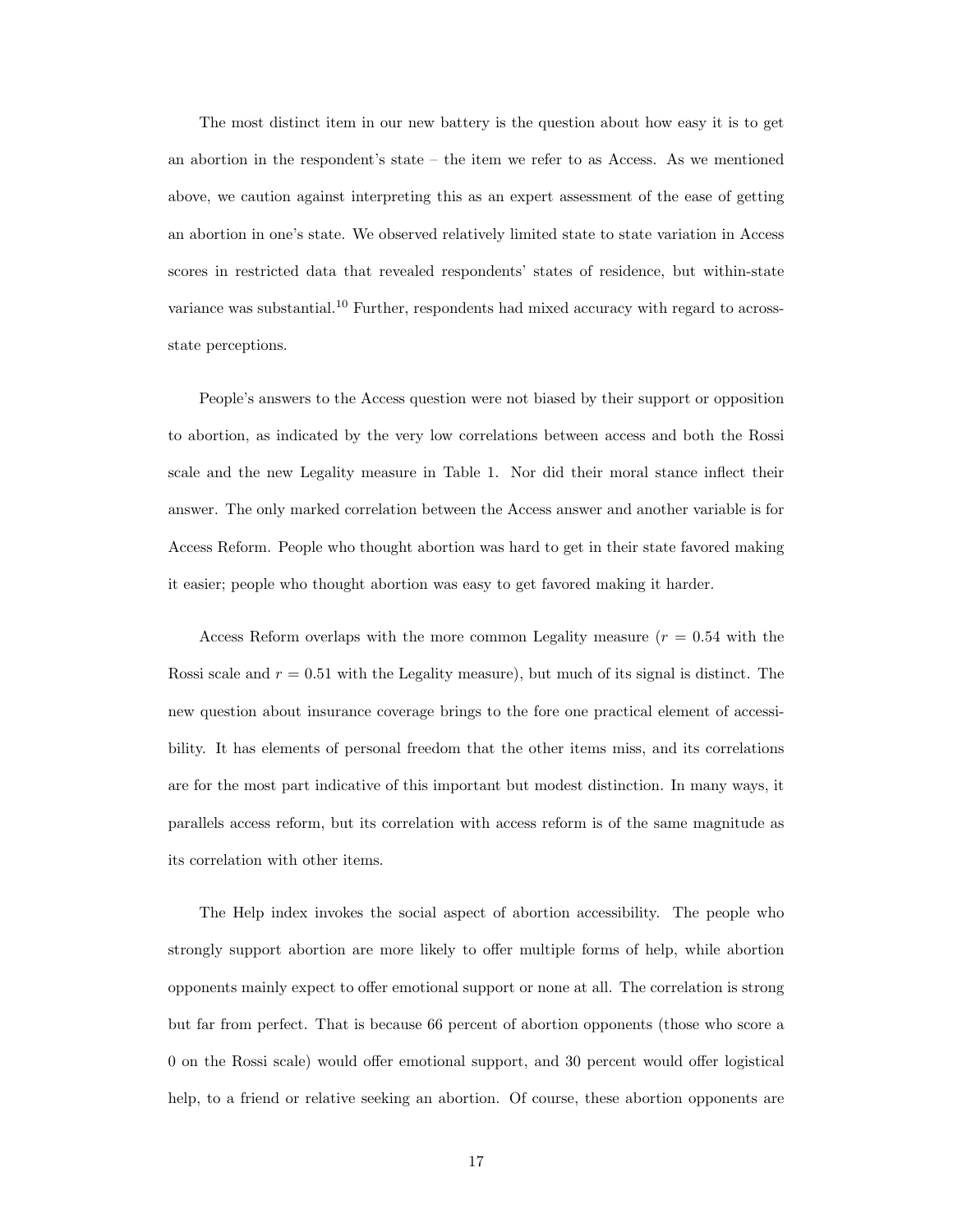The most distinct item in our new battery is the question about how easy it is to get an abortion in the respondent's state – the item we refer to as Access. As we mentioned above, we caution against interpreting this as an expert assessment of the ease of getting an abortion in one's state. We observed relatively limited state to state variation in Access scores in restricted data that revealed respondents' states of residence, but within-state variance was substantial.<sup>[10](#page-34-9)</sup> Further, respondents had mixed accuracy with regard to acrossstate perceptions.

People's answers to the Access question were not biased by their support or opposition to abortion, as indicated by the very low correlations between access and both the Rossi scale and the new Legality measure in Table 1. Nor did their moral stance inflect their answer. The only marked correlation between the Access answer and another variable is for Access Reform. People who thought abortion was hard to get in their state favored making it easier; people who thought abortion was easy to get favored making it harder.

Access Reform overlaps with the more common Legality measure  $(r = 0.54$  with the Rossi scale and  $r = 0.51$  with the Legality measure), but much of its signal is distinct. The new question about insurance coverage brings to the fore one practical element of accessibility. It has elements of personal freedom that the other items miss, and its correlations are for the most part indicative of this important but modest distinction. In many ways, it parallels access reform, but its correlation with access reform is of the same magnitude as its correlation with other items.

The Help index invokes the social aspect of abortion accessibility. The people who strongly support abortion are more likely to offer multiple forms of help, while abortion opponents mainly expect to offer emotional support or none at all. The correlation is strong but far from perfect. That is because 66 percent of abortion opponents (those who score a 0 on the Rossi scale) would offer emotional support, and 30 percent would offer logistical help, to a friend or relative seeking an abortion. Of course, these abortion opponents are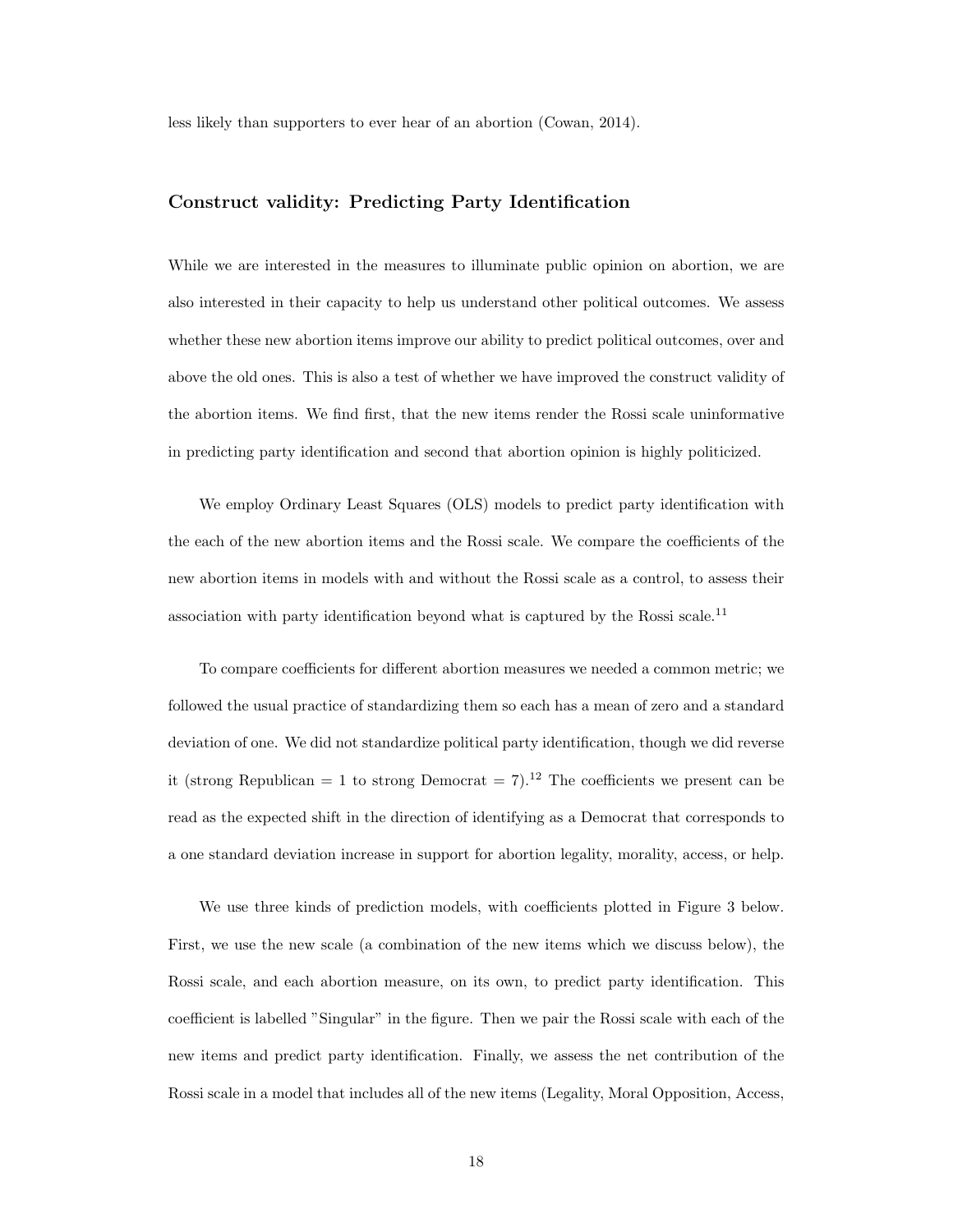less likely than supporters to ever hear of an abortion [\(Cowan,](#page-45-12) [2014\)](#page-45-12).

#### Construct validity: Predicting Party Identification

While we are interested in the measures to illuminate public opinion on abortion, we are also interested in their capacity to help us understand other political outcomes. We assess whether these new abortion items improve our ability to predict political outcomes, over and above the old ones. This is also a test of whether we have improved the construct validity of the abortion items. We find first, that the new items render the Rossi scale uninformative in predicting party identification and second that abortion opinion is highly politicized.

We employ Ordinary Least Squares (OLS) models to predict party identification with the each of the new abortion items and the Rossi scale. We compare the coefficients of the new abortion items in models with and without the Rossi scale as a control, to assess their association with party identification beyond what is captured by the Rossi scale.<sup>[11](#page-34-10)</sup>

To compare coefficients for different abortion measures we needed a common metric; we followed the usual practice of standardizing them so each has a mean of zero and a standard deviation of one. We did not standardize political party identification, though we did reverse it (strong Republican = 1 to strong Democrat = 7).<sup>[12](#page-35-0)</sup> The coefficients we present can be read as the expected shift in the direction of identifying as a Democrat that corresponds to a one standard deviation increase in support for abortion legality, morality, access, or help.

We use three kinds of prediction models, with coefficients plotted in Figure [3](#page-39-0) below. First, we use the new scale (a combination of the new items which we discuss below), the Rossi scale, and each abortion measure, on its own, to predict party identification. This coefficient is labelled "Singular" in the figure. Then we pair the Rossi scale with each of the new items and predict party identification. Finally, we assess the net contribution of the Rossi scale in a model that includes all of the new items (Legality, Moral Opposition, Access,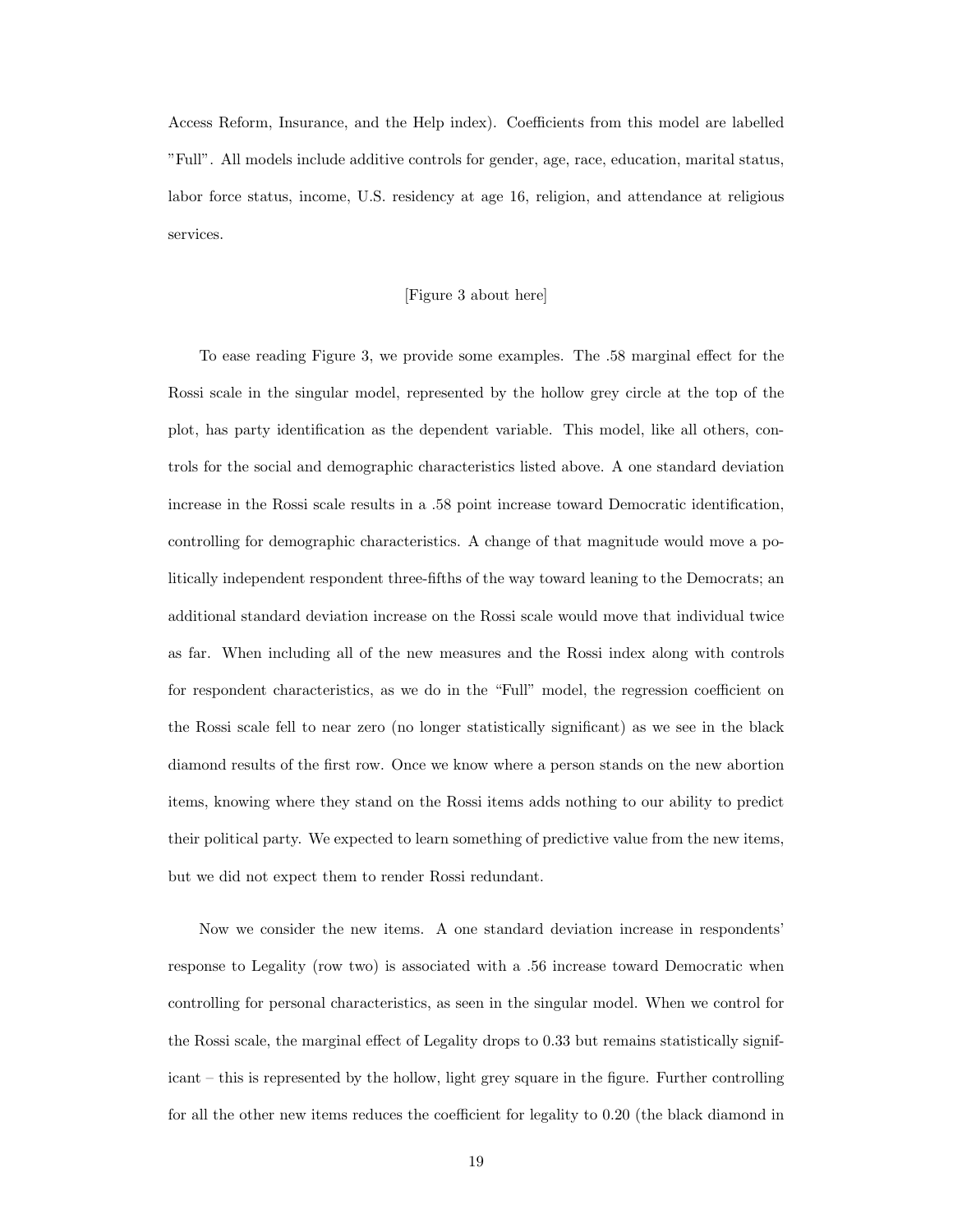Access Reform, Insurance, and the Help index). Coefficients from this model are labelled "Full". All models include additive controls for gender, age, race, education, marital status, labor force status, income, U.S. residency at age 16, religion, and attendance at religious services.

#### [Figure [3](#page-39-0) about here]

To ease reading Figure [3,](#page-39-0) we provide some examples. The .58 marginal effect for the Rossi scale in the singular model, represented by the hollow grey circle at the top of the plot, has party identification as the dependent variable. This model, like all others, controls for the social and demographic characteristics listed above. A one standard deviation increase in the Rossi scale results in a .58 point increase toward Democratic identification, controlling for demographic characteristics. A change of that magnitude would move a politically independent respondent three-fifths of the way toward leaning to the Democrats; an additional standard deviation increase on the Rossi scale would move that individual twice as far. When including all of the new measures and the Rossi index along with controls for respondent characteristics, as we do in the "Full" model, the regression coefficient on the Rossi scale fell to near zero (no longer statistically significant) as we see in the black diamond results of the first row. Once we know where a person stands on the new abortion items, knowing where they stand on the Rossi items adds nothing to our ability to predict their political party. We expected to learn something of predictive value from the new items, but we did not expect them to render Rossi redundant.

Now we consider the new items. A one standard deviation increase in respondents' response to Legality (row two) is associated with a .56 increase toward Democratic when controlling for personal characteristics, as seen in the singular model. When we control for the Rossi scale, the marginal effect of Legality drops to 0.33 but remains statistically significant – this is represented by the hollow, light grey square in the figure. Further controlling for all the other new items reduces the coefficient for legality to 0.20 (the black diamond in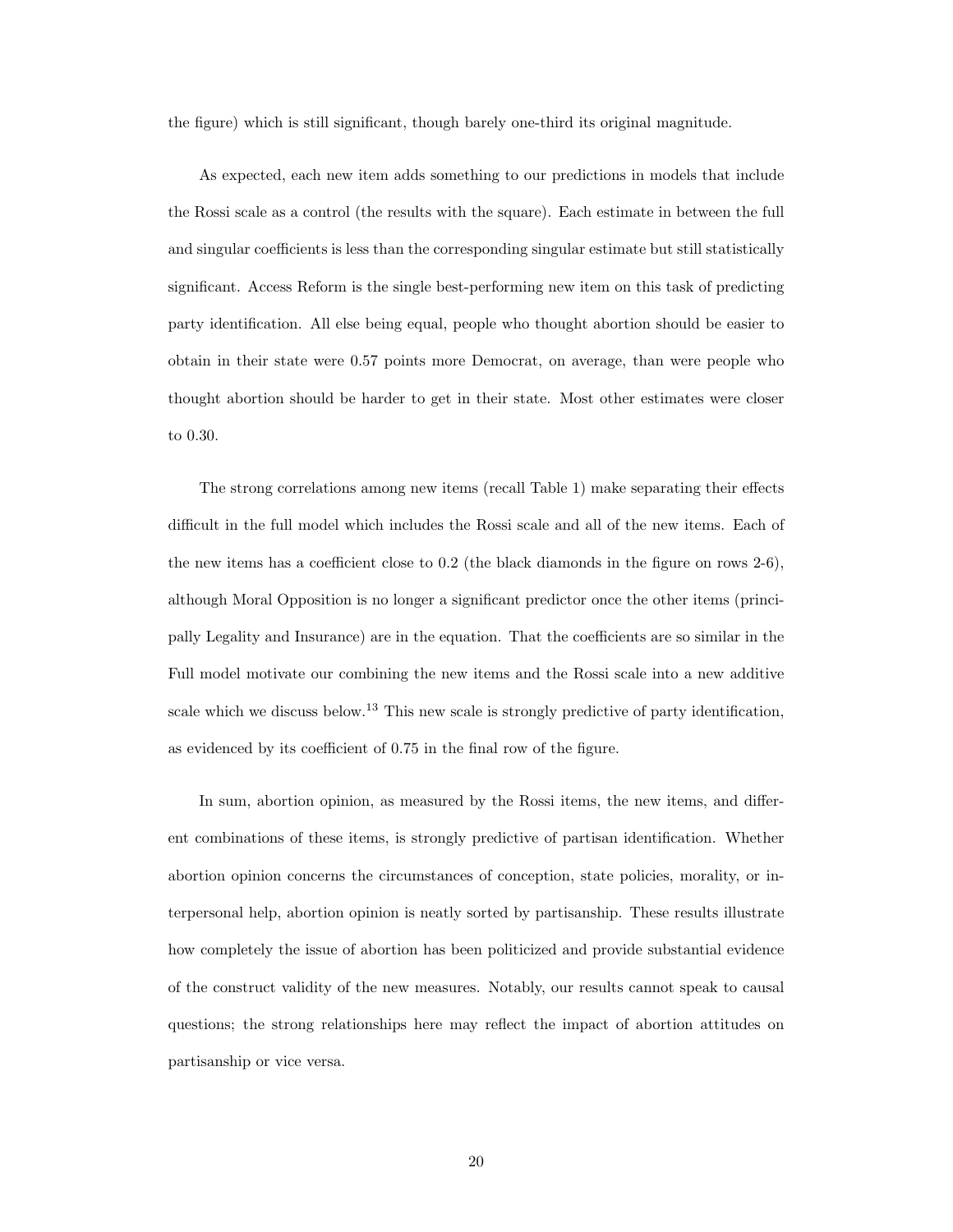the figure) which is still significant, though barely one-third its original magnitude.

As expected, each new item adds something to our predictions in models that include the Rossi scale as a control (the results with the square). Each estimate in between the full and singular coefficients is less than the corresponding singular estimate but still statistically significant. Access Reform is the single best-performing new item on this task of predicting party identification. All else being equal, people who thought abortion should be easier to obtain in their state were 0.57 points more Democrat, on average, than were people who thought abortion should be harder to get in their state. Most other estimates were closer to 0.30.

The strong correlations among new items (recall Table 1) make separating their effects difficult in the full model which includes the Rossi scale and all of the new items. Each of the new items has a coefficient close to 0.2 (the black diamonds in the figure on rows 2-6), although Moral Opposition is no longer a significant predictor once the other items (principally Legality and Insurance) are in the equation. That the coefficients are so similar in the Full model motivate our combining the new items and the Rossi scale into a new additive scale which we discuss below.<sup>[13](#page-35-1)</sup> This new scale is strongly predictive of party identification, as evidenced by its coefficient of 0.75 in the final row of the figure.

In sum, abortion opinion, as measured by the Rossi items, the new items, and different combinations of these items, is strongly predictive of partisan identification. Whether abortion opinion concerns the circumstances of conception, state policies, morality, or interpersonal help, abortion opinion is neatly sorted by partisanship. These results illustrate how completely the issue of abortion has been politicized and provide substantial evidence of the construct validity of the new measures. Notably, our results cannot speak to causal questions; the strong relationships here may reflect the impact of abortion attitudes on partisanship or vice versa.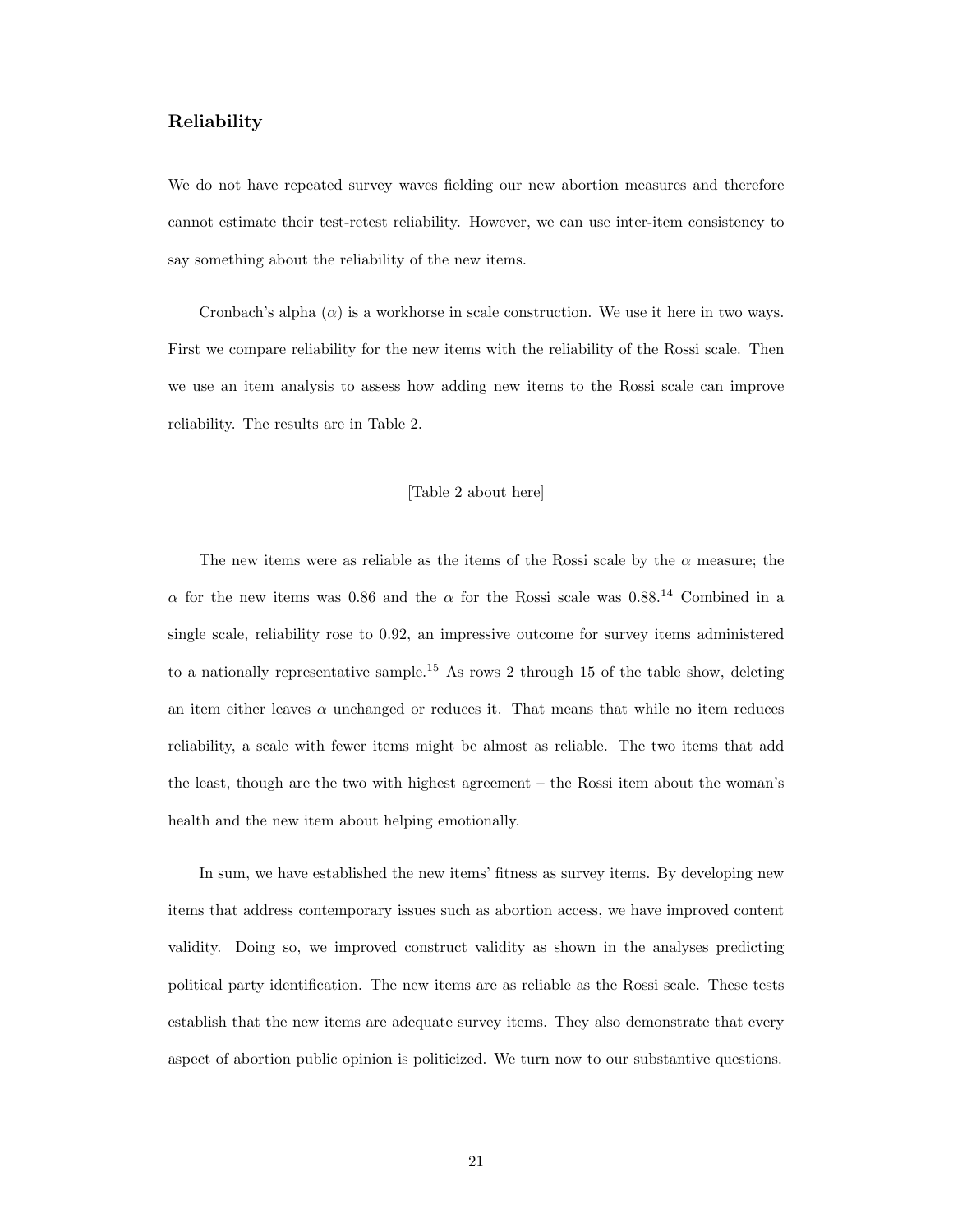#### Reliability

We do not have repeated survey waves fielding our new abortion measures and therefore cannot estimate their test-retest reliability. However, we can use inter-item consistency to say something about the reliability of the new items.

Cronbach's alpha  $(\alpha)$  is a workhorse in scale construction. We use it here in two ways. First we compare reliability for the new items with the reliability of the Rossi scale. Then we use an item analysis to assess how adding new items to the Rossi scale can improve reliability. The results are in Table 2.

#### [Table 2 about here]

The new items were as reliable as the items of the Rossi scale by the  $\alpha$  measure; the  $\alpha$  for the new items was 0.86 and the  $\alpha$  for the Rossi scale was 0.88.<sup>[14](#page-35-2)</sup> Combined in a single scale, reliability rose to 0.92, an impressive outcome for survey items administered to a nationally representative sample.<sup>[15](#page-35-3)</sup> As rows 2 through 15 of the table show, deleting an item either leaves  $\alpha$  unchanged or reduces it. That means that while no item reduces reliability, a scale with fewer items might be almost as reliable. The two items that add the least, though are the two with highest agreement – the Rossi item about the woman's health and the new item about helping emotionally.

In sum, we have established the new items' fitness as survey items. By developing new items that address contemporary issues such as abortion access, we have improved content validity. Doing so, we improved construct validity as shown in the analyses predicting political party identification. The new items are as reliable as the Rossi scale. These tests establish that the new items are adequate survey items. They also demonstrate that every aspect of abortion public opinion is politicized. We turn now to our substantive questions.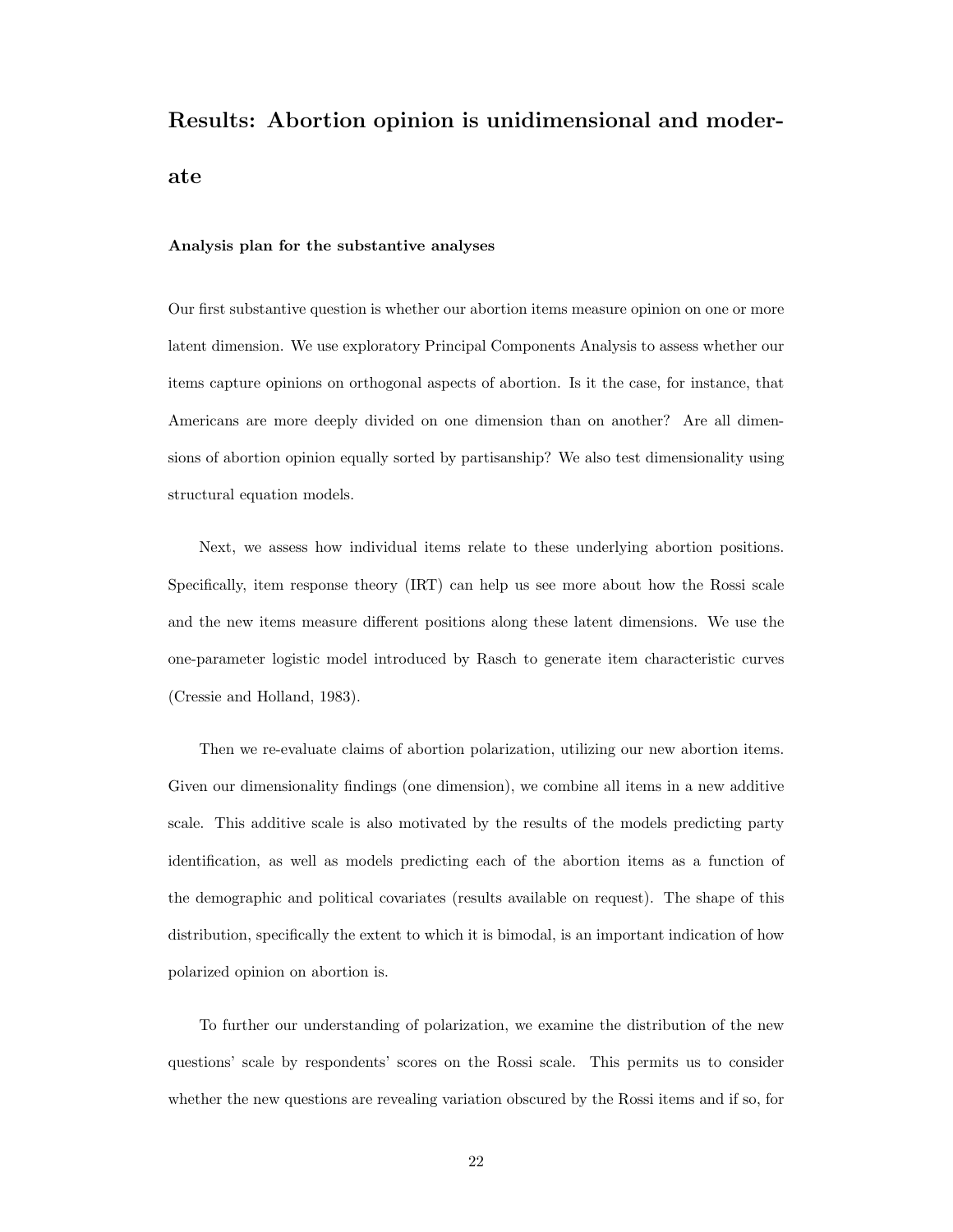# Results: Abortion opinion is unidimensional and moderate

#### Analysis plan for the substantive analyses

Our first substantive question is whether our abortion items measure opinion on one or more latent dimension. We use exploratory Principal Components Analysis to assess whether our items capture opinions on orthogonal aspects of abortion. Is it the case, for instance, that Americans are more deeply divided on one dimension than on another? Are all dimensions of abortion opinion equally sorted by partisanship? We also test dimensionality using structural equation models.

Next, we assess how individual items relate to these underlying abortion positions. Specifically, item response theory (IRT) can help us see more about how the Rossi scale and the new items measure different positions along these latent dimensions. We use the one-parameter logistic model introduced by Rasch to generate item characteristic curves [\(Cressie and Holland,](#page-45-13) [1983\)](#page-45-13).

Then we re-evaluate claims of abortion polarization, utilizing our new abortion items. Given our dimensionality findings (one dimension), we combine all items in a new additive scale. This additive scale is also motivated by the results of the models predicting party identification, as well as models predicting each of the abortion items as a function of the demographic and political covariates (results available on request). The shape of this distribution, specifically the extent to which it is bimodal, is an important indication of how polarized opinion on abortion is.

To further our understanding of polarization, we examine the distribution of the new questions' scale by respondents' scores on the Rossi scale. This permits us to consider whether the new questions are revealing variation obscured by the Rossi items and if so, for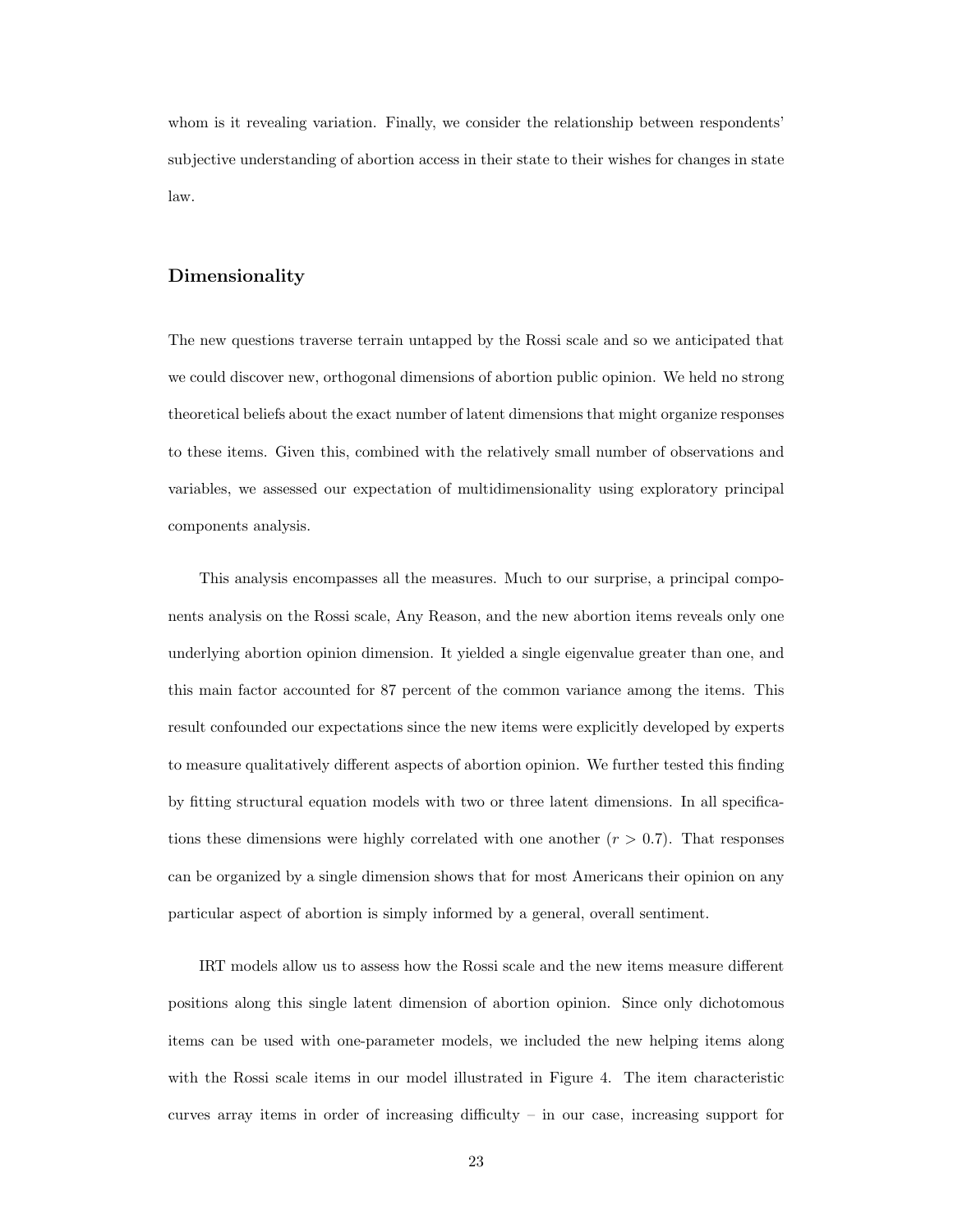whom is it revealing variation. Finally, we consider the relationship between respondents' subjective understanding of abortion access in their state to their wishes for changes in state law.

#### Dimensionality

The new questions traverse terrain untapped by the Rossi scale and so we anticipated that we could discover new, orthogonal dimensions of abortion public opinion. We held no strong theoretical beliefs about the exact number of latent dimensions that might organize responses to these items. Given this, combined with the relatively small number of observations and variables, we assessed our expectation of multidimensionality using exploratory principal components analysis.

This analysis encompasses all the measures. Much to our surprise, a principal components analysis on the Rossi scale, Any Reason, and the new abortion items reveals only one underlying abortion opinion dimension. It yielded a single eigenvalue greater than one, and this main factor accounted for 87 percent of the common variance among the items. This result confounded our expectations since the new items were explicitly developed by experts to measure qualitatively different aspects of abortion opinion. We further tested this finding by fitting structural equation models with two or three latent dimensions. In all specifications these dimensions were highly correlated with one another  $(r > 0.7)$ . That responses can be organized by a single dimension shows that for most Americans their opinion on any particular aspect of abortion is simply informed by a general, overall sentiment.

IRT models allow us to assess how the Rossi scale and the new items measure different positions along this single latent dimension of abortion opinion. Since only dichotomous items can be used with one-parameter models, we included the new helping items along with the Rossi scale items in our model illustrated in Figure [4.](#page-41-0) The item characteristic curves array items in order of increasing difficulty – in our case, increasing support for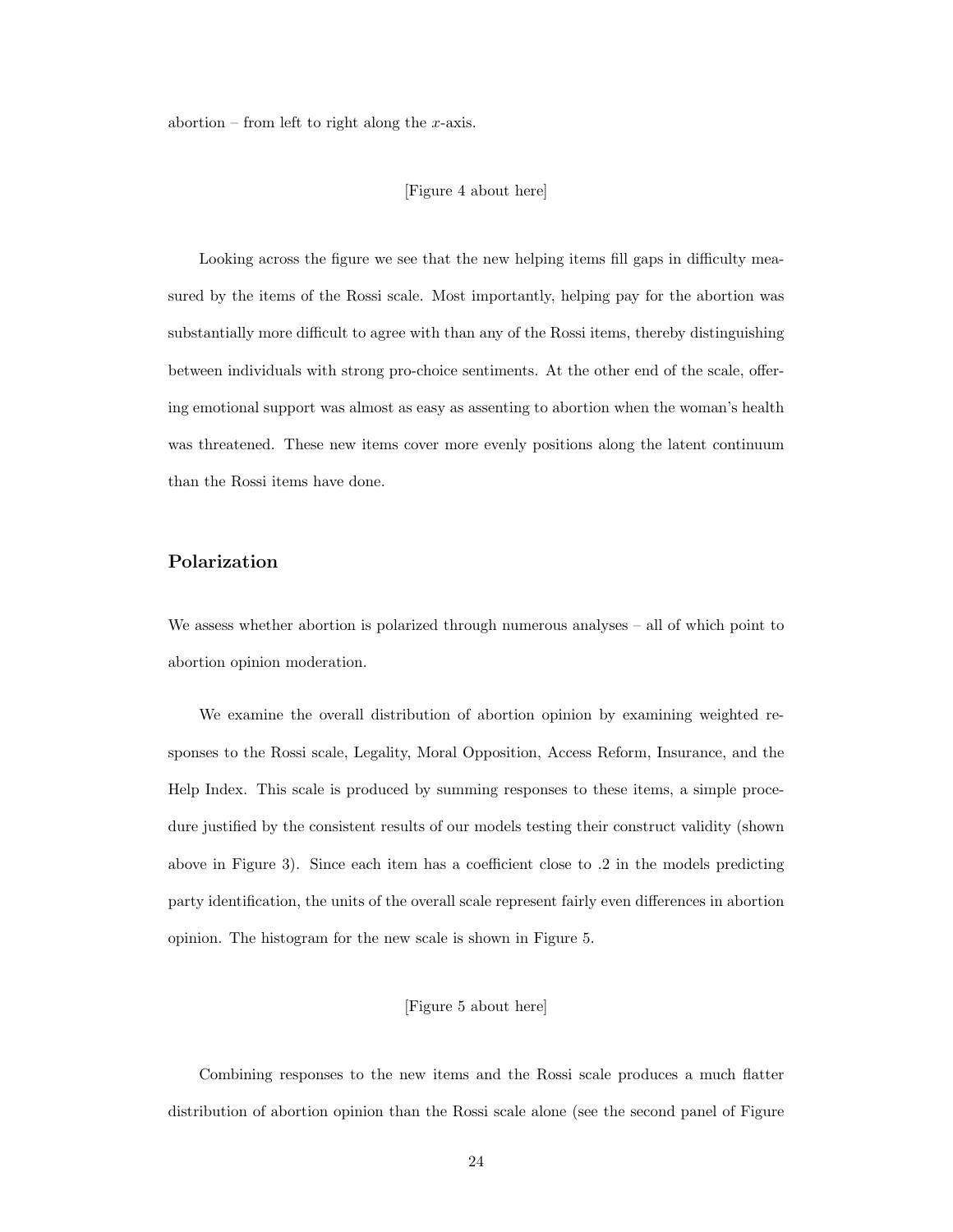abortion – from left to right along the x-axis.

#### [Figure [4](#page-41-0) about here]

Looking across the figure we see that the new helping items fill gaps in difficulty measured by the items of the Rossi scale. Most importantly, helping pay for the abortion was substantially more difficult to agree with than any of the Rossi items, thereby distinguishing between individuals with strong pro-choice sentiments. At the other end of the scale, offering emotional support was almost as easy as assenting to abortion when the woman's health was threatened. These new items cover more evenly positions along the latent continuum than the Rossi items have done.

#### Polarization

We assess whether abortion is polarized through numerous analyses – all of which point to abortion opinion moderation.

We examine the overall distribution of abortion opinion by examining weighted responses to the Rossi scale, Legality, Moral Opposition, Access Reform, Insurance, and the Help Index. This scale is produced by summing responses to these items, a simple procedure justified by the consistent results of our models testing their construct validity (shown above in Figure [3\)](#page-39-0). Since each item has a coefficient close to .2 in the models predicting party identification, the units of the overall scale represent fairly even differences in abortion opinion. The histogram for the new scale is shown in Figure [5.](#page-42-0)

#### [Figure [5](#page-42-0) about here]

Combining responses to the new items and the Rossi scale produces a much flatter distribution of abortion opinion than the Rossi scale alone (see the second panel of Figure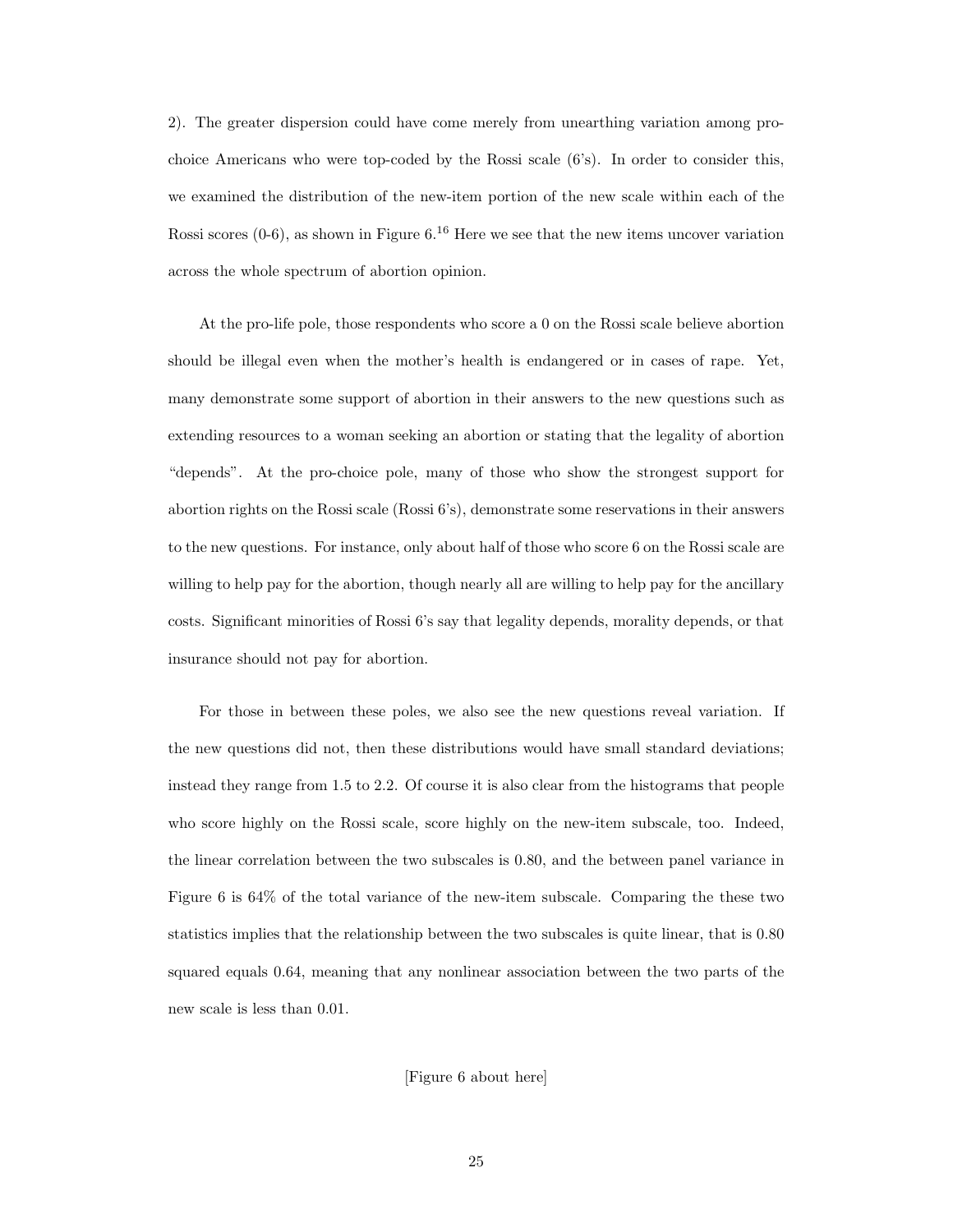[2\)](#page-37-0). The greater dispersion could have come merely from unearthing variation among prochoice Americans who were top-coded by the Rossi scale (6's). In order to consider this, we examined the distribution of the new-item portion of the new scale within each of the Rossi scores  $(0-6)$ , as shown in Figure [6.](#page-43-0)<sup>[16](#page-35-4)</sup> Here we see that the new items uncover variation across the whole spectrum of abortion opinion.

At the pro-life pole, those respondents who score a 0 on the Rossi scale believe abortion should be illegal even when the mother's health is endangered or in cases of rape. Yet, many demonstrate some support of abortion in their answers to the new questions such as extending resources to a woman seeking an abortion or stating that the legality of abortion "depends". At the pro-choice pole, many of those who show the strongest support for abortion rights on the Rossi scale (Rossi 6's), demonstrate some reservations in their answers to the new questions. For instance, only about half of those who score 6 on the Rossi scale are willing to help pay for the abortion, though nearly all are willing to help pay for the ancillary costs. Significant minorities of Rossi 6's say that legality depends, morality depends, or that insurance should not pay for abortion.

For those in between these poles, we also see the new questions reveal variation. If the new questions did not, then these distributions would have small standard deviations; instead they range from 1.5 to 2.2. Of course it is also clear from the histograms that people who score highly on the Rossi scale, score highly on the new-item subscale, too. Indeed, the linear correlation between the two subscales is 0.80, and the between panel variance in Figure [6](#page-43-0) is 64% of the total variance of the new-item subscale. Comparing the these two statistics implies that the relationship between the two subscales is quite linear, that is 0.80 squared equals 0.64, meaning that any nonlinear association between the two parts of the new scale is less than 0.01.

[Figure [6](#page-43-0) about here]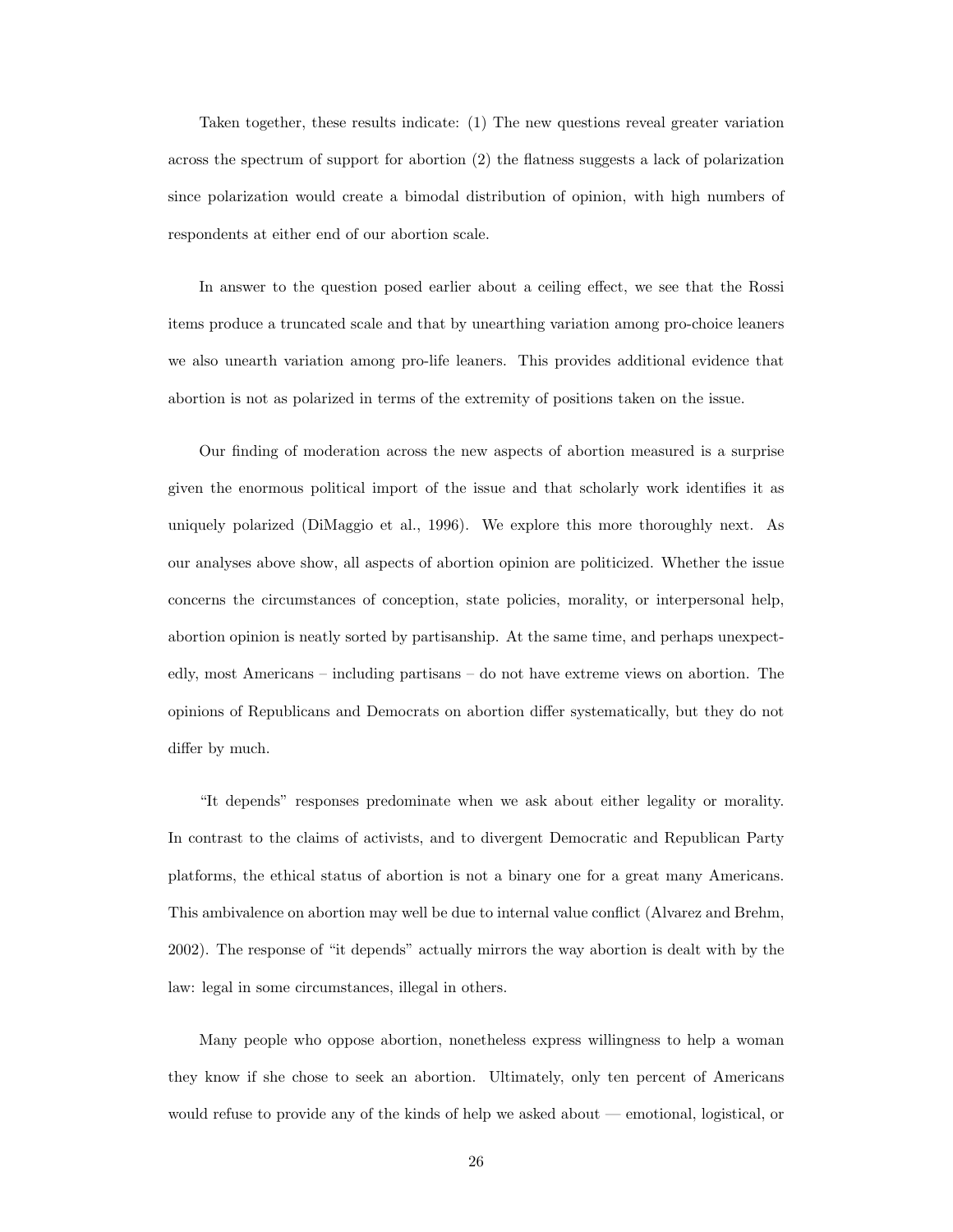Taken together, these results indicate: (1) The new questions reveal greater variation across the spectrum of support for abortion (2) the flatness suggests a lack of polarization since polarization would create a bimodal distribution of opinion, with high numbers of respondents at either end of our abortion scale.

In answer to the question posed earlier about a ceiling effect, we see that the Rossi items produce a truncated scale and that by unearthing variation among pro-choice leaners we also unearth variation among pro-life leaners. This provides additional evidence that abortion is not as polarized in terms of the extremity of positions taken on the issue.

Our finding of moderation across the new aspects of abortion measured is a surprise given the enormous political import of the issue and that scholarly work identifies it as uniquely polarized [\(DiMaggio et al.,](#page-45-14) [1996\)](#page-45-14). We explore this more thoroughly next. As our analyses above show, all aspects of abortion opinion are politicized. Whether the issue concerns the circumstances of conception, state policies, morality, or interpersonal help, abortion opinion is neatly sorted by partisanship. At the same time, and perhaps unexpectedly, most Americans – including partisans – do not have extreme views on abortion. The opinions of Republicans and Democrats on abortion differ systematically, but they do not differ by much.

"It depends" responses predominate when we ask about either legality or morality. In contrast to the claims of activists, and to divergent Democratic and Republican Party platforms, the ethical status of abortion is not a binary one for a great many Americans. This ambivalence on abortion may well be due to internal value conflict [\(Alvarez and Brehm,](#page-45-15) [2002\)](#page-45-15). The response of "it depends" actually mirrors the way abortion is dealt with by the law: legal in some circumstances, illegal in others.

Many people who oppose abortion, nonetheless express willingness to help a woman they know if she chose to seek an abortion. Ultimately, only ten percent of Americans would refuse to provide any of the kinds of help we asked about — emotional, logistical, or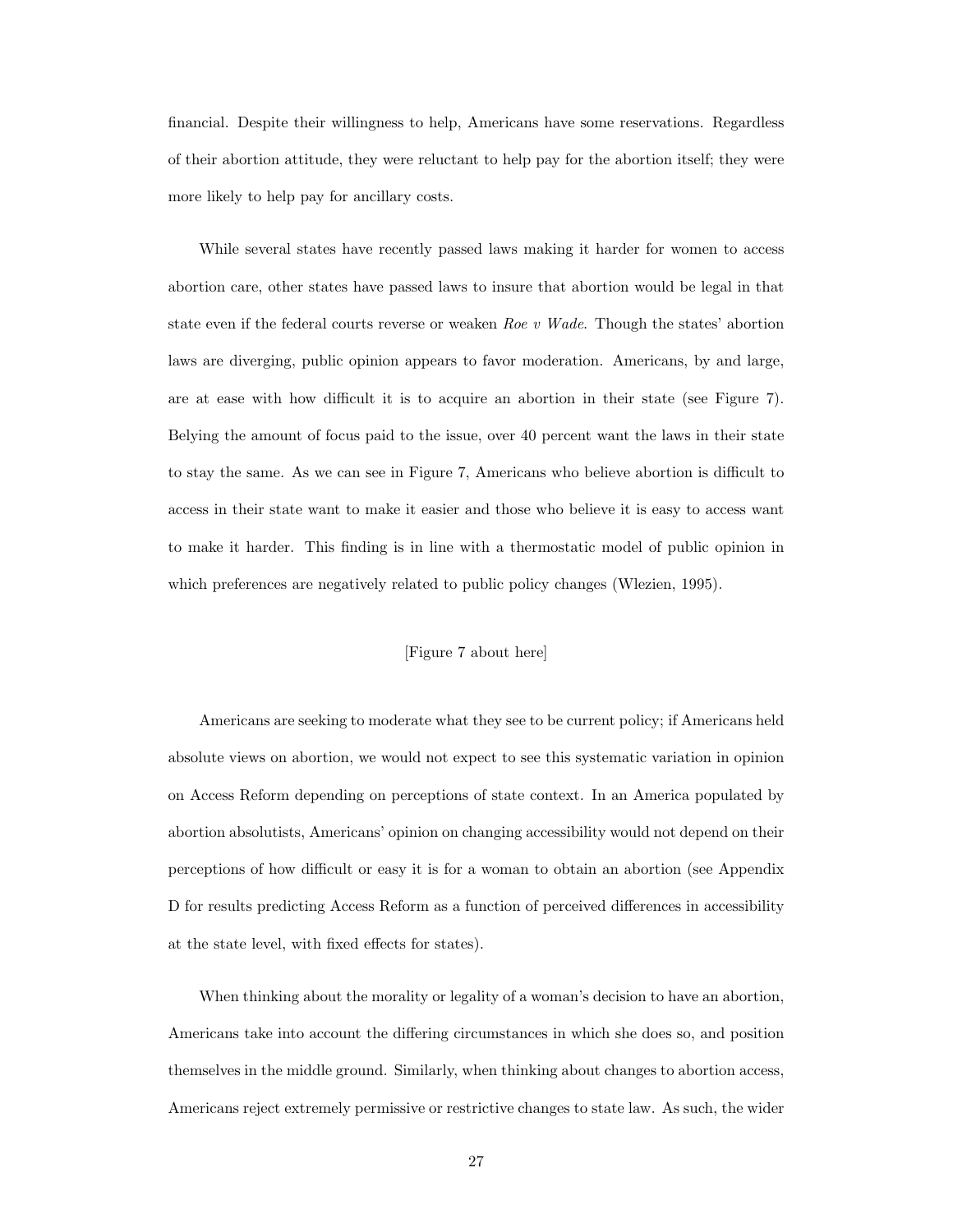financial. Despite their willingness to help, Americans have some reservations. Regardless of their abortion attitude, they were reluctant to help pay for the abortion itself; they were more likely to help pay for ancillary costs.

While several states have recently passed laws making it harder for women to access abortion care, other states have passed laws to insure that abortion would be legal in that state even if the federal courts reverse or weaken Roe v Wade. Though the states' abortion laws are diverging, public opinion appears to favor moderation. Americans, by and large, are at ease with how difficult it is to acquire an abortion in their state (see Figure [7\)](#page-44-0). Belying the amount of focus paid to the issue, over 40 percent want the laws in their state to stay the same. As we can see in Figure [7,](#page-44-0) Americans who believe abortion is difficult to access in their state want to make it easier and those who believe it is easy to access want to make it harder. This finding is in line with a thermostatic model of public opinion in which preferences are negatively related to public policy changes [\(Wlezien,](#page-46-6) [1995\)](#page-46-6).

#### [Figure [7](#page-44-0) about here]

Americans are seeking to moderate what they see to be current policy; if Americans held absolute views on abortion, we would not expect to see this systematic variation in opinion on Access Reform depending on perceptions of state context. In an America populated by abortion absolutists, Americans' opinion on changing accessibility would not depend on their perceptions of how difficult or easy it is for a woman to obtain an abortion (see Appendix D for results predicting Access Reform as a function of perceived differences in accessibility at the state level, with fixed effects for states).

When thinking about the morality or legality of a woman's decision to have an abortion, Americans take into account the differing circumstances in which she does so, and position themselves in the middle ground. Similarly, when thinking about changes to abortion access, Americans reject extremely permissive or restrictive changes to state law. As such, the wider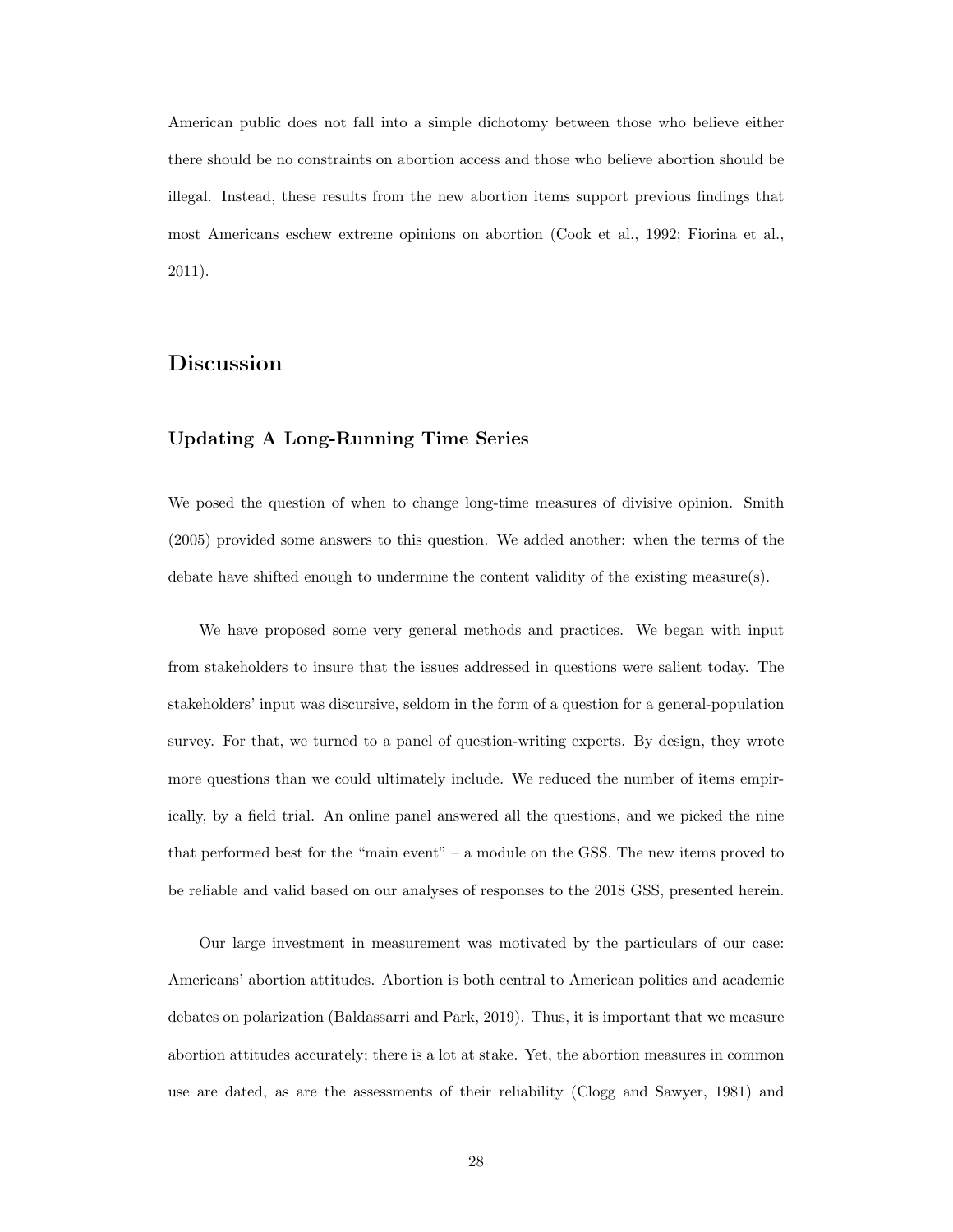American public does not fall into a simple dichotomy between those who believe either there should be no constraints on abortion access and those who believe abortion should be illegal. Instead, these results from the new abortion items support previous findings that most Americans eschew extreme opinions on abortion [\(Cook et al.,](#page-45-16) [1992;](#page-45-16) [Fiorina et al.,](#page-45-8) [2011\)](#page-45-8).

## Discussion

#### Updating A Long-Running Time Series

We posed the question of when to change long-time measures of divisive opinion. [Smith](#page-46-0) [\(2005\)](#page-46-0) provided some answers to this question. We added another: when the terms of the debate have shifted enough to undermine the content validity of the existing measure(s).

We have proposed some very general methods and practices. We began with input from stakeholders to insure that the issues addressed in questions were salient today. The stakeholders' input was discursive, seldom in the form of a question for a general-population survey. For that, we turned to a panel of question-writing experts. By design, they wrote more questions than we could ultimately include. We reduced the number of items empirically, by a field trial. An online panel answered all the questions, and we picked the nine that performed best for the "main event" – a module on the GSS. The new items proved to be reliable and valid based on our analyses of responses to the 2018 GSS, presented herein.

Our large investment in measurement was motivated by the particulars of our case: Americans' abortion attitudes. Abortion is both central to American politics and academic debates on polarization [\(Baldassarri and Park,](#page-45-17) [2019\)](#page-45-17). Thus, it is important that we measure abortion attitudes accurately; there is a lot at stake. Yet, the abortion measures in common use are dated, as are the assessments of their reliability [\(Clogg and Sawyer,](#page-45-2) [1981\)](#page-45-2) and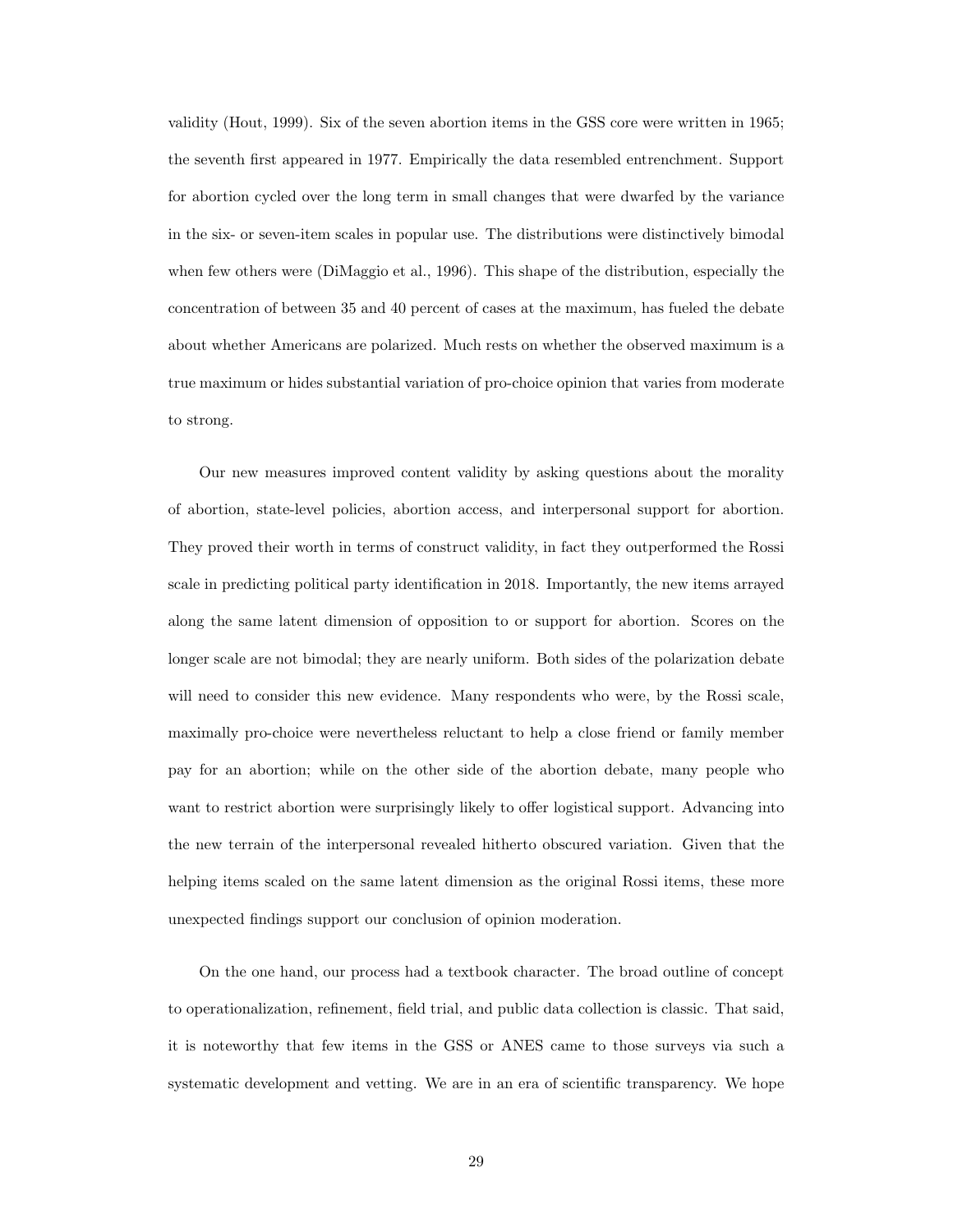validity [\(Hout,](#page-45-3) [1999\)](#page-45-3). Six of the seven abortion items in the GSS core were written in 1965; the seventh first appeared in 1977. Empirically the data resembled entrenchment. Support for abortion cycled over the long term in small changes that were dwarfed by the variance in the six- or seven-item scales in popular use. The distributions were distinctively bimodal when few others were [\(DiMaggio et al.,](#page-45-14) [1996\)](#page-45-14). This shape of the distribution, especially the concentration of between 35 and 40 percent of cases at the maximum, has fueled the debate about whether Americans are polarized. Much rests on whether the observed maximum is a true maximum or hides substantial variation of pro-choice opinion that varies from moderate to strong.

Our new measures improved content validity by asking questions about the morality of abortion, state-level policies, abortion access, and interpersonal support for abortion. They proved their worth in terms of construct validity, in fact they outperformed the Rossi scale in predicting political party identification in 2018. Importantly, the new items arrayed along the same latent dimension of opposition to or support for abortion. Scores on the longer scale are not bimodal; they are nearly uniform. Both sides of the polarization debate will need to consider this new evidence. Many respondents who were, by the Rossi scale, maximally pro-choice were nevertheless reluctant to help a close friend or family member pay for an abortion; while on the other side of the abortion debate, many people who want to restrict abortion were surprisingly likely to offer logistical support. Advancing into the new terrain of the interpersonal revealed hitherto obscured variation. Given that the helping items scaled on the same latent dimension as the original Rossi items, these more unexpected findings support our conclusion of opinion moderation.

On the one hand, our process had a textbook character. The broad outline of concept to operationalization, refinement, field trial, and public data collection is classic. That said, it is noteworthy that few items in the GSS or ANES came to those surveys via such a systematic development and vetting. We are in an era of scientific transparency. We hope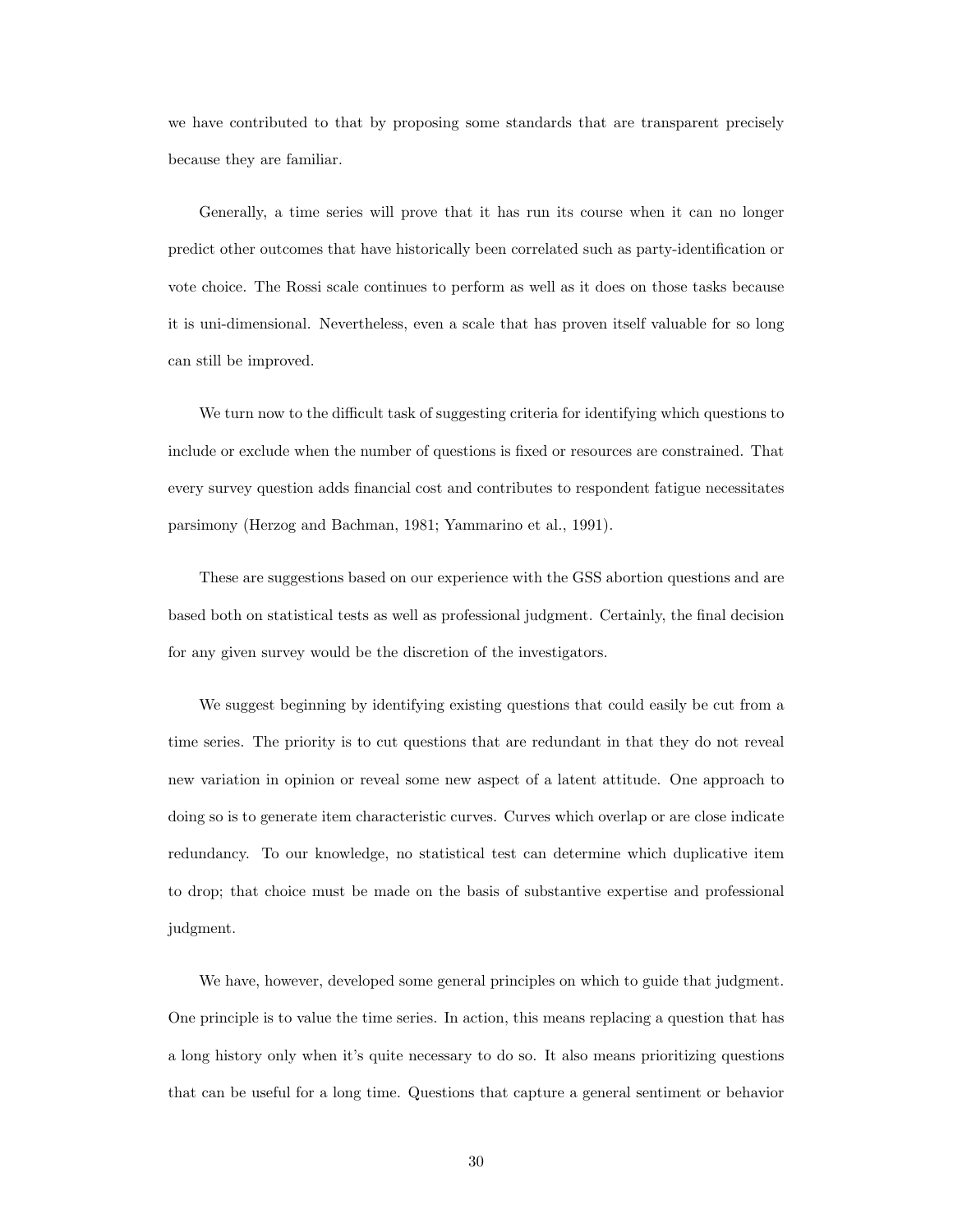we have contributed to that by proposing some standards that are transparent precisely because they are familiar.

Generally, a time series will prove that it has run its course when it can no longer predict other outcomes that have historically been correlated such as party-identification or vote choice. The Rossi scale continues to perform as well as it does on those tasks because it is uni-dimensional. Nevertheless, even a scale that has proven itself valuable for so long can still be improved.

We turn now to the difficult task of suggesting criteria for identifying which questions to include or exclude when the number of questions is fixed or resources are constrained. That every survey question adds financial cost and contributes to respondent fatigue necessitates parsimony [\(Herzog and Bachman,](#page-45-18) [1981;](#page-45-18) [Yammarino et al.,](#page-46-7) [1991\)](#page-46-7).

These are suggestions based on our experience with the GSS abortion questions and are based both on statistical tests as well as professional judgment. Certainly, the final decision for any given survey would be the discretion of the investigators.

We suggest beginning by identifying existing questions that could easily be cut from a time series. The priority is to cut questions that are redundant in that they do not reveal new variation in opinion or reveal some new aspect of a latent attitude. One approach to doing so is to generate item characteristic curves. Curves which overlap or are close indicate redundancy. To our knowledge, no statistical test can determine which duplicative item to drop; that choice must be made on the basis of substantive expertise and professional judgment.

We have, however, developed some general principles on which to guide that judgment. One principle is to value the time series. In action, this means replacing a question that has a long history only when it's quite necessary to do so. It also means prioritizing questions that can be useful for a long time. Questions that capture a general sentiment or behavior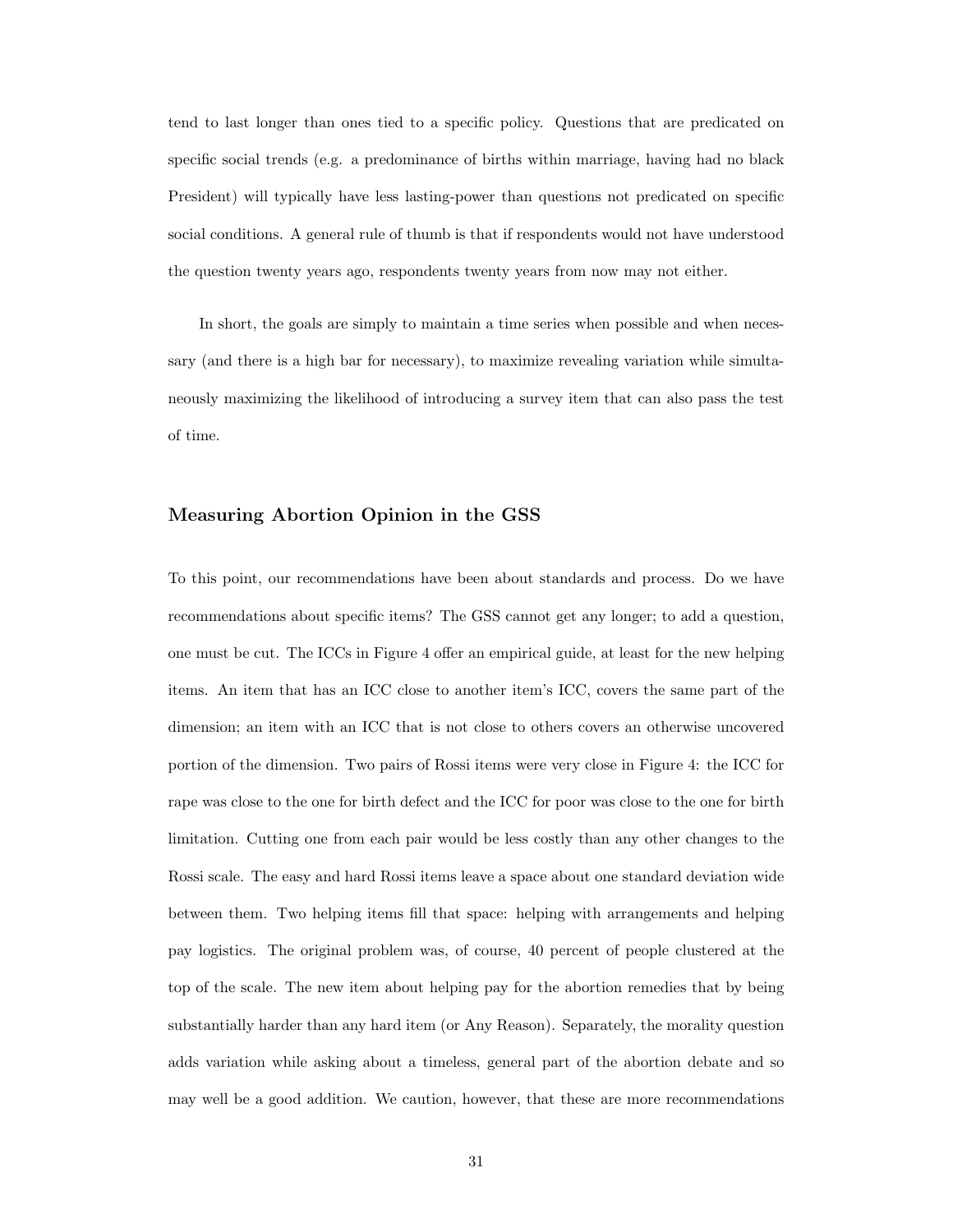tend to last longer than ones tied to a specific policy. Questions that are predicated on specific social trends (e.g. a predominance of births within marriage, having had no black President) will typically have less lasting-power than questions not predicated on specific social conditions. A general rule of thumb is that if respondents would not have understood the question twenty years ago, respondents twenty years from now may not either.

In short, the goals are simply to maintain a time series when possible and when necessary (and there is a high bar for necessary), to maximize revealing variation while simultaneously maximizing the likelihood of introducing a survey item that can also pass the test of time.

#### Measuring Abortion Opinion in the GSS

To this point, our recommendations have been about standards and process. Do we have recommendations about specific items? The GSS cannot get any longer; to add a question, one must be cut. The ICCs in Figure [4](#page-41-0) offer an empirical guide, at least for the new helping items. An item that has an ICC close to another item's ICC, covers the same part of the dimension; an item with an ICC that is not close to others covers an otherwise uncovered portion of the dimension. Two pairs of Rossi items were very close in Figure [4:](#page-41-0) the ICC for rape was close to the one for birth defect and the ICC for poor was close to the one for birth limitation. Cutting one from each pair would be less costly than any other changes to the Rossi scale. The easy and hard Rossi items leave a space about one standard deviation wide between them. Two helping items fill that space: helping with arrangements and helping pay logistics. The original problem was, of course, 40 percent of people clustered at the top of the scale. The new item about helping pay for the abortion remedies that by being substantially harder than any hard item (or Any Reason). Separately, the morality question adds variation while asking about a timeless, general part of the abortion debate and so may well be a good addition. We caution, however, that these are more recommendations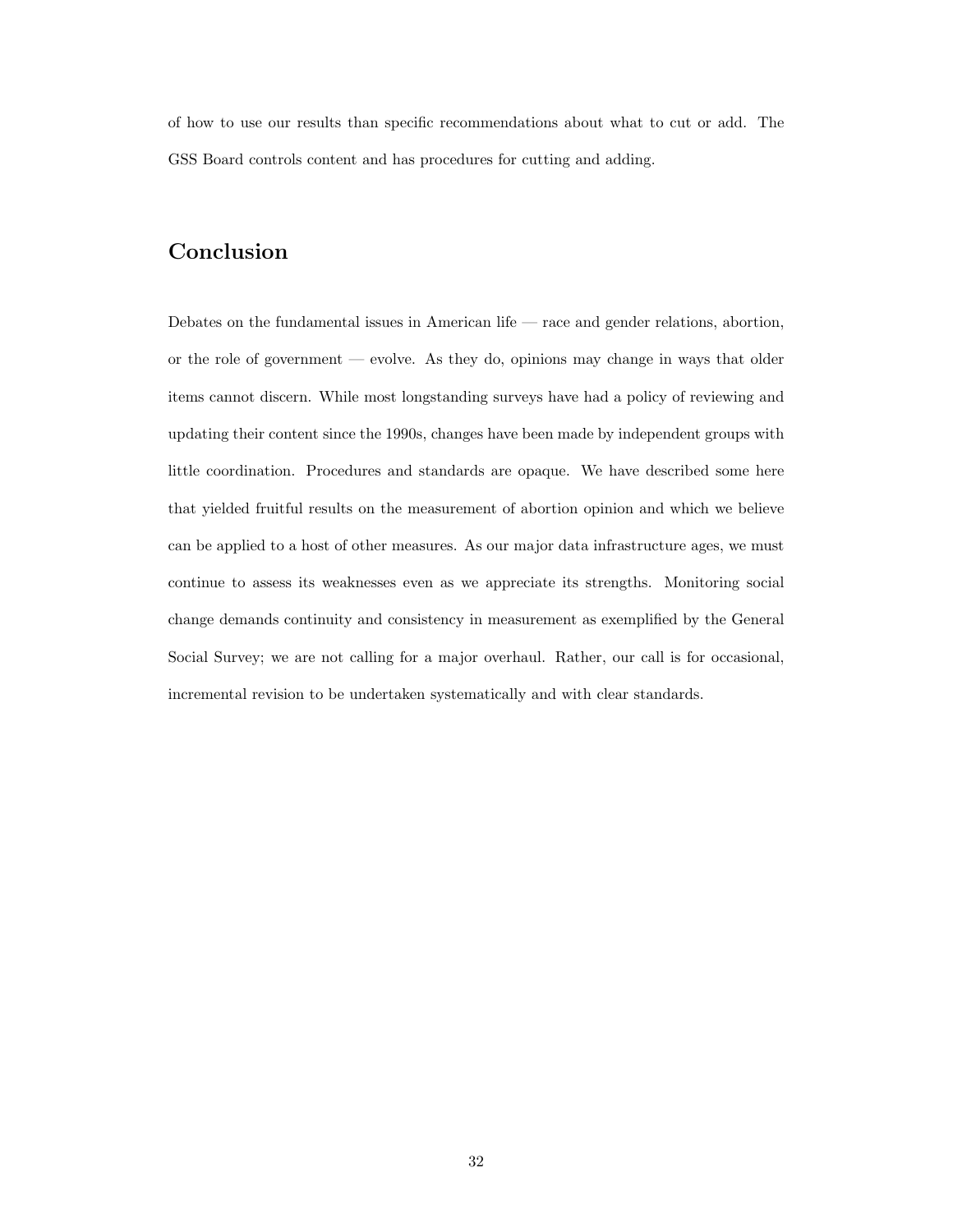of how to use our results than specific recommendations about what to cut or add. The GSS Board controls content and has procedures for cutting and adding.

## Conclusion

Debates on the fundamental issues in American life — race and gender relations, abortion, or the role of government — evolve. As they do, opinions may change in ways that older items cannot discern. While most longstanding surveys have had a policy of reviewing and updating their content since the 1990s, changes have been made by independent groups with little coordination. Procedures and standards are opaque. We have described some here that yielded fruitful results on the measurement of abortion opinion and which we believe can be applied to a host of other measures. As our major data infrastructure ages, we must continue to assess its weaknesses even as we appreciate its strengths. Monitoring social change demands continuity and consistency in measurement as exemplified by the General Social Survey; we are not calling for a major overhaul. Rather, our call is for occasional, incremental revision to be undertaken systematically and with clear standards.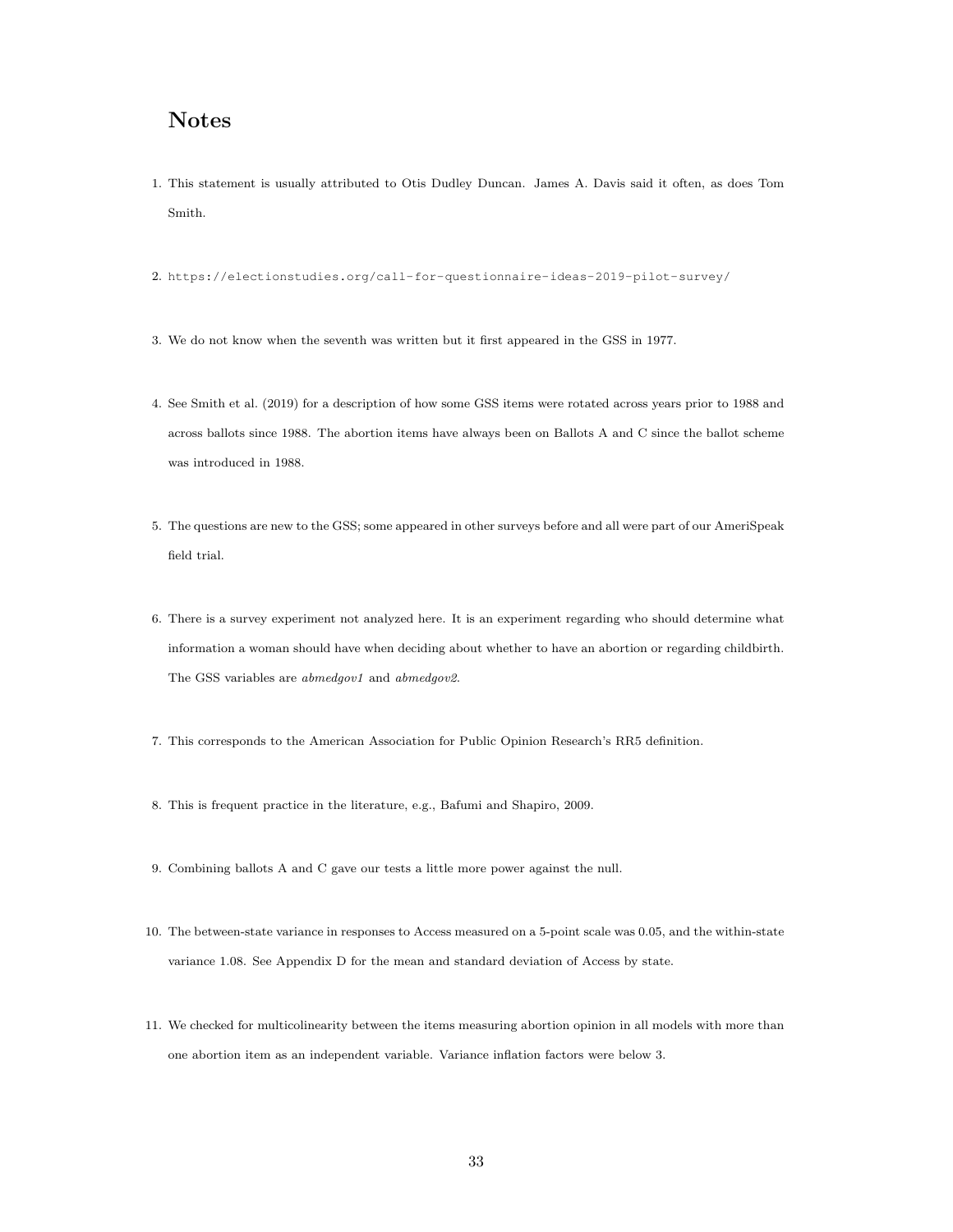## Notes

- <span id="page-34-0"></span>1. This statement is usually attributed to Otis Dudley Duncan. James A. Davis said it often, as does Tom Smith.
- <span id="page-34-1"></span>2. <https://electionstudies.org/call-for-questionnaire-ideas-2019-pilot-survey/>
- <span id="page-34-2"></span>3. We do not know when the seventh was written but it first appeared in the GSS in 1977.
- <span id="page-34-3"></span>4. See [Smith et al.](#page-46-5) [\(2019\)](#page-46-5) for a description of how some GSS items were rotated across years prior to 1988 and across ballots since 1988. The abortion items have always been on Ballots A and C since the ballot scheme was introduced in 1988.
- <span id="page-34-4"></span>5. The questions are new to the GSS; some appeared in other surveys before and all were part of our AmeriSpeak field trial.
- <span id="page-34-5"></span>6. There is a survey experiment not analyzed here. It is an experiment regarding who should determine what information a woman should have when deciding about whether to have an abortion or regarding childbirth. The GSS variables are *abmedgov1* and *abmedgov2*.
- <span id="page-34-6"></span>7. This corresponds to the American Association for Public Opinion Research's RR5 definition.
- <span id="page-34-7"></span>8. This is frequent practice in the literature, e.g., [Bafumi and Shapiro,](#page-45-19) [2009.](#page-45-19)
- <span id="page-34-8"></span>9. Combining ballots A and C gave our tests a little more power against the null.
- <span id="page-34-9"></span>10. The between-state variance in responses to Access measured on a 5-point scale was 0.05, and the within-state variance 1.08. See Appendix D for the mean and standard deviation of Access by state.
- <span id="page-34-10"></span>11. We checked for multicolinearity between the items measuring abortion opinion in all models with more than one abortion item as an independent variable. Variance inflation factors were below 3.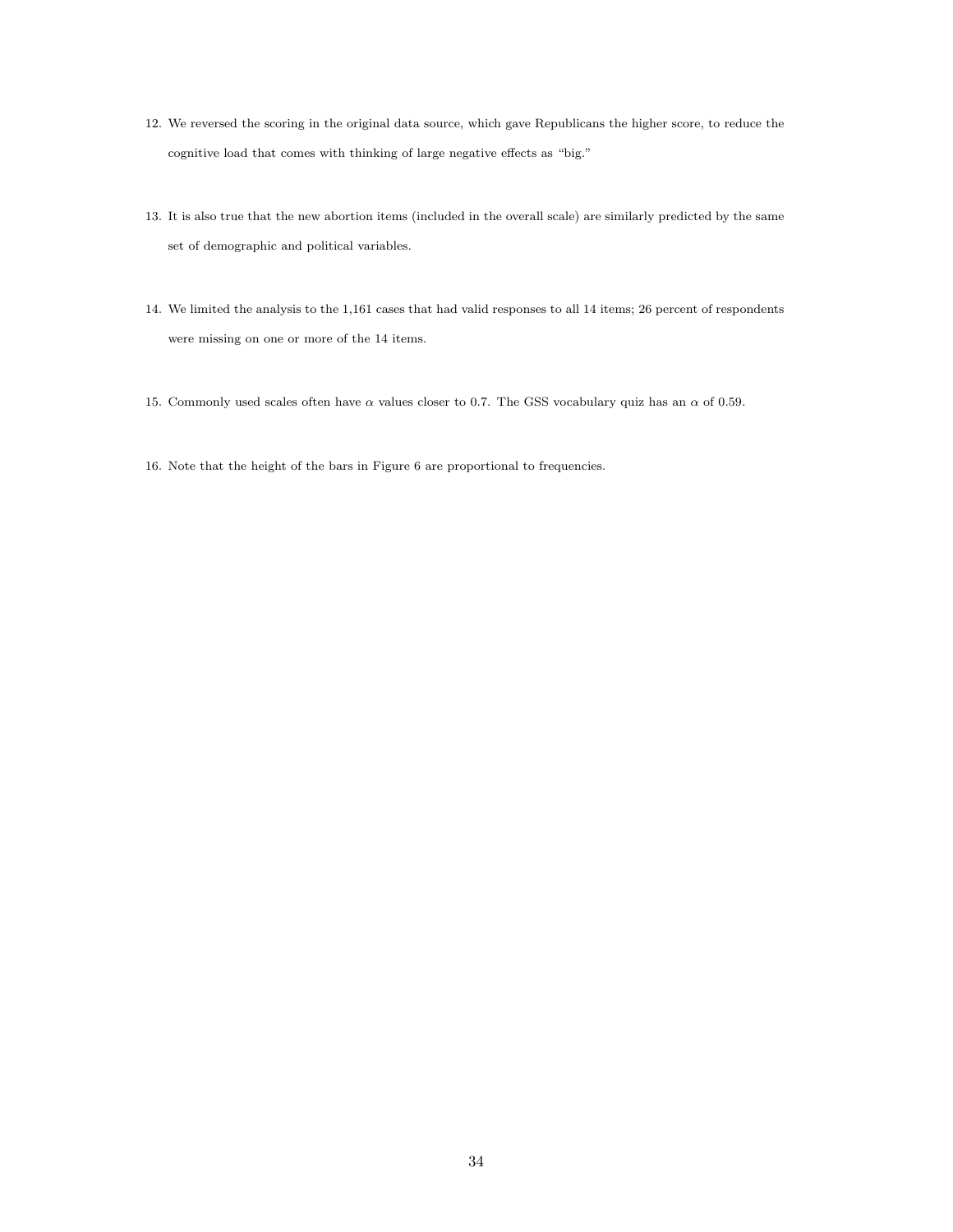- <span id="page-35-0"></span>12. We reversed the scoring in the original data source, which gave Republicans the higher score, to reduce the cognitive load that comes with thinking of large negative effects as "big."
- <span id="page-35-1"></span>13. It is also true that the new abortion items (included in the overall scale) are similarly predicted by the same set of demographic and political variables.
- <span id="page-35-2"></span>14. We limited the analysis to the 1,161 cases that had valid responses to all 14 items; 26 percent of respondents were missing on one or more of the 14 items.
- <span id="page-35-3"></span>15. Commonly used scales often have  $\alpha$  values closer to 0.7. The GSS vocabulary quiz has an  $\alpha$  of 0.59.
- <span id="page-35-4"></span>16. Note that the height of the bars in Figure [6](#page-43-0) are proportional to frequencies.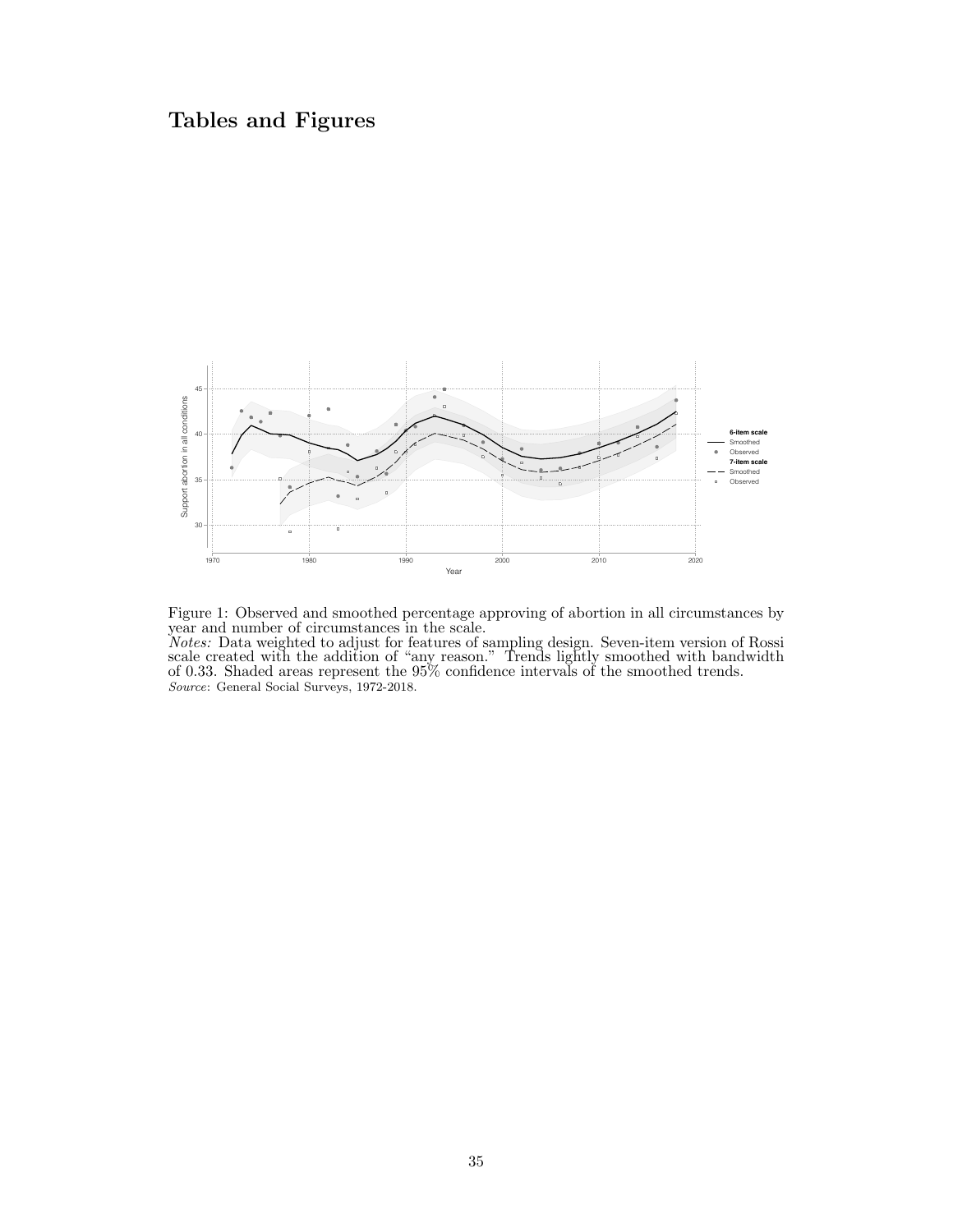## <span id="page-36-0"></span>Tables and Figures



Figure 1: Observed and smoothed percentage approving of abortion in all circumstances by year and number of circumstances in the scale.

Notes: Data weighted to adjust for features of sampling design. Seven-item version of Rossi scale created with the addition of "any reason." Trends lightly smoothed with bandwidth of 0.33. Shaded areas represent the 95% confidence intervals of the smoothed trends. Source: General Social Surveys, 1972-2018.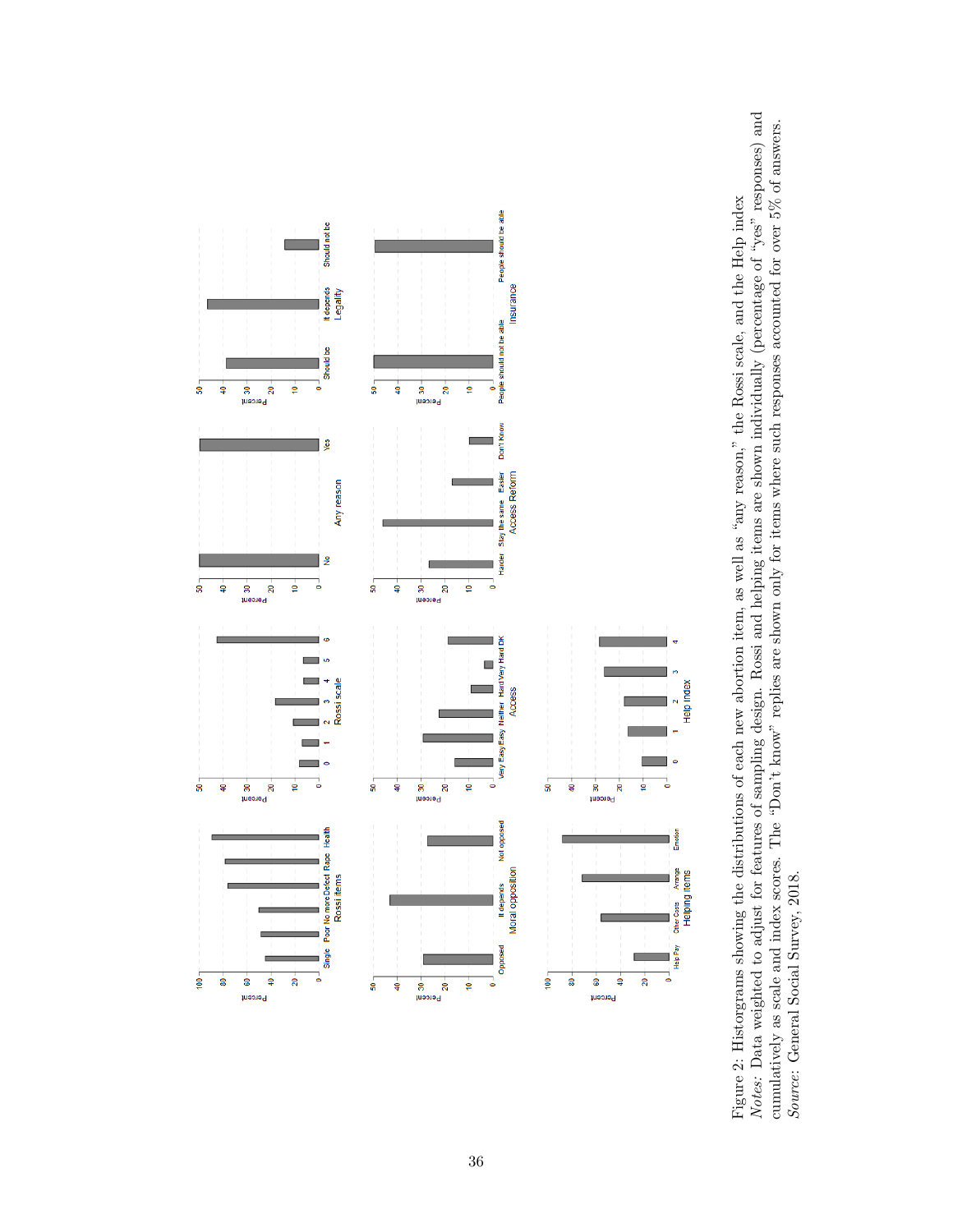

<span id="page-37-0"></span>Notes: Data weighted to adjust for features of sampling design. Rossi and helping items are shown individually (percentage of "yes" responses) and Notes: Data weighted to adjust for features of sampling design. Rossi and helping items are shown individually (percentage of "yes" responses) and cumulatively as scale and index scores. The "Don't know" replies are shown only for items where such responses accounted for over 5% of answers.<br>Source: General Social Survey, 2018. cumulatively as scale and index scores. The "Don't know" replies are shown only for items where such responses accounted for over  $5\%$  of answers. Figure 2: Historgrams showing the distributions of each new abortion item, as well as "any reason," the Rossi scale, and the Help index Figure 2: Historgrams showing the distributions of each new abortion item, as well as "any reason," the Rossi scale, and the Help index Source: General Social Survey, 2018.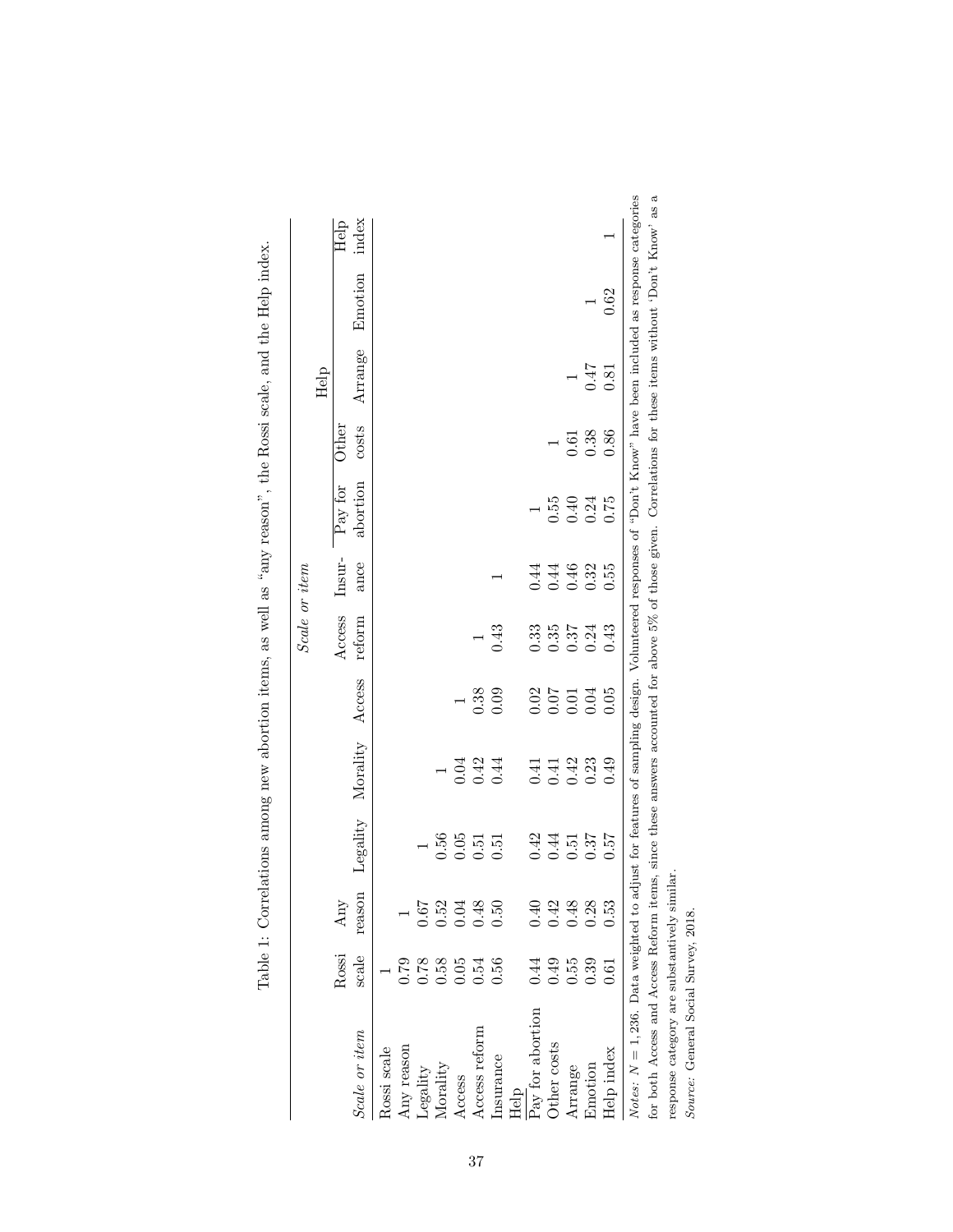|                                                                                                                                                               |                      |                       |          |                          |                  | Scale or item                               |        |          |                |         |         |       |
|---------------------------------------------------------------------------------------------------------------------------------------------------------------|----------------------|-----------------------|----------|--------------------------|------------------|---------------------------------------------|--------|----------|----------------|---------|---------|-------|
|                                                                                                                                                               |                      |                       |          |                          |                  |                                             |        |          |                | Help    |         |       |
|                                                                                                                                                               | Rossi                | Any                   |          |                          |                  | Access                                      | Insur- | Pay for  | $_{\rm Other}$ |         |         | Help  |
| Scale or item                                                                                                                                                 | scale                | reason                |          | Legality Morality Access |                  | reform                                      | ance   | abortion | costs          | Arrange | Emotion | index |
| Rossi scale                                                                                                                                                   |                      |                       |          |                          |                  |                                             |        |          |                |         |         |       |
| Any reason                                                                                                                                                    |                      |                       |          |                          |                  |                                             |        |          |                |         |         |       |
| egality                                                                                                                                                       |                      | 167                   |          |                          |                  |                                             |        |          |                |         |         |       |
| Morality                                                                                                                                                      | 0.78<br>0.58<br>0.05 |                       | 0.56     |                          |                  |                                             |        |          |                |         |         |       |
| Access                                                                                                                                                        |                      |                       | 0.05     | 0.04                     |                  |                                             |        |          |                |         |         |       |
| Access reform                                                                                                                                                 | 0.54                 | 0.52<br>0.048<br>0.50 | 0.51     | 0.42                     | 0.38             |                                             |        |          |                |         |         |       |
| nsurance                                                                                                                                                      | 0.56                 |                       | 0.51     | 0.44                     | 0.09             | 0.43                                        |        |          |                |         |         |       |
| Help                                                                                                                                                          |                      |                       |          |                          |                  |                                             |        |          |                |         |         |       |
| Pay for abortion                                                                                                                                              | 0.44                 |                       | 0.42     | 0.41                     |                  |                                             | 0.44   |          |                |         |         |       |
| ther costs                                                                                                                                                    | 0.49                 |                       | 0.44     | 0.41                     | $0.02$<br>$0.07$ | $\begin{array}{c} 0.33 \\ 0.35 \end{array}$ | 0.44   | 0.55     |                |         |         |       |
| Arrange                                                                                                                                                       | 0.55                 | 0.42<br>0.43<br>0.28  | $0.51\,$ | 0.42                     | 0.01             | 0.37                                        | 0.46   | 0.40     | 0.61           |         |         |       |
| Emotion                                                                                                                                                       | 0.39                 |                       | 0.37     | 0.23                     | 0.04             | 0.24                                        | 0.32   | 0.24     | 0.38           | 71.0    |         |       |
| Help index                                                                                                                                                    | $\overline{0}$ .     | 0.53                  | 0.57     | 0.49                     | 0.05             | 0.43                                        | 0.55   | 0.75     | 0.86           | 0.81    | 0.62    |       |
| Notes: $N = 1,236$ . Data weighted to adjust for features of sampling design. Volunteered responses of "Don't Know" have been included as response categories |                      |                       |          |                          |                  |                                             |        |          |                |         |         |       |
| for both Access and Access Reform items, since these answers accounted for above $5\%$ of those given. Correlations for these items without 'Don't Know' as a |                      |                       |          |                          |                  |                                             |        |          |                |         |         |       |

| j<br>i<br>ī                                                                                                                                                                                                                    |
|--------------------------------------------------------------------------------------------------------------------------------------------------------------------------------------------------------------------------------|
| ł                                                                                                                                                                                                                              |
| $\frac{1}{2}$                                                                                                                                                                                                                  |
| l                                                                                                                                                                                                                              |
|                                                                                                                                                                                                                                |
|                                                                                                                                                                                                                                |
| $\vdots$                                                                                                                                                                                                                       |
|                                                                                                                                                                                                                                |
| -<br>-<br>-                                                                                                                                                                                                                    |
|                                                                                                                                                                                                                                |
| くく                                                                                                                                                                                                                             |
| I                                                                                                                                                                                                                              |
|                                                                                                                                                                                                                                |
| l                                                                                                                                                                                                                              |
| l                                                                                                                                                                                                                              |
| $\frac{1}{2}$                                                                                                                                                                                                                  |
|                                                                                                                                                                                                                                |
| is a company of the company of the company of the company of the company of the company of the company of the company of the company of the company of the company of the company of the company of the company of the company |
| $\frac{1}{2}$                                                                                                                                                                                                                  |
|                                                                                                                                                                                                                                |
|                                                                                                                                                                                                                                |
|                                                                                                                                                                                                                                |
|                                                                                                                                                                                                                                |
|                                                                                                                                                                                                                                |
|                                                                                                                                                                                                                                |
|                                                                                                                                                                                                                                |
|                                                                                                                                                                                                                                |
| ו<br>ו                                                                                                                                                                                                                         |
| $\frac{1}{2}$                                                                                                                                                                                                                  |
|                                                                                                                                                                                                                                |
|                                                                                                                                                                                                                                |
| ١                                                                                                                                                                                                                              |
| ١                                                                                                                                                                                                                              |
| ׇ֚֘                                                                                                                                                                                                                            |
|                                                                                                                                                                                                                                |
| こくしょく うちく こくりょう                                                                                                                                                                                                                |
|                                                                                                                                                                                                                                |
| ֘֒<br>ׇ֘֒<br>ł                                                                                                                                                                                                                 |
| ı<br>İ                                                                                                                                                                                                                         |
|                                                                                                                                                                                                                                |
| I                                                                                                                                                                                                                              |
| j<br>$\frac{1}{1}$                                                                                                                                                                                                             |
| Ì,                                                                                                                                                                                                                             |

37

response category are substantively similar.<br> $Source:$  General Social Survey,  $2018.$ response category are substantively similar.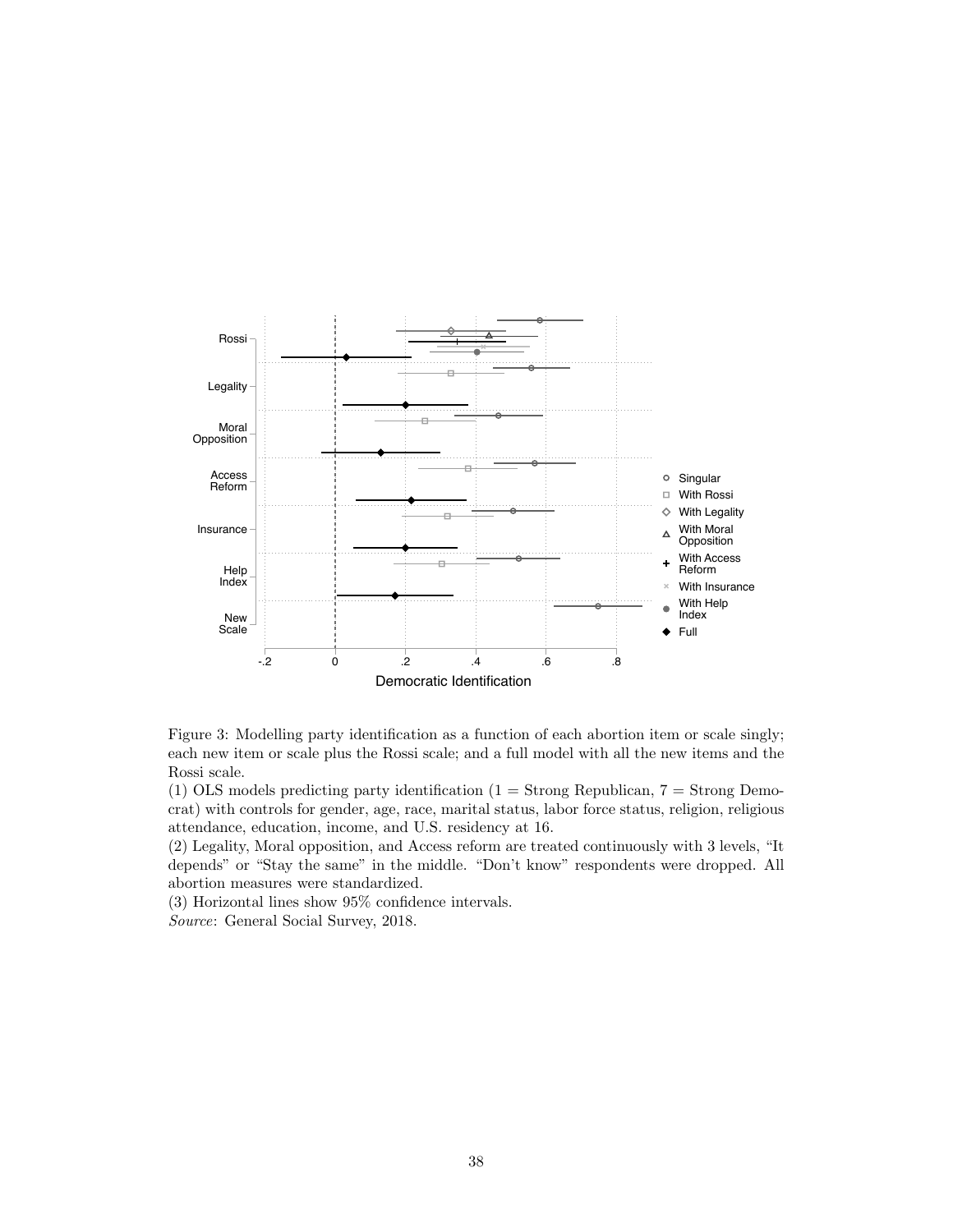<span id="page-39-0"></span>

Figure 3: Modelling party identification as a function of each abortion item or scale singly; each new item or scale plus the Rossi scale; and a full model with all the new items and the Rossi scale.

(1) OLS models predicting party identification (1 = Strong Republican,  $7 =$  Strong Democrat) with controls for gender, age, race, marital status, labor force status, religion, religious attendance, education, income, and U.S. residency at 16.

(2) Legality, Moral opposition, and Access reform are treated continuously with 3 levels, "It depends" or "Stay the same" in the middle. "Don't know" respondents were dropped. All abortion measures were standardized.

(3) Horizontal lines show 95% confidence intervals.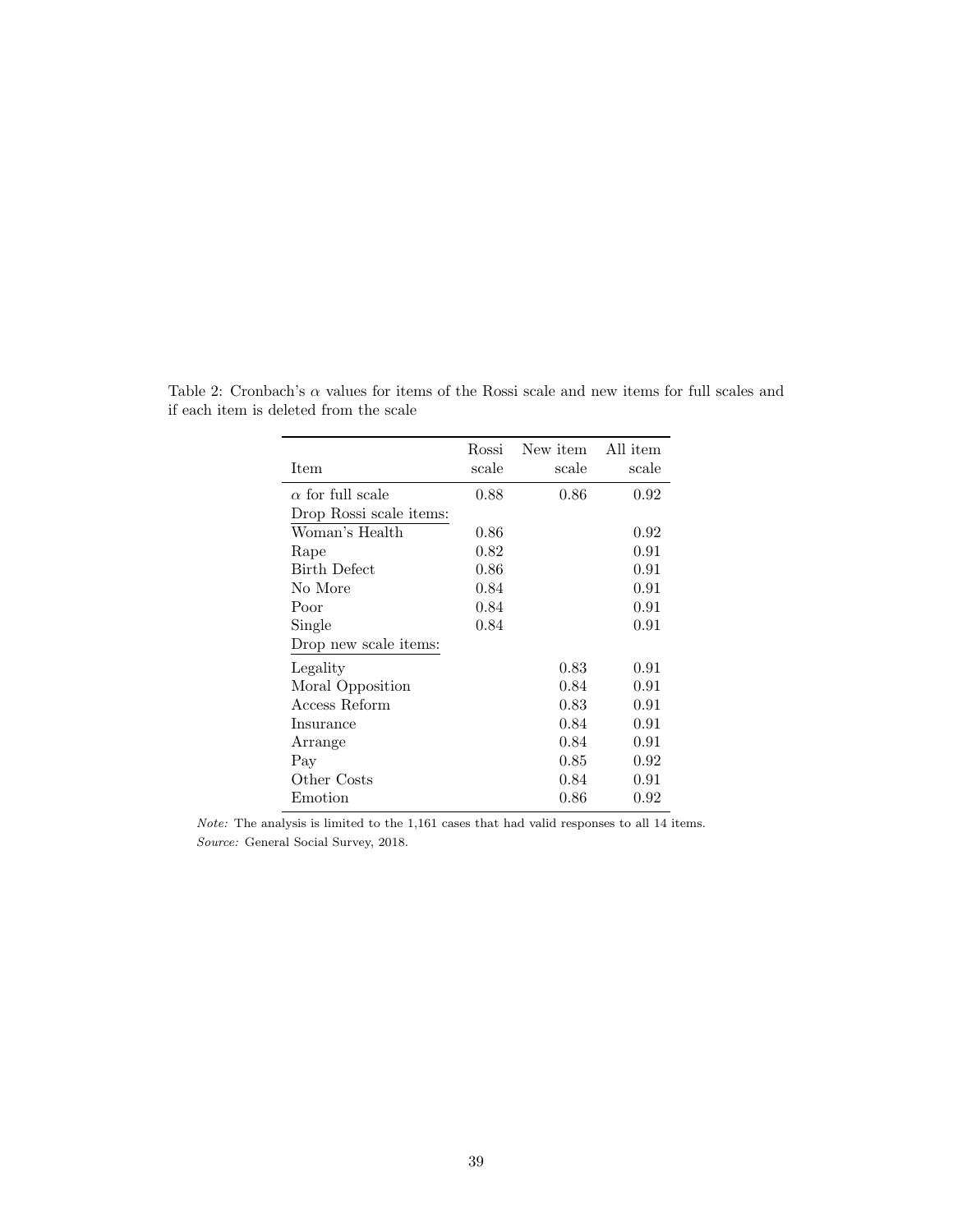|                         | Rossi | New item | All item |
|-------------------------|-------|----------|----------|
| Item                    | scale | scale    | scale    |
| $\alpha$ for full scale | 0.88  | 0.86     | 0.92     |
| Drop Rossi scale items: |       |          |          |
| Woman's Health          | 0.86  |          | 0.92     |
| Rape                    | 0.82  |          | 0.91     |
| <b>Birth Defect</b>     | 0.86  |          | 0.91     |
| No More                 | 0.84  |          | 0.91     |
| Poor                    | 0.84  |          | 0.91     |
| Single                  | 0.84  |          | 0.91     |
| Drop new scale items:   |       |          |          |
| Legality                |       | 0.83     | 0.91     |
| Moral Opposition        |       | 0.84     | 0.91     |
| Access Reform           |       | 0.83     | 0.91     |
| Insurance               |       | 0.84     | 0.91     |
| Arrange                 |       | 0.84     | 0.91     |
| Pay                     |       | 0.85     | 0.92     |
| Other Costs             |       | 0.84     | 0.91     |
| Emotion                 |       | 0.86     | 0.92     |

Table 2: Cronbach's  $\alpha$  values for items of the Rossi scale and new items for full scales and if each item is deleted from the scale

Note: The analysis is limited to the 1,161 cases that had valid responses to all 14 items. Source: General Social Survey, 2018.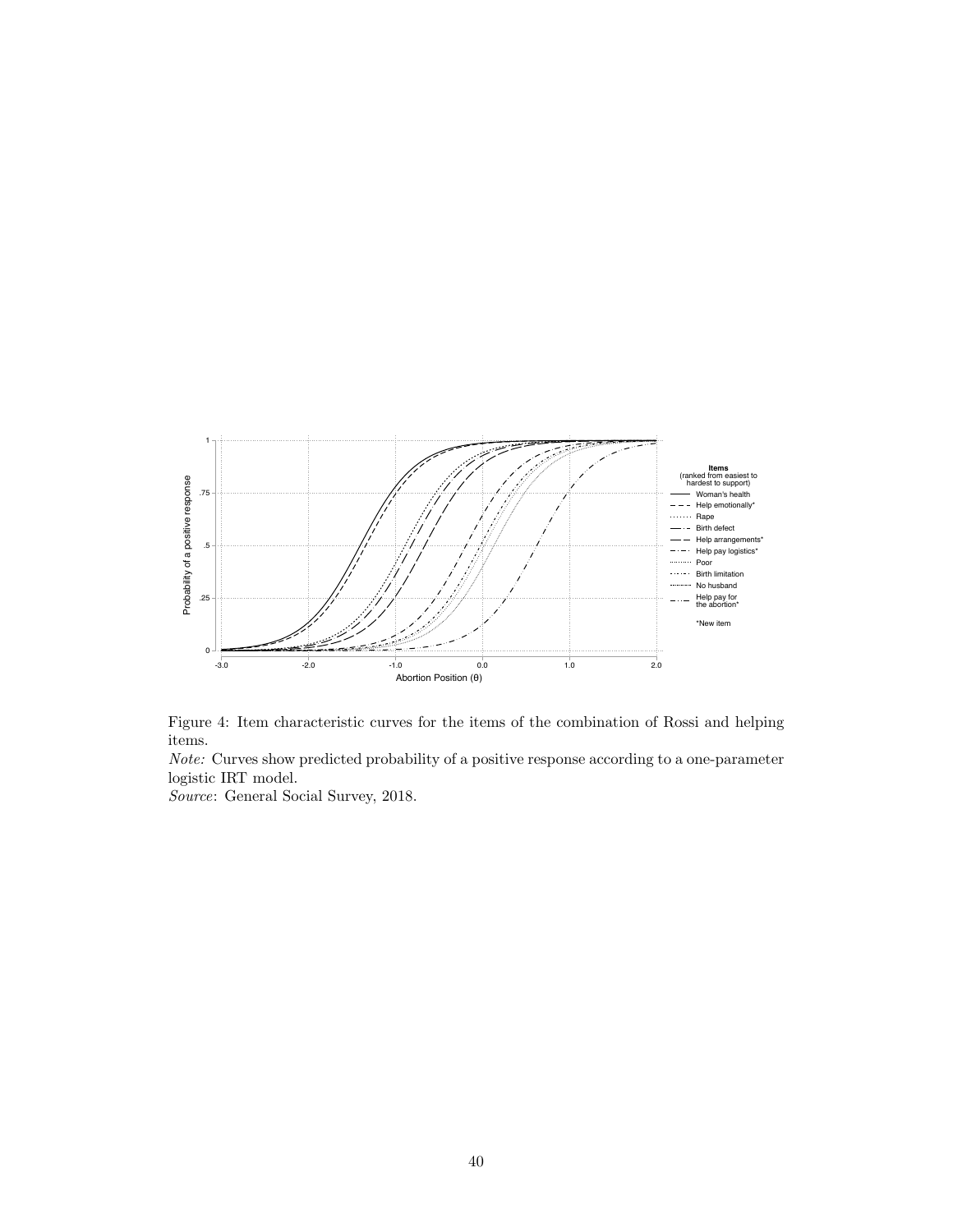<span id="page-41-0"></span>



Note: Curves show predicted probability of a positive response according to a one-parameter logistic IRT model.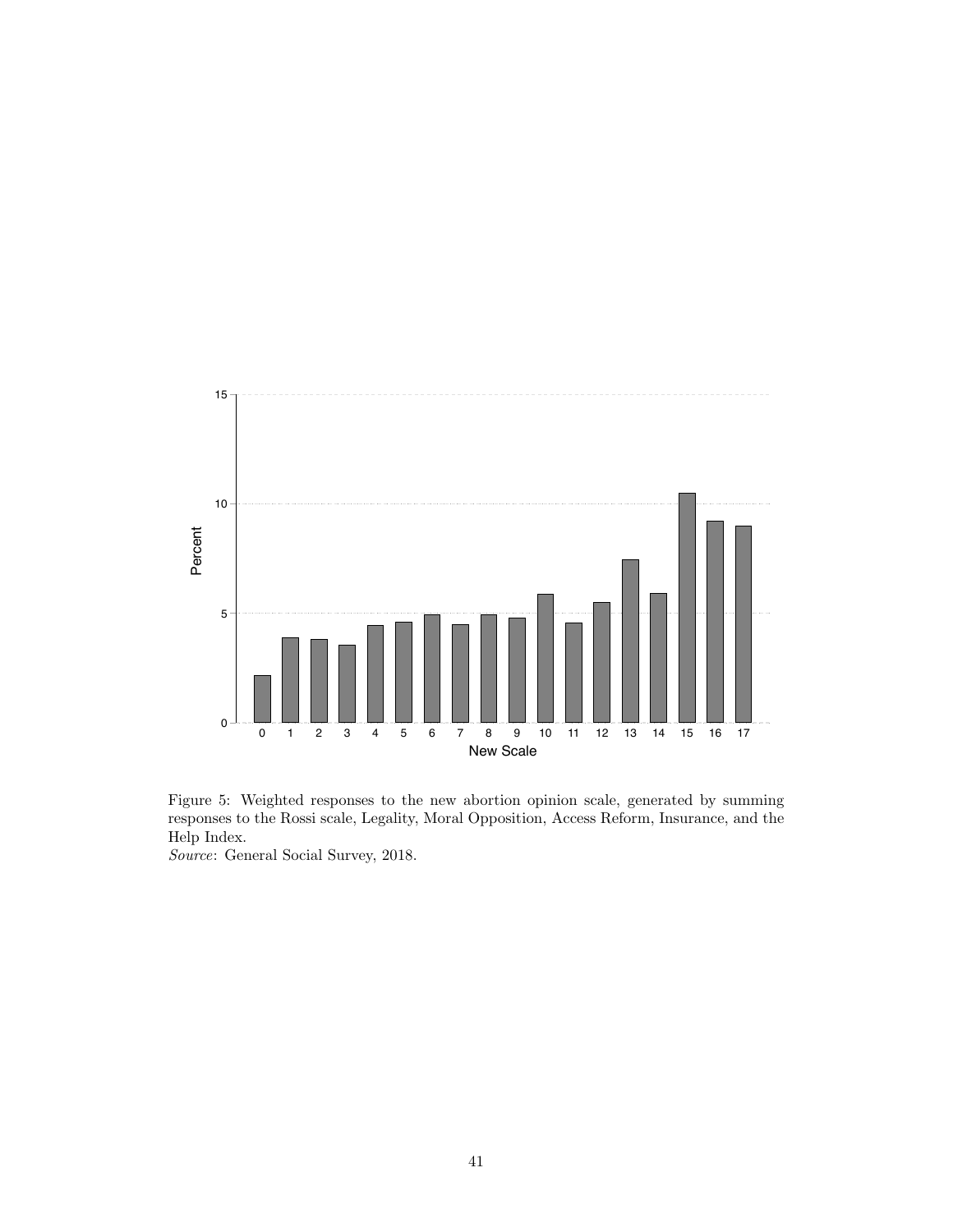<span id="page-42-0"></span>

Figure 5: Weighted responses to the new abortion opinion scale, generated by summing responses to the Rossi scale, Legality, Moral Opposition, Access Reform, Insurance, and the Help Index.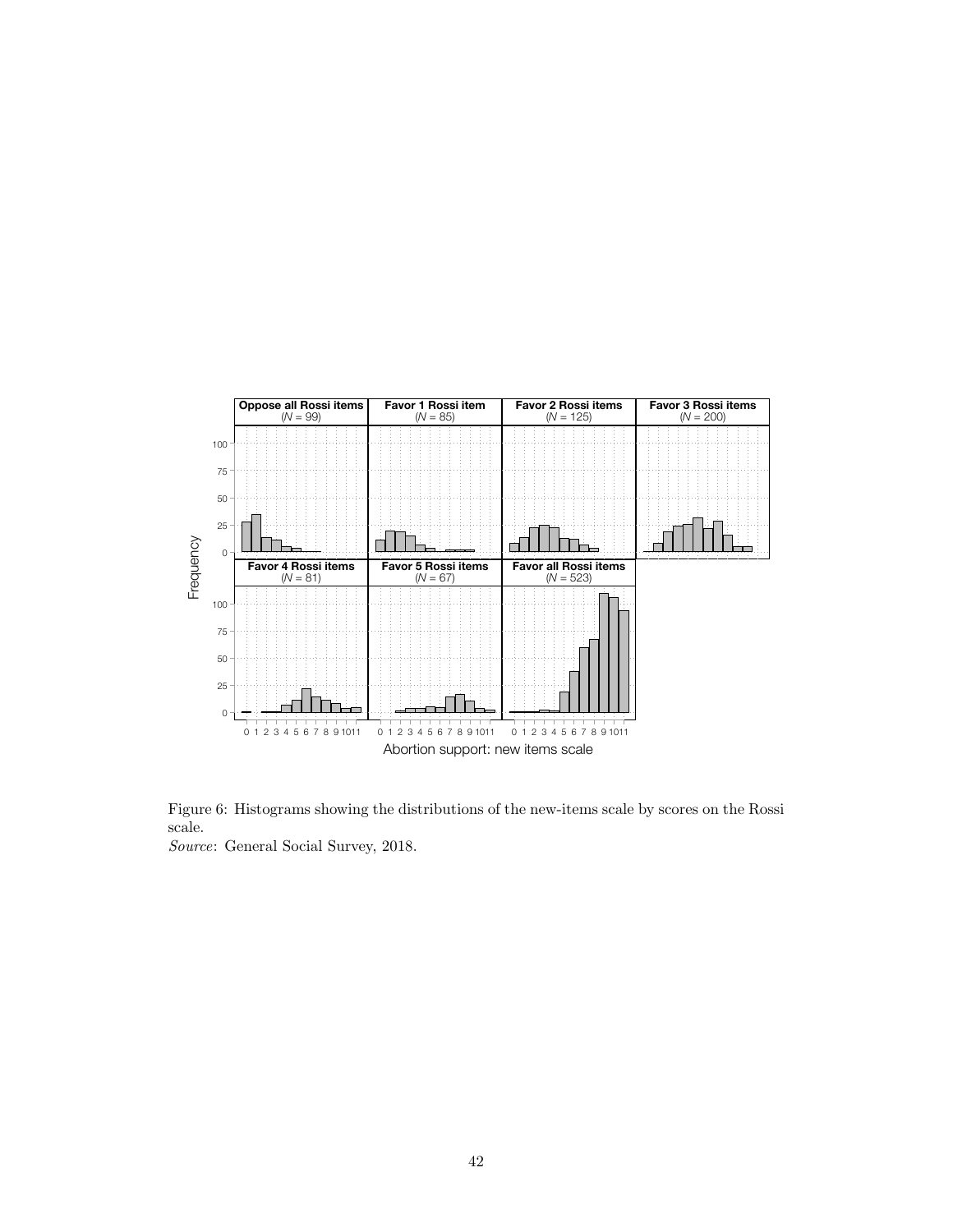<span id="page-43-0"></span>

Figure 6: Histograms showing the distributions of the new-items scale by scores on the Rossi scale.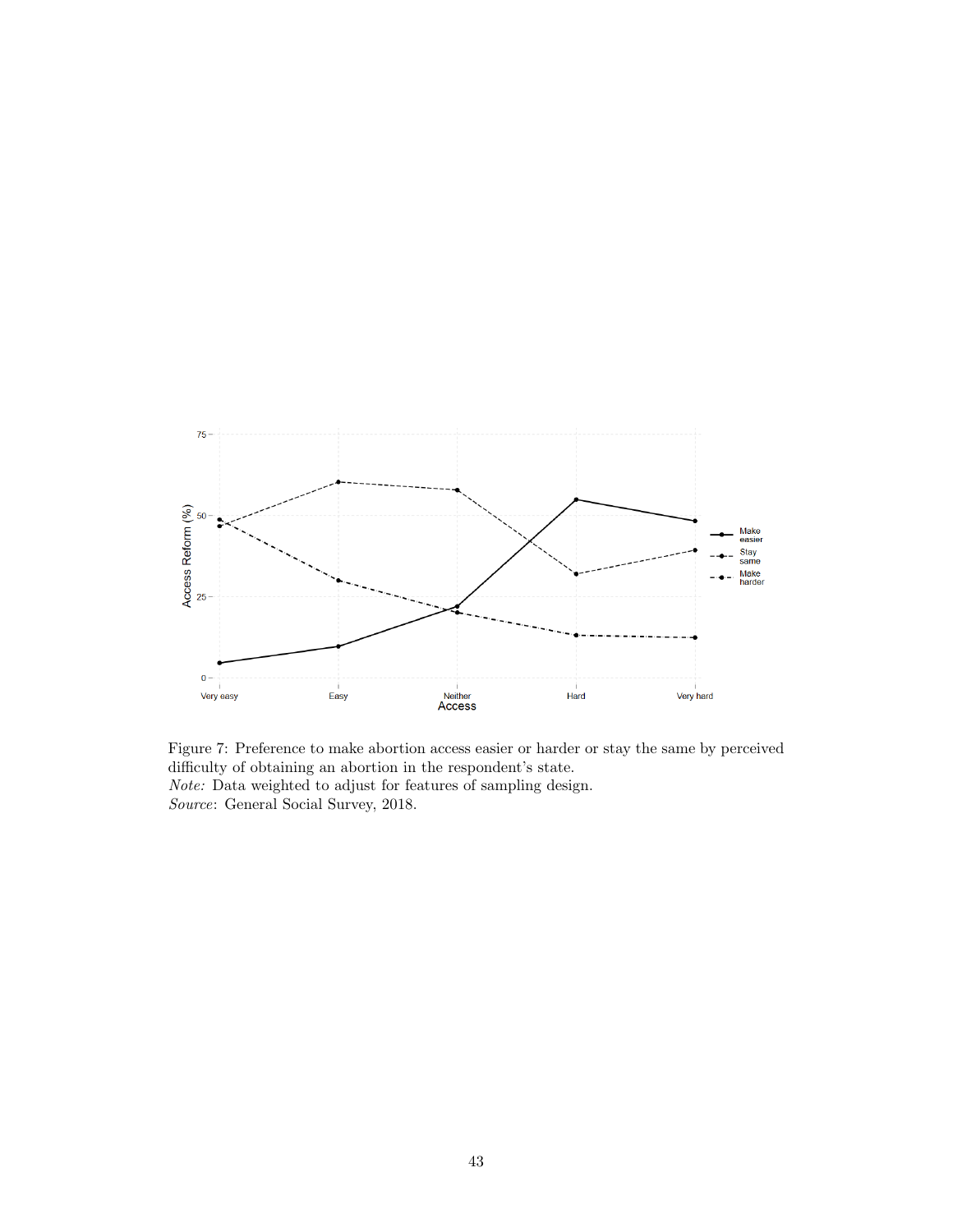<span id="page-44-0"></span>

Figure 7: Preference to make abortion access easier or harder or stay the same by perceived difficulty of obtaining an abortion in the respondent's state. Note: Data weighted to adjust for features of sampling design. Source: General Social Survey, 2018.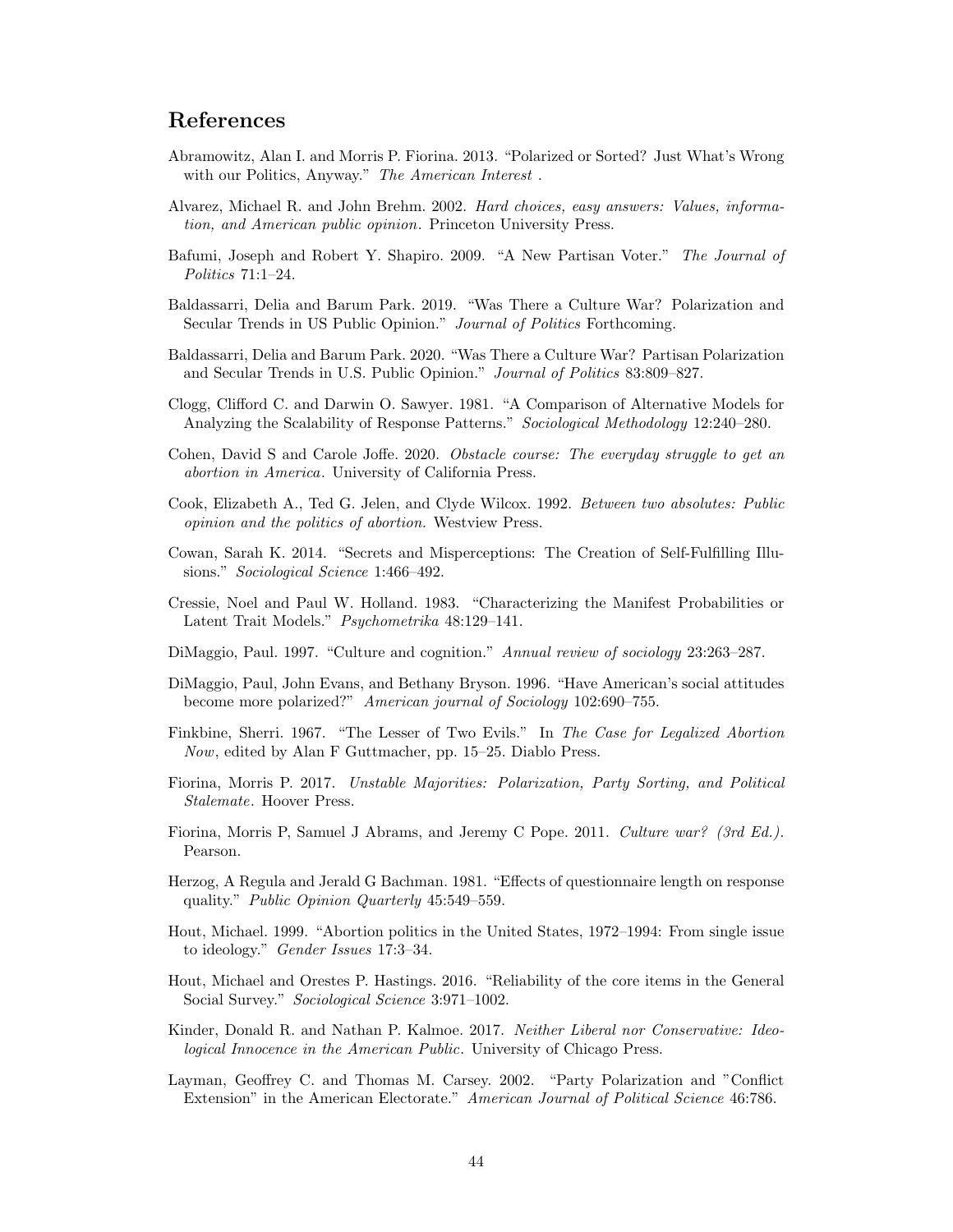## References

- <span id="page-45-10"></span>Abramowitz, Alan I. and Morris P. Fiorina. 2013. "Polarized or Sorted? Just What's Wrong with our Politics, Anyway." The American Interest.
- <span id="page-45-15"></span>Alvarez, Michael R. and John Brehm. 2002. Hard choices, easy answers: Values, information, and American public opinion. Princeton University Press.
- <span id="page-45-19"></span>Bafumi, Joseph and Robert Y. Shapiro. 2009. "A New Partisan Voter." The Journal of Politics 71:1–24.
- <span id="page-45-17"></span>Baldassarri, Delia and Barum Park. 2019. "Was There a Culture War? Polarization and Secular Trends in US Public Opinion." Journal of Politics Forthcoming.
- <span id="page-45-1"></span>Baldassarri, Delia and Barum Park. 2020. "Was There a Culture War? Partisan Polarization and Secular Trends in U.S. Public Opinion." Journal of Politics 83:809–827.
- <span id="page-45-2"></span>Clogg, Clifford C. and Darwin O. Sawyer. 1981. "A Comparison of Alternative Models for Analyzing the Scalability of Response Patterns." Sociological Methodology 12:240–280.
- <span id="page-45-9"></span>Cohen, David S and Carole Joffe. 2020. Obstacle course: The everyday struggle to get an abortion in America. University of California Press.
- <span id="page-45-16"></span>Cook, Elizabeth A., Ted G. Jelen, and Clyde Wilcox. 1992. Between two absolutes: Public opinion and the politics of abortion. Westview Press.
- <span id="page-45-12"></span>Cowan, Sarah K. 2014. "Secrets and Misperceptions: The Creation of Self-Fulfilling Illusions." Sociological Science 1:466–492.
- <span id="page-45-13"></span>Cressie, Noel and Paul W. Holland. 1983. "Characterizing the Manifest Probabilities or Latent Trait Models." Psychometrika 48:129–141.
- <span id="page-45-0"></span>DiMaggio, Paul. 1997. "Culture and cognition." Annual review of sociology 23:263–287.
- <span id="page-45-14"></span>DiMaggio, Paul, John Evans, and Bethany Bryson. 1996. "Have American's social attitudes become more polarized?" American journal of Sociology 102:690–755.
- <span id="page-45-4"></span>Finkbine, Sherri. 1967. "The Lesser of Two Evils." In The Case for Legalized Abortion Now, edited by Alan F Guttmacher, pp. 15–25. Diablo Press.
- <span id="page-45-7"></span>Fiorina, Morris P. 2017. Unstable Majorities: Polarization, Party Sorting, and Political Stalemate. Hoover Press.
- <span id="page-45-8"></span>Fiorina, Morris P, Samuel J Abrams, and Jeremy C Pope. 2011. Culture war? (3rd Ed.). Pearson.
- <span id="page-45-18"></span>Herzog, A Regula and Jerald G Bachman. 1981. "Effects of questionnaire length on response quality." Public Opinion Quarterly 45:549–559.
- <span id="page-45-3"></span>Hout, Michael. 1999. "Abortion politics in the United States, 1972–1994: From single issue to ideology." Gender Issues 17:3–34.
- <span id="page-45-5"></span>Hout, Michael and Orestes P. Hastings. 2016. "Reliability of the core items in the General Social Survey." Sociological Science 3:971–1002.
- <span id="page-45-11"></span>Kinder, Donald R. and Nathan P. Kalmoe. 2017. Neither Liberal nor Conservative: Ideological Innocence in the American Public. University of Chicago Press.
- <span id="page-45-6"></span>Layman, Geoffrey C. and Thomas M. Carsey. 2002. "Party Polarization and "Conflict Extension" in the American Electorate." American Journal of Political Science 46:786.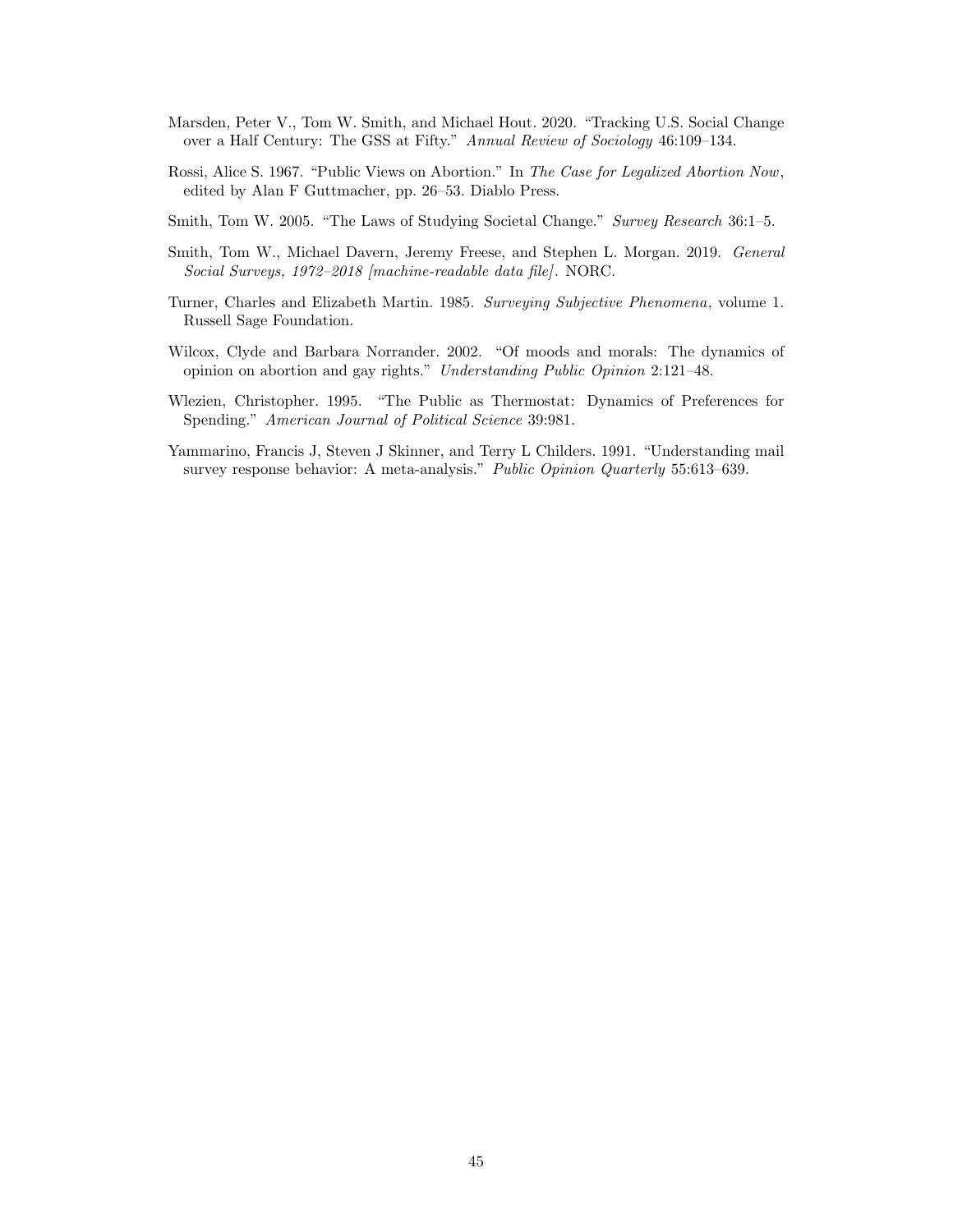- <span id="page-46-2"></span>Marsden, Peter V., Tom W. Smith, and Michael Hout. 2020. "Tracking U.S. Social Change over a Half Century: The GSS at Fifty." Annual Review of Sociology 46:109–134.
- <span id="page-46-3"></span>Rossi, Alice S. 1967. "Public Views on Abortion." In The Case for Legalized Abortion Now, edited by Alan F Guttmacher, pp. 26–53. Diablo Press.
- <span id="page-46-0"></span>Smith, Tom W. 2005. "The Laws of Studying Societal Change." Survey Research 36:1–5.
- <span id="page-46-5"></span>Smith, Tom W., Michael Davern, Jeremy Freese, and Stephen L. Morgan. 2019. General Social Surveys, 1972–2018 [machine-readable data file]. NORC.
- <span id="page-46-1"></span>Turner, Charles and Elizabeth Martin. 1985. Surveying Subjective Phenomena, volume 1. Russell Sage Foundation.
- <span id="page-46-4"></span>Wilcox, Clyde and Barbara Norrander. 2002. "Of moods and morals: The dynamics of opinion on abortion and gay rights." Understanding Public Opinion 2:121–48.
- <span id="page-46-6"></span>Wlezien, Christopher. 1995. "The Public as Thermostat: Dynamics of Preferences for Spending." American Journal of Political Science 39:981.
- <span id="page-46-7"></span>Yammarino, Francis J, Steven J Skinner, and Terry L Childers. 1991. "Understanding mail survey response behavior: A meta-analysis." Public Opinion Quarterly 55:613-639.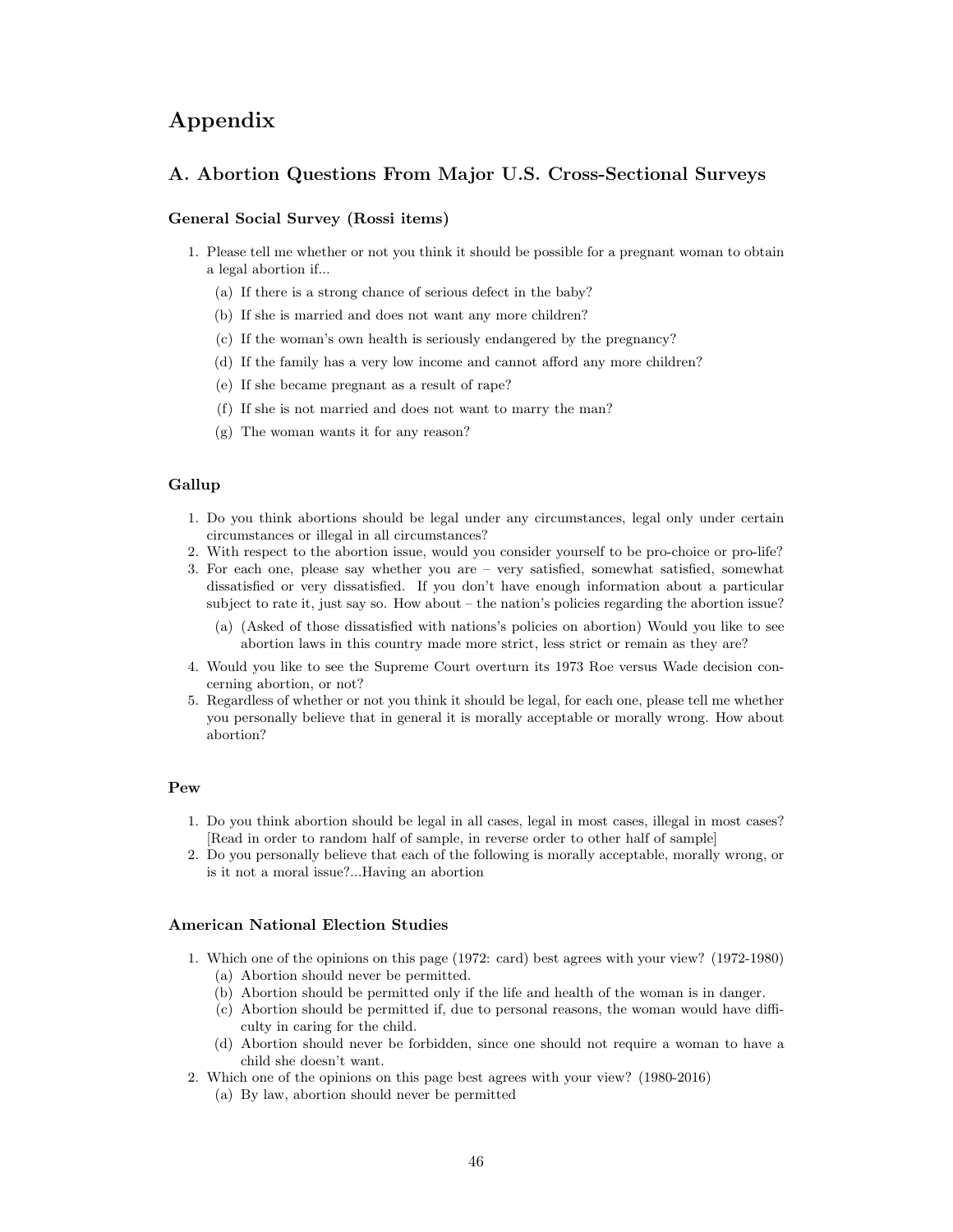## Appendix

#### A. Abortion Questions From Major U.S. Cross-Sectional Surveys

#### General Social Survey (Rossi items)

- 1. Please tell me whether or not you think it should be possible for a pregnant woman to obtain a legal abortion if...
	- (a) If there is a strong chance of serious defect in the baby?
	- (b) If she is married and does not want any more children?
	- (c) If the woman's own health is seriously endangered by the pregnancy?
	- (d) If the family has a very low income and cannot afford any more children?
	- (e) If she became pregnant as a result of rape?
	- (f) If she is not married and does not want to marry the man?
	- (g) The woman wants it for any reason?

#### Gallup

- 1. Do you think abortions should be legal under any circumstances, legal only under certain circumstances or illegal in all circumstances?
- 2. With respect to the abortion issue, would you consider yourself to be pro-choice or pro-life?
- 3. For each one, please say whether you are very satisfied, somewhat satisfied, somewhat dissatisfied or very dissatisfied. If you don't have enough information about a particular subject to rate it, just say so. How about – the nation's policies regarding the abortion issue?
	- (a) (Asked of those dissatisfied with nations's policies on abortion) Would you like to see abortion laws in this country made more strict, less strict or remain as they are?
- 4. Would you like to see the Supreme Court overturn its 1973 Roe versus Wade decision concerning abortion, or not?
- 5. Regardless of whether or not you think it should be legal, for each one, please tell me whether you personally believe that in general it is morally acceptable or morally wrong. How about abortion?

#### Pew

- 1. Do you think abortion should be legal in all cases, legal in most cases, illegal in most cases? [Read in order to random half of sample, in reverse order to other half of sample]
- 2. Do you personally believe that each of the following is morally acceptable, morally wrong, or is it not a moral issue?...Having an abortion

#### American National Election Studies

- 1. Which one of the opinions on this page (1972: card) best agrees with your view? (1972-1980)
	- (a) Abortion should never be permitted.
	- (b) Abortion should be permitted only if the life and health of the woman is in danger.
	- (c) Abortion should be permitted if, due to personal reasons, the woman would have difficulty in caring for the child.
	- (d) Abortion should never be forbidden, since one should not require a woman to have a child she doesn't want.
- 2. Which one of the opinions on this page best agrees with your view? (1980-2016) (a) By law, abortion should never be permitted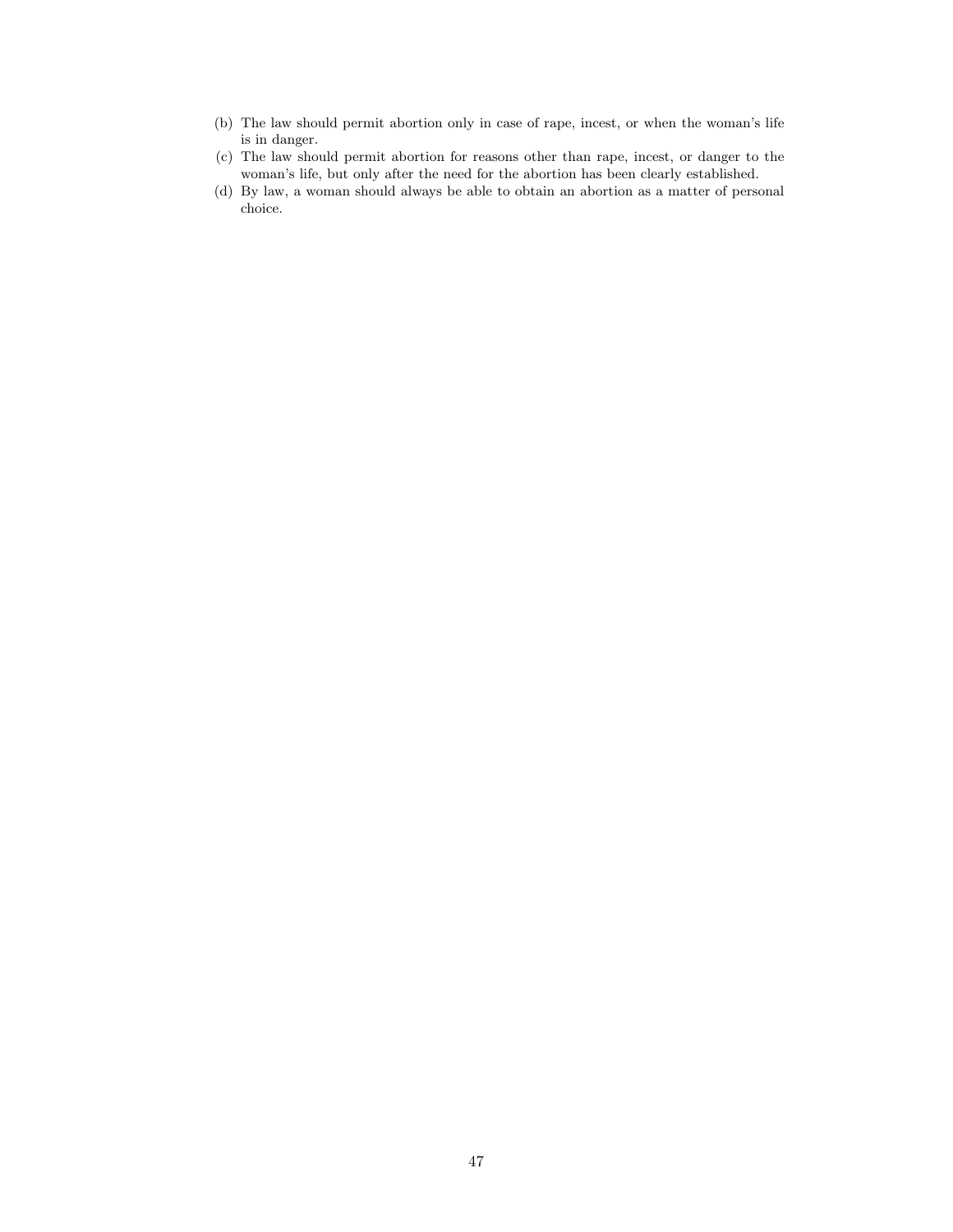- (b) The law should permit abortion only in case of rape, incest, or when the woman's life is in danger.
- (c) The law should permit abortion for reasons other than rape, incest, or danger to the woman's life, but only after the need for the abortion has been clearly established.
- (d) By law, a woman should always be able to obtain an abortion as a matter of personal choice.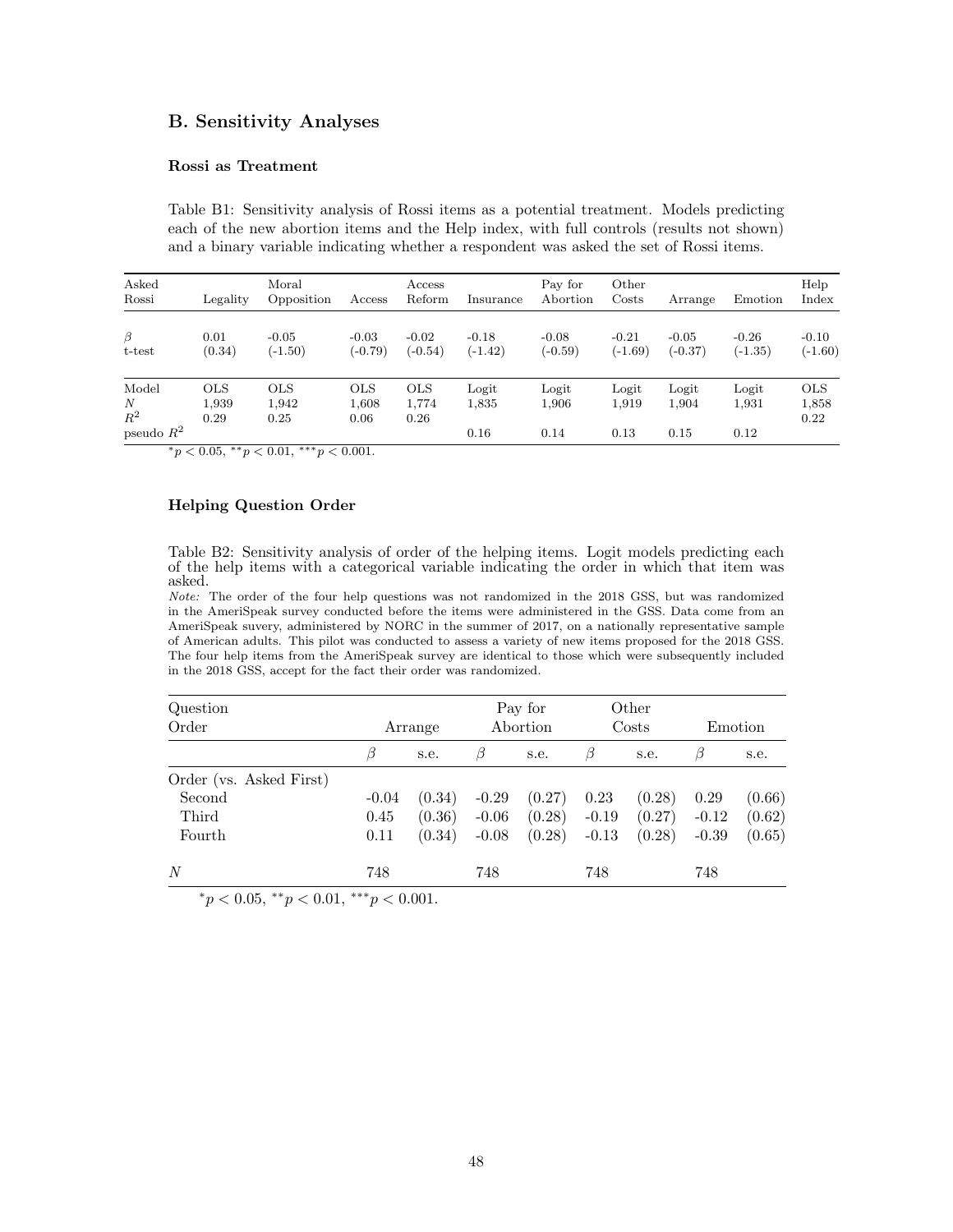#### B. Sensitivity Analyses

#### Rossi as Treatment

Table B1: Sensitivity analysis of Rossi items as a potential treatment. Models predicting each of the new abortion items and the Help index, with full controls (results not shown) and a binary variable indicating whether a respondent was asked the set of Rossi items.

| Asked<br>Rossi      | Legality                    | Moral<br>Opposition         | Access                      | Access<br>Reform            | Insurance            | Pay for<br>Abortion  | Other<br>Costs       | Arrange              | Emotion              | Help<br>Index               |
|---------------------|-----------------------------|-----------------------------|-----------------------------|-----------------------------|----------------------|----------------------|----------------------|----------------------|----------------------|-----------------------------|
| $\beta$<br>t-test   | 0.01<br>(0.34)              | $-0.05$<br>$(-1.50)$        | $-0.03$<br>$(-0.79)$        | $-0.02$<br>$(-0.54)$        | $-0.18$<br>$(-1.42)$ | $-0.08$<br>$(-0.59)$ | $-0.21$<br>$(-1.69)$ | $-0.05$<br>$(-0.37)$ | $-0.26$<br>$(-1.35)$ | $-0.10$<br>$(-1.60)$        |
| Model<br>N<br>$R^2$ | <b>OLS</b><br>1,939<br>0.29 | <b>OLS</b><br>1,942<br>0.25 | <b>OLS</b><br>1,608<br>0.06 | <b>OLS</b><br>1,774<br>0.26 | Logit<br>1,835       | Logit<br>1,906       | Logit<br>1,919       | Logit<br>1,904       | Logit<br>1,931       | <b>OLS</b><br>1,858<br>0.22 |
| pseudo $R^2$        |                             |                             |                             |                             | 0.16                 | 0.14                 | 0.13                 | 0.15                 | 0.12                 |                             |

 $*_{p}$  < 0.05,  $*_{p}$  < 0.01,  $*_{p}$  < 0.001.

#### Helping Question Order

Table B2: Sensitivity analysis of order of the helping items. Logit models predicting each of the help items with a categorical variable indicating the order in which that item was asked.

Note: The order of the four help questions was not randomized in the 2018 GSS, but was randomized in the AmeriSpeak survey conducted before the items were administered in the GSS. Data come from an AmeriSpeak suvery, administered by NORC in the summer of 2017, on a nationally representative sample of American adults. This pilot was conducted to assess a variety of new items proposed for the 2018 GSS. The four help items from the AmeriSpeak survey are identical to those which were subsequently included in the 2018 GSS, accept for the fact their order was randomized.

| Question<br>Order       |         | Arrange |         | Pay for<br>Abortion |         | Other<br>Costs |         | Emotion |
|-------------------------|---------|---------|---------|---------------------|---------|----------------|---------|---------|
|                         | Β       | s.e.    | β       | s.e.                | B       | s.e.           | β       | s.e.    |
| Order (vs. Asked First) |         |         |         |                     |         |                |         |         |
| Second                  | $-0.04$ | (0.34)  | $-0.29$ | (0.27)              | 0.23    | (0.28)         | 0.29    | (0.66)  |
| Third                   | 0.45    | (0.36)  | $-0.06$ | (0.28)              | $-0.19$ | (0.27)         | $-0.12$ | (0.62)  |
| Fourth                  | 0.11    | (0.34)  | $-0.08$ | (0.28)              | $-0.13$ | (0.28)         | $-0.39$ | (0.65)  |
| N                       | 748     |         | 748     |                     | 748     |                | 748     |         |

 $*_p$  < 0.05,  $*_p$  < 0.01,  $**_p$  < 0.001.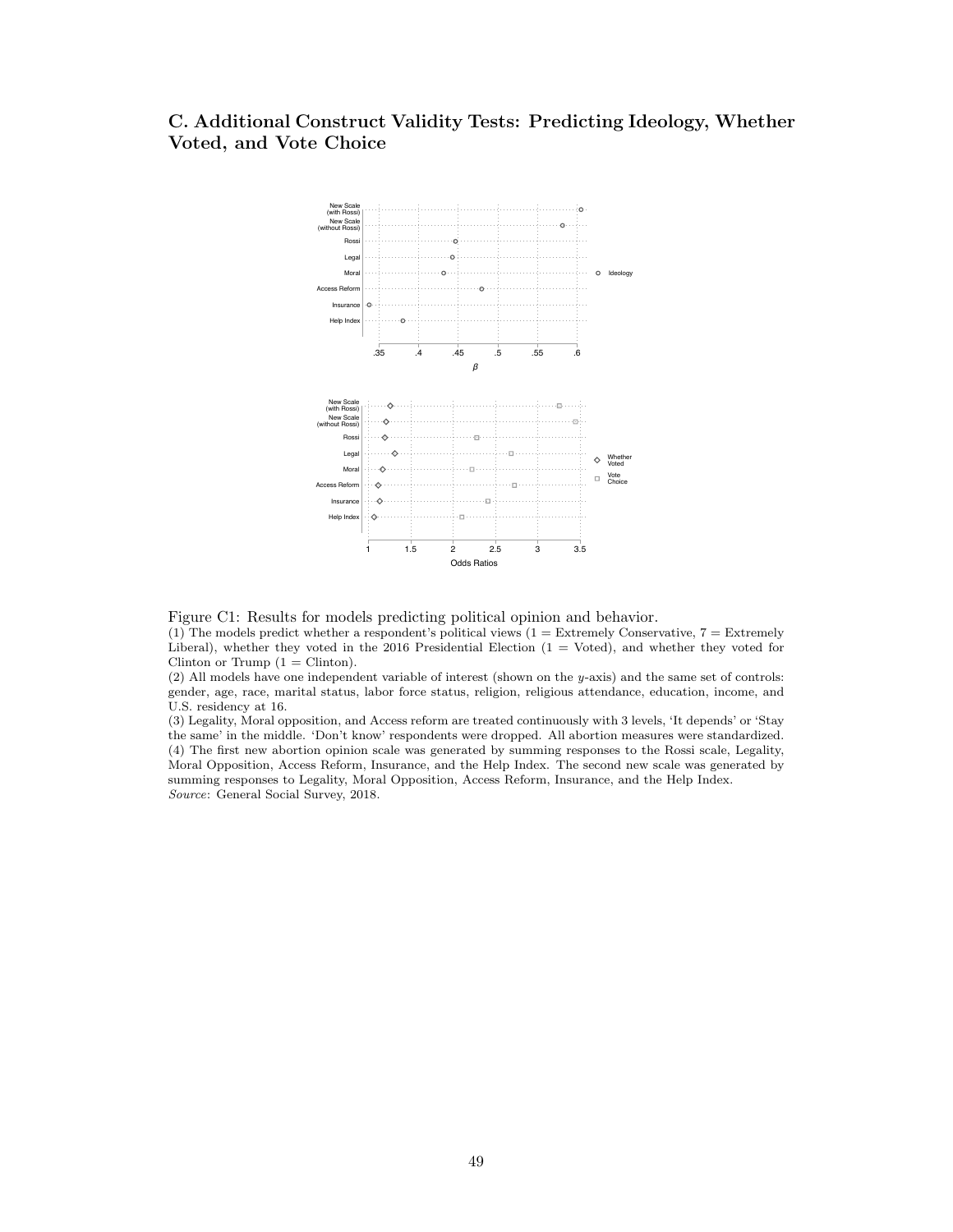## C. Additional Construct Validity Tests: Predicting Ideology, Whether Voted, and Vote Choice



Figure C1: Results for models predicting political opinion and behavior.

(1) The models predict whether a respondent's political views  $(1 =$  Extremely Conservative,  $7 =$  Extremely Liberal), whether they voted in the 2016 Presidential Election (1 = Voted), and whether they voted for Clinton or Trump  $(1 = \text{Clinton}).$ 

(2) All models have one independent variable of interest (shown on the y-axis) and the same set of controls: gender, age, race, marital status, labor force status, religion, religious attendance, education, income, and U.S. residency at 16.

(3) Legality, Moral opposition, and Access reform are treated continuously with 3 levels, 'It depends' or 'Stay the same' in the middle. 'Don't know' respondents were dropped. All abortion measures were standardized. (4) The first new abortion opinion scale was generated by summing responses to the Rossi scale, Legality, Moral Opposition, Access Reform, Insurance, and the Help Index. The second new scale was generated by summing responses to Legality, Moral Opposition, Access Reform, Insurance, and the Help Index. Source: General Social Survey, 2018.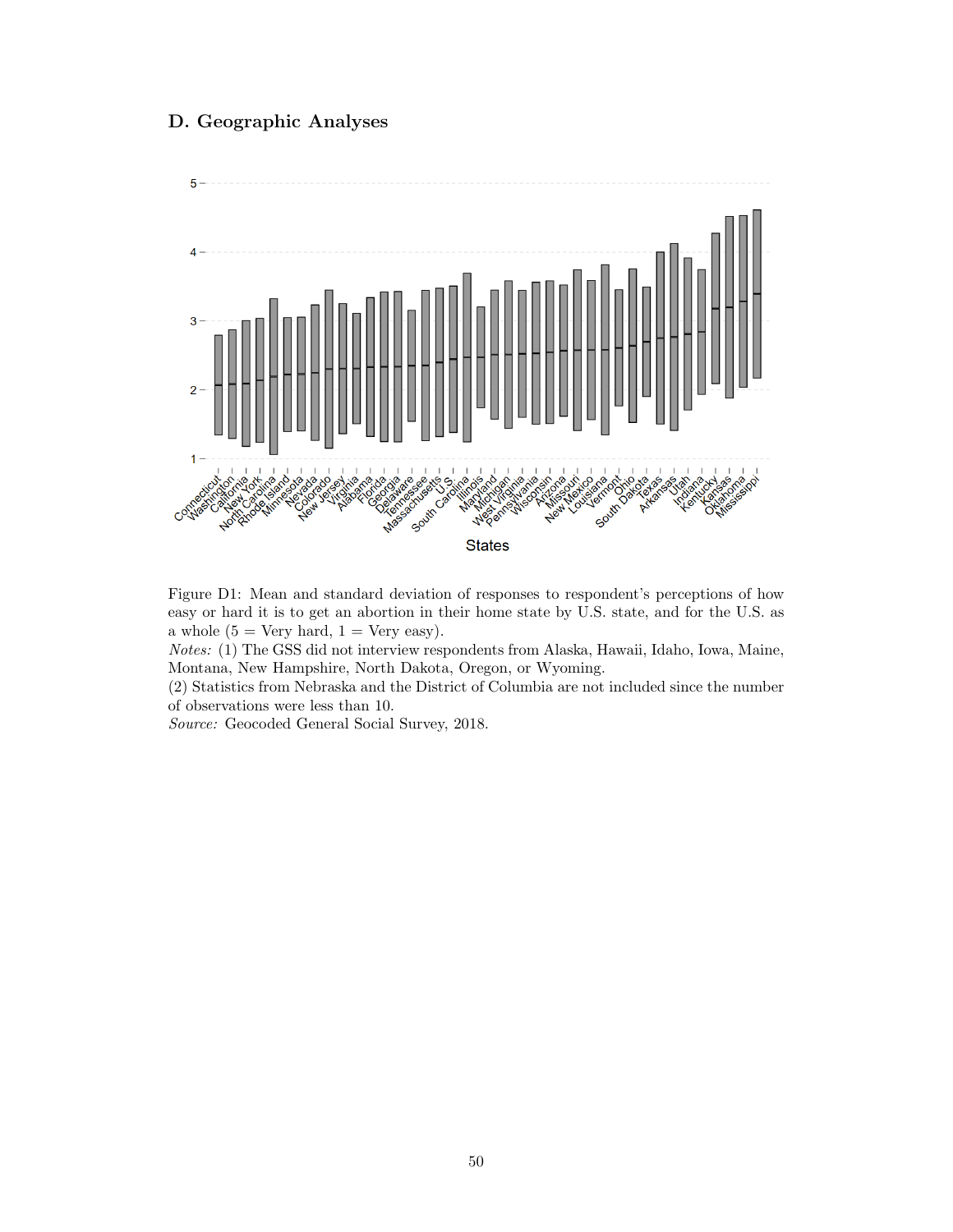### D. Geographic Analyses



Figure D1: Mean and standard deviation of responses to respondent's perceptions of how easy or hard it is to get an abortion in their home state by U.S. state, and for the U.S. as a whole  $(5 = \text{Very hard}, 1 = \text{Very easy}).$ 

Notes: (1) The GSS did not interview respondents from Alaska, Hawaii, Idaho, Iowa, Maine, Montana, New Hampshire, North Dakota, Oregon, or Wyoming.

(2) Statistics from Nebraska and the District of Columbia are not included since the number of observations were less than 10.

Source: Geocoded General Social Survey, 2018.